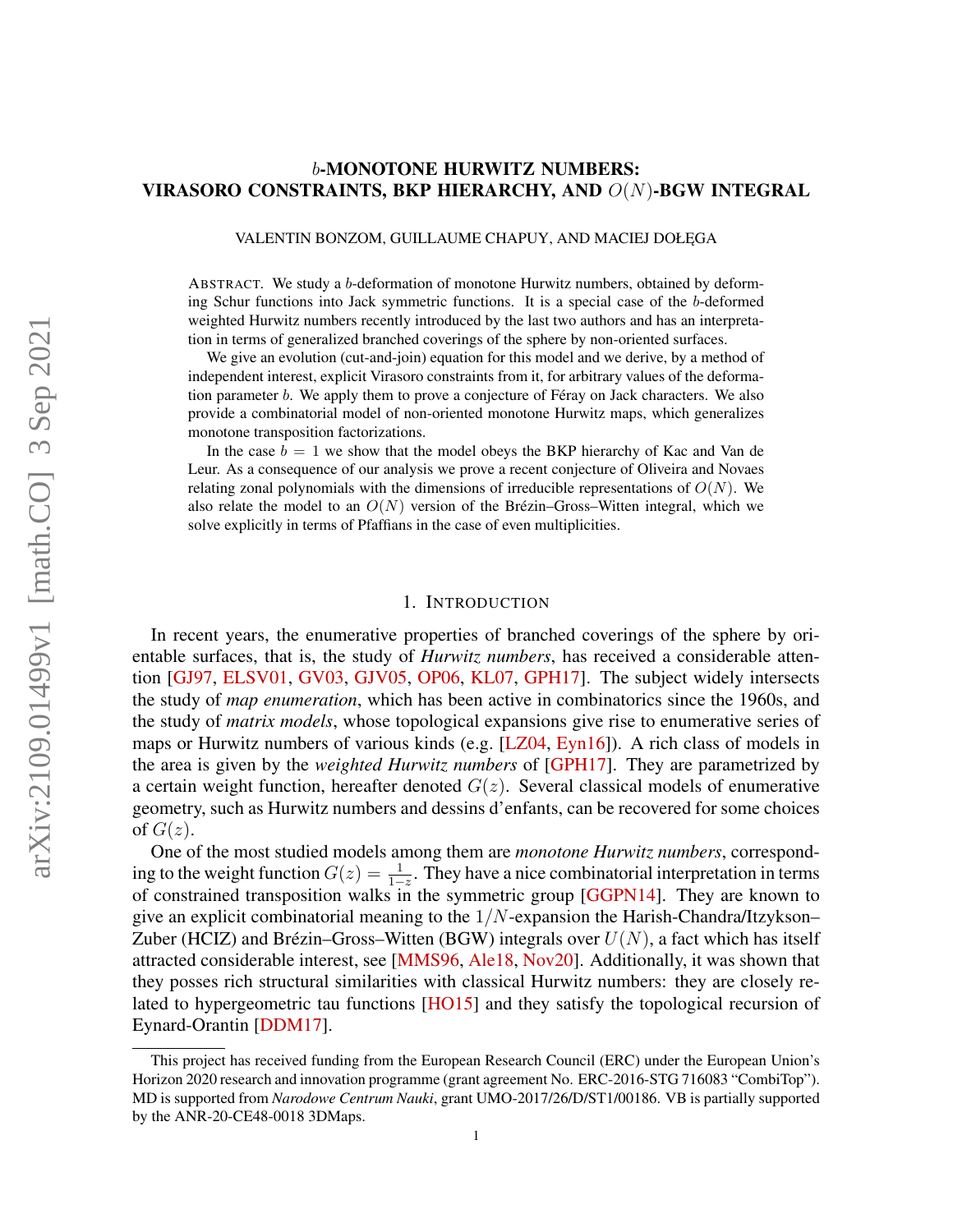# <span id="page-0-0"></span>b-MONOTONE HURWITZ NUMBERS: VIRASORO CONSTRAINTS, BKP HIERARCHY, AND O(N)-BGW INTEGRAL

VALENTIN BONZOM, GUILLAUME CHAPUY, AND MACIEJ DOŁĘGA

ABSTRACT. We study a b-deformation of monotone Hurwitz numbers, obtained by deforming Schur functions into Jack symmetric functions. It is a special case of the b-deformed weighted Hurwitz numbers recently introduced by the last two authors and has an interpretation in terms of generalized branched coverings of the sphere by non-oriented surfaces.

We give an evolution (cut-and-join) equation for this model and we derive, by a method of independent interest, explicit Virasoro constraints from it, for arbitrary values of the deformation parameter b. We apply them to prove a conjecture of Féray on Jack characters. We also provide a combinatorial model of non-oriented monotone Hurwitz maps, which generalizes monotone transposition factorizations.

In the case  $b = 1$  we show that the model obeys the BKP hierarchy of Kac and Van de Leur. As a consequence of our analysis we prove a recent conjecture of Oliveira and Novaes relating zonal polynomials with the dimensions of irreducible representations of  $O(N)$ . We also relate the model to an  $O(N)$  version of the Brézin–Gross–Witten integral, which we solve explicitly in terms of Pfaffians in the case of even multiplicities.

### 1. INTRODUCTION

In recent years, the enumerative properties of branched coverings of the sphere by orientable surfaces, that is, the study of *Hurwitz numbers*, has received a considerable attention [\[GJ97,](#page-40-0) [ELSV01,](#page-39-0) [GV03,](#page-40-1) [GJV05,](#page-40-2) [OP06,](#page-41-0) [KL07,](#page-40-3) [GPH17\]](#page-40-4). The subject widely intersects the study of *map enumeration*, which has been active in combinatorics since the 1960s, and the study of *matrix models*, whose topological expansions give rise to enumerative series of maps or Hurwitz numbers of various kinds (e.g. [\[LZ04,](#page-40-5) [Eyn16\]](#page-39-1)). A rich class of models in the area is given by the *weighted Hurwitz numbers* of [\[GPH17\]](#page-40-4). They are parametrized by a certain weight function, hereafter denoted  $G(z)$ . Several classical models of enumerative geometry, such as Hurwitz numbers and dessins d'enfants, can be recovered for some choices of  $G(z)$ .

One of the most studied models among them are *monotone Hurwitz numbers*, corresponding to the weight function  $G(z) = \frac{1}{1-z}$ . They have a nice combinatorial interpretation in terms of constrained transposition walks in the symmetric group [\[GGPN14\]](#page-40-6). They are known to give an explicit combinatorial meaning to the  $1/N$ -expansion the Harish-Chandra/Itzykson– Zuber (HCIZ) and Brézin–Gross–Witten (BGW) integrals over  $U(N)$ , a fact which has itself attracted considerable interest, see [\[MMS96,](#page-40-7) [Ale18,](#page-39-2) [Nov20\]](#page-41-1). Additionally, it was shown that they posses rich structural similarities with classical Hurwitz numbers: they are closely related to hypergeometric tau functions [\[HO15\]](#page-40-8) and they satisfy the topological recursion of Eynard-Orantin [\[DDM17\]](#page-39-3).

This project has received funding from the European Research Council (ERC) under the European Union's Horizon 2020 research and innovation programme (grant agreement No. ERC-2016-STG 716083 "CombiTop"). MD is supported from *Narodowe Centrum Nauki*, grant UMO-2017/26/D/ST1/00186. VB is partially supported by the ANR-20-CE48-0018 3DMaps.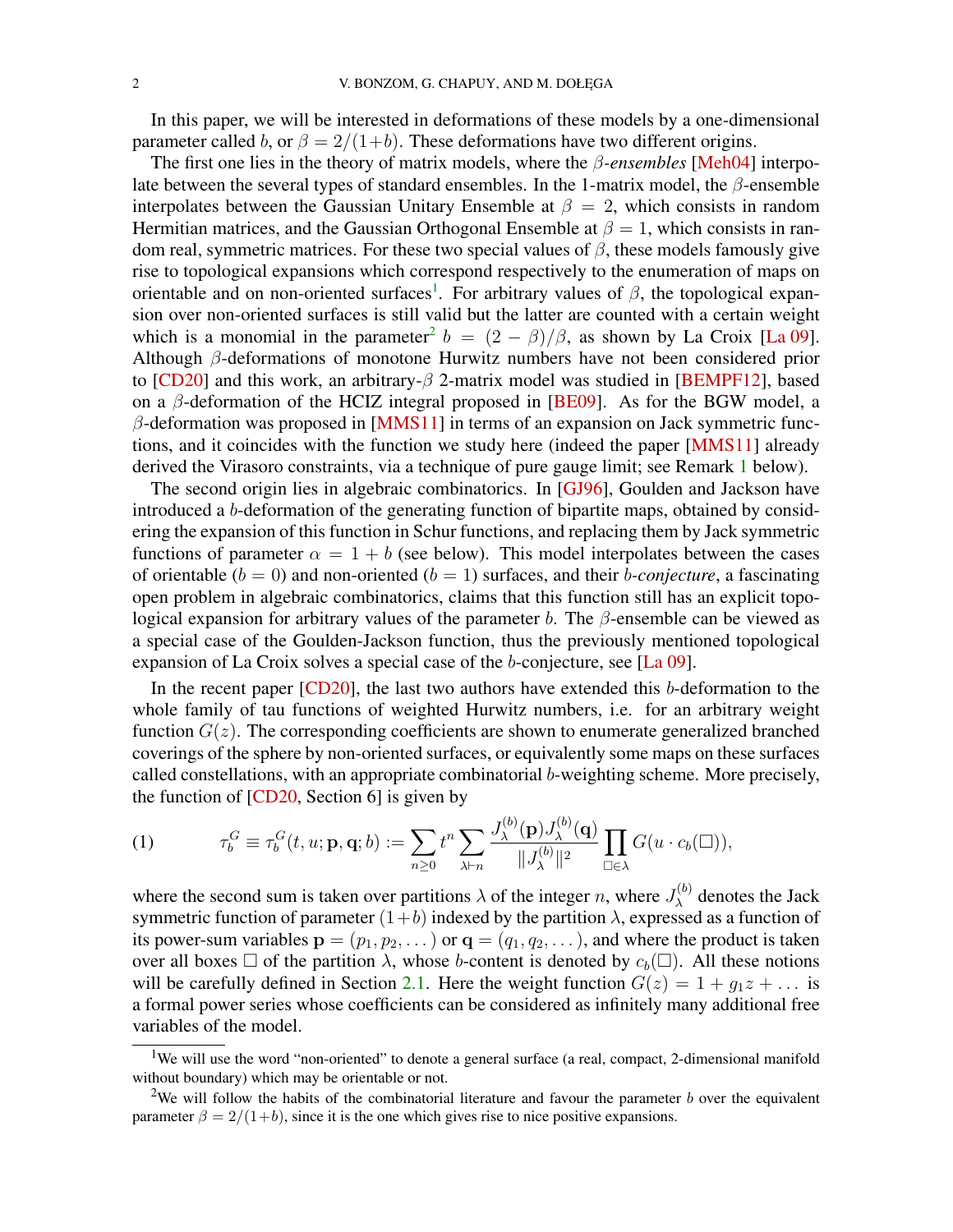<span id="page-1-3"></span>In this paper, we will be interested in deformations of these models by a one-dimensional parameter called b, or  $\beta = 2/(1+b)$ . These deformations have two different origins.

The first one lies in the theory of matrix models, where the β*-ensembles* [\[Meh04\]](#page-40-9) interpolate between the several types of standard ensembles. In the 1-matrix model, the  $\beta$ -ensemble interpolates between the Gaussian Unitary Ensemble at  $\beta = 2$ , which consists in random Hermitian matrices, and the Gaussian Orthogonal Ensemble at  $\beta = 1$ , which consists in random real, symmetric matrices. For these two special values of  $\beta$ , these models famously give rise to topological expansions which correspond respectively to the enumeration of maps on orientable and on non-oriented surfaces<sup>[1](#page-1-0)</sup>. For arbitrary values of  $\beta$ , the topological expansion over non-oriented surfaces is still valid but the latter are counted with a certain weight which is a monomial in the parameter<sup>[2](#page-1-1)</sup>  $b = (2 - \beta)/\beta$ , as shown by La Croix [\[La 09\]](#page-40-10). Although β-deformations of monotone Hurwitz numbers have not been considered prior to [\[CD20\]](#page-39-4) and this work, an arbitrary- $\beta$  2-matrix model was studied in [\[BEMPF12\]](#page-39-5), based on a  $\beta$ -deformation of the HCIZ integral proposed in [\[BE09\]](#page-39-6). As for the BGW model, a  $\beta$ -deformation was proposed in [\[MMS11\]](#page-40-11) in terms of an expansion on Jack symmetric functions, and it coincides with the function we study here (indeed the paper [\[MMS11\]](#page-40-11) already derived the Virasoro constraints, via a technique of pure gauge limit; see Remark [1](#page-8-0) below).

The second origin lies in algebraic combinatorics. In [\[GJ96\]](#page-40-12), Goulden and Jackson have introduced a b-deformation of the generating function of bipartite maps, obtained by considering the expansion of this function in Schur functions, and replacing them by Jack symmetric functions of parameter  $\alpha = 1 + b$  (see below). This model interpolates between the cases of orientable  $(b = 0)$  and non-oriented  $(b = 1)$  surfaces, and their *b-conjecture*, a fascinating open problem in algebraic combinatorics, claims that this function still has an explicit topological expansion for arbitrary values of the parameter b. The  $\beta$ -ensemble can be viewed as a special case of the Goulden-Jackson function, thus the previously mentioned topological expansion of La Croix solves a special case of the b-conjecture, see [\[La 09\]](#page-40-10).

In the recent paper [\[CD20\]](#page-39-4), the last two authors have extended this b-deformation to the whole family of tau functions of weighted Hurwitz numbers, i.e. for an arbitrary weight function  $G(z)$ . The corresponding coefficients are shown to enumerate generalized branched coverings of the sphere by non-oriented surfaces, or equivalently some maps on these surfaces called constellations, with an appropriate combinatorial b-weighting scheme. More precisely, the function of  $[CD20, Section 6]$  $[CD20, Section 6]$  is given by

<span id="page-1-2"></span>(1) 
$$
\tau_b^G \equiv \tau_b^G(t, u; \mathbf{p}, \mathbf{q}; b) := \sum_{n \geq 0} t^n \sum_{\lambda \vdash n} \frac{J_{\lambda}^{(b)}(\mathbf{p}) J_{\lambda}^{(b)}(\mathbf{q})}{\|J_{\lambda}^{(b)}\|^2} \prod_{\square \in \lambda} G(u \cdot c_b(\square)),
$$

where the second sum is taken over partitions  $\lambda$  of the integer n, where  $J_{\lambda}^{(b)}$  $\lambda^{(0)}$  denotes the Jack symmetric function of parameter  $(1+b)$  indexed by the partition  $\lambda$ , expressed as a function of its power-sum variables  $\mathbf{p} = (p_1, p_2, \dots)$  or  $\mathbf{q} = (q_1, q_2, \dots)$ , and where the product is taken over all boxes  $\Box$  of the partition  $\lambda$ , whose b-content is denoted by  $c_b(\Box)$ . All these notions will be carefully defined in Section [2.1.](#page-3-0) Here the weight function  $G(z) = 1 + g_1 z + \dots$  is a formal power series whose coefficients can be considered as infinitely many additional free variables of the model.

<span id="page-1-0"></span><sup>&</sup>lt;sup>1</sup>We will use the word "non-oriented" to denote a general surface (a real, compact, 2-dimensional manifold without boundary) which may be orientable or not.

<span id="page-1-1"></span><sup>&</sup>lt;sup>2</sup>We will follow the habits of the combinatorial literature and favour the parameter b over the equivalent parameter  $\beta = 2/(1+b)$ , since it is the one which gives rise to nice positive expansions.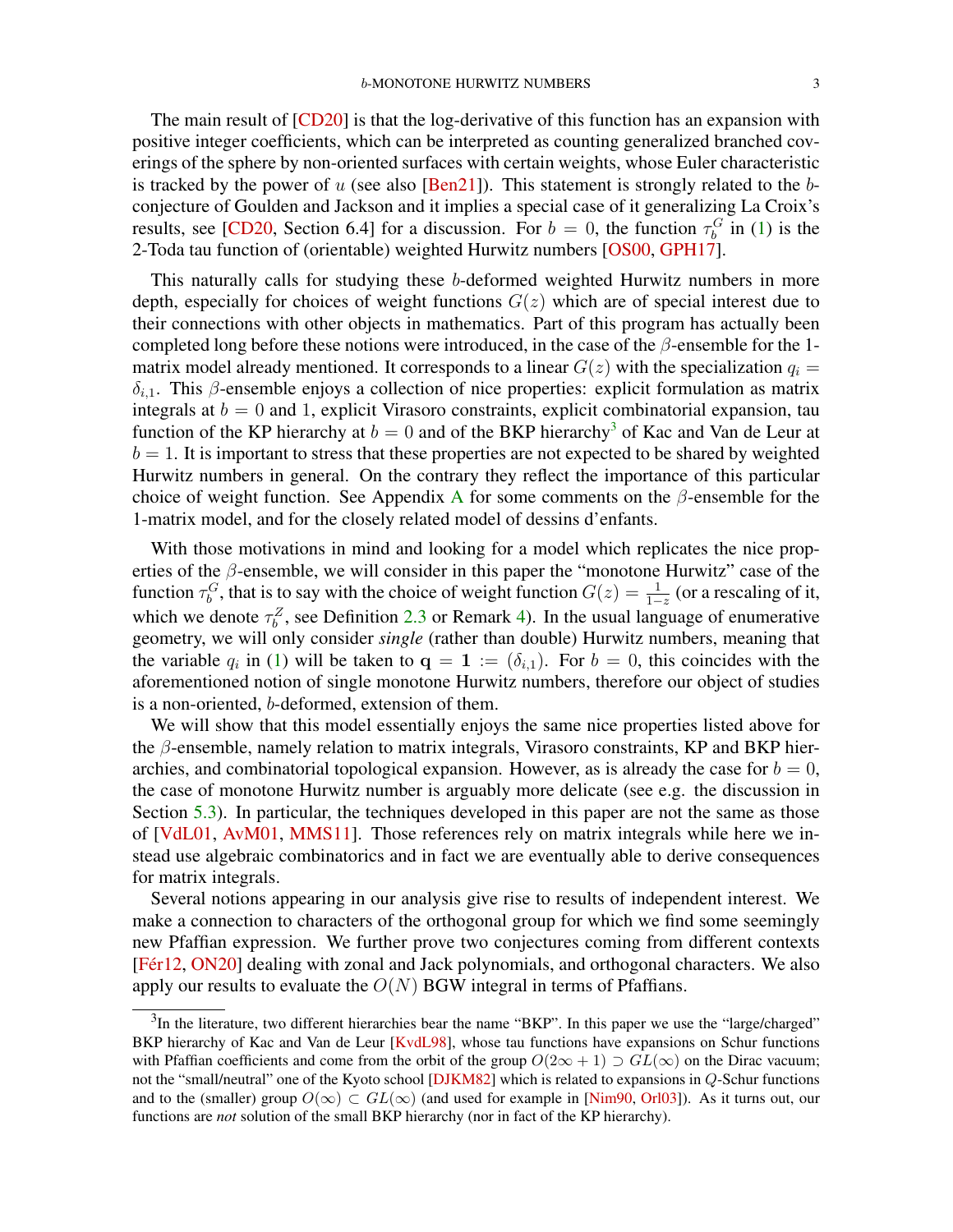<span id="page-2-1"></span>The main result of [\[CD20\]](#page-39-4) is that the log-derivative of this function has an expansion with positive integer coefficients, which can be interpreted as counting generalized branched coverings of the sphere by non-oriented surfaces with certain weights, whose Euler characteristic is tracked by the power of u (see also  $\sqrt{[Ben21]}$  $\sqrt{[Ben21]}$  $\sqrt{[Ben21]}$ ). This statement is strongly related to the bconjecture of Goulden and Jackson and it implies a special case of it generalizing La Croix's results, see [\[CD20,](#page-39-4) Section 6.4] for a discussion. For  $b = 0$ , the function  $\tau_b^G$  in [\(1\)](#page-1-2) is the 2-Toda tau function of (orientable) weighted Hurwitz numbers [\[OS00,](#page-41-2) [GPH17\]](#page-40-4).

This naturally calls for studying these b-deformed weighted Hurwitz numbers in more depth, especially for choices of weight functions  $G(z)$  which are of special interest due to their connections with other objects in mathematics. Part of this program has actually been completed long before these notions were introduced, in the case of the  $\beta$ -ensemble for the 1matrix model already mentioned. It corresponds to a linear  $G(z)$  with the specialization  $q_i =$  $\delta_{i,1}$ . This  $\beta$ -ensemble enjoys a collection of nice properties: explicit formulation as matrix integrals at  $b = 0$  and 1, explicit Virasoro constraints, explicit combinatorial expansion, tau function of the KP hierarchy at  $b = 0$  and of the BKP hierarchy<sup>[3](#page-2-0)</sup> of Kac and Van de Leur at  $b = 1$ . It is important to stress that these properties are not expected to be shared by weighted Hurwitz numbers in general. On the contrary they reflect the importance of this particular choice of weight function. See [A](#page-36-0)ppendix A for some comments on the  $\beta$ -ensemble for the 1-matrix model, and for the closely related model of dessins d'enfants.

With those motivations in mind and looking for a model which replicates the nice properties of the  $\beta$ -ensemble, we will consider in this paper the "monotone Hurwitz" case of the function  $\tau_b^G$ , that is to say with the choice of weight function  $G(z) = \frac{1}{1-z}$  (or a rescaling of it, which we denote  $\tau_b^Z$ , see Definition [2.3](#page-4-0) or Remark [4\)](#page-11-0). In the usual language of enumerative geometry, we will only consider *single* (rather than double) Hurwitz numbers, meaning that the variable  $q_i$  in [\(1\)](#page-1-2) will be taken to  $\mathbf{q} = \mathbf{1} := (\delta_{i,1})$ . For  $b = 0$ , this coincides with the aforementioned notion of single monotone Hurwitz numbers, therefore our object of studies is a non-oriented, b-deformed, extension of them.

We will show that this model essentially enjoys the same nice properties listed above for the β-ensemble, namely relation to matrix integrals, Virasoro constraints, KP and BKP hierarchies, and combinatorial topological expansion. However, as is already the case for  $b = 0$ , the case of monotone Hurwitz number is arguably more delicate (see e.g. the discussion in Section [5.3\)](#page-28-0). In particular, the techniques developed in this paper are not the same as those of [\[VdL01,](#page-41-3) [AvM01,](#page-39-8) [MMS11\]](#page-40-11). Those references rely on matrix integrals while here we instead use algebraic combinatorics and in fact we are eventually able to derive consequences for matrix integrals.

Several notions appearing in our analysis give rise to results of independent interest. We make a connection to characters of the orthogonal group for which we find some seemingly new Pfaffian expression. We further prove two conjectures coming from different contexts [\[Fér12,](#page-39-9) [ON20\]](#page-41-4) dealing with zonal and Jack polynomials, and orthogonal characters. We also apply our results to evaluate the  $O(N)$  BGW integral in terms of Pfaffians.

<span id="page-2-0"></span> $3$ In the literature, two different hierarchies bear the name "BKP". In this paper we use the "large/charged" BKP hierarchy of Kac and Van de Leur [\[KvdL98\]](#page-40-13), whose tau functions have expansions on Schur functions with Pfaffian coefficients and come from the orbit of the group  $O(2\infty + 1) \supset GL(\infty)$  on the Dirac vacuum; not the "small/neutral" one of the Kyoto school [\[DJKM82\]](#page-39-10) which is related to expansions in Q-Schur functions and to the (smaller) group  $O(\infty) \subset GL(\infty)$  (and used for example in [\[Nim90,](#page-40-14) [Orl03\]](#page-41-5)). As it turns out, our functions are *not* solution of the small BKP hierarchy (nor in fact of the KP hierarchy).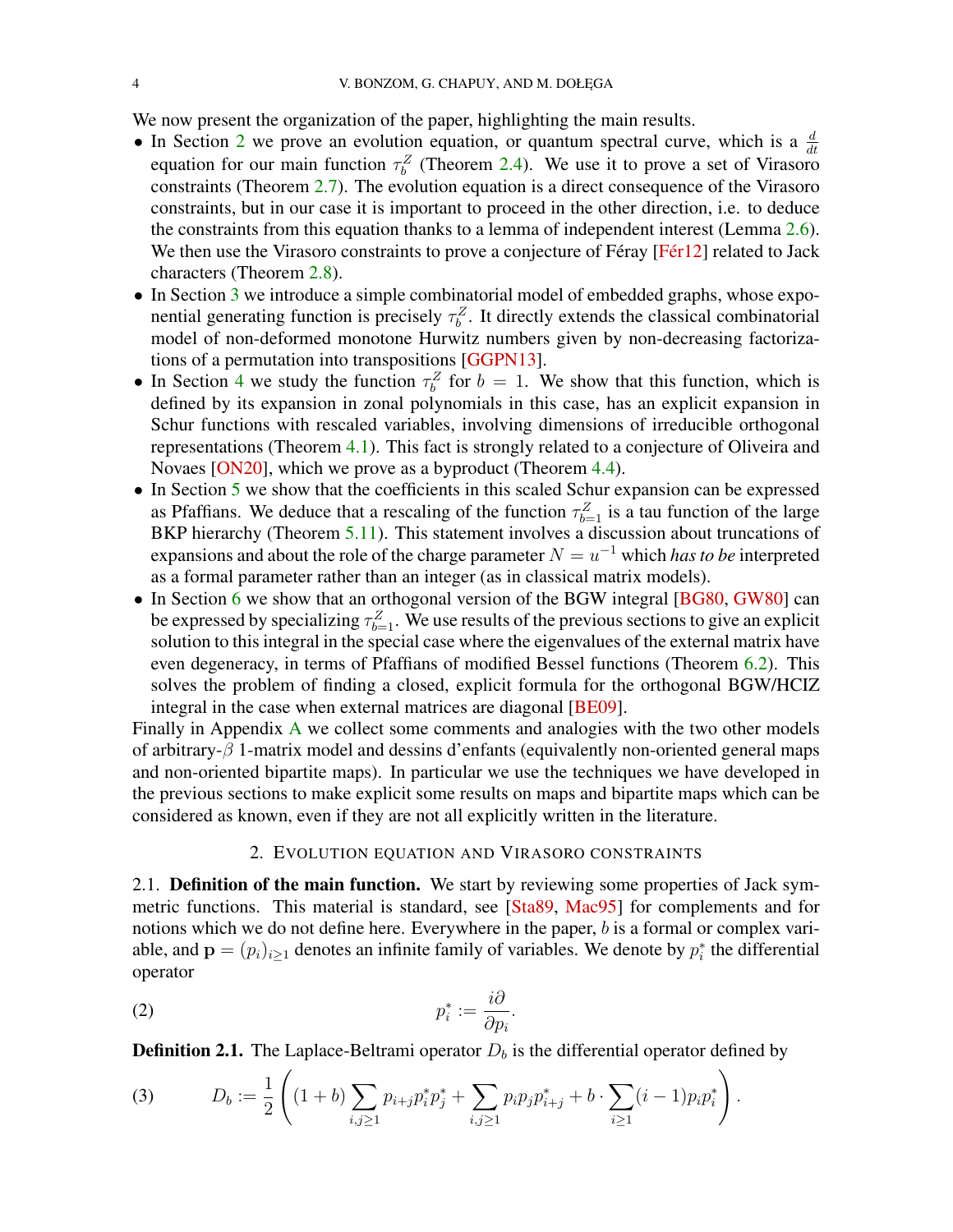<span id="page-3-4"></span>We now present the organization of the paper, highlighting the main results.

- In Section [2](#page-3-1) we prove an evolution equation, or quantum spectral curve, which is a  $\frac{d}{dt}$ equation for our main function  $\tau_b^Z$  (Theorem [2.4\)](#page-5-0). We use it to prove a set of Virasoro constraints (Theorem [2.7\)](#page-7-0). The evolution equation is a direct consequence of the Virasoro constraints, but in our case it is important to proceed in the other direction, i.e. to deduce the constraints from this equation thanks to a lemma of independent interest (Lemma [2.6\)](#page-7-1). We then use the Virasoro constraints to prove a conjecture of Féray [\[Fér12\]](#page-39-9) related to Jack characters (Theorem [2.8\)](#page-8-1).
- In Section [3](#page-9-0) we introduce a simple combinatorial model of embedded graphs, whose exponential generating function is precisely  $\tau_b^Z$ . It directly extends the classical combinatorial model of non-deformed monotone Hurwitz numbers given by non-decreasing factorizations of a permutation into transpositions [\[GGPN13\]](#page-39-11).
- In Section [4](#page-13-0) we study the function  $\tau_b^Z$  for  $b = 1$ . We show that this function, which is defined by its expansion in zonal polynomials in this case, has an explicit expansion in Schur functions with rescaled variables, involving dimensions of irreducible orthogonal representations (Theorem [4.1\)](#page-14-0). This fact is strongly related to a conjecture of Oliveira and Novaes [\[ON20\]](#page-41-4), which we prove as a byproduct (Theorem [4.4\)](#page-19-0).
- In Section [5](#page-20-0) we show that the coefficients in this scaled Schur expansion can be expressed as Pfaffians. We deduce that a rescaling of the function  $\tau_{b=1}^Z$  is a tau function of the large BKP hierarchy (Theorem [5.11\)](#page-31-0). This statement involves a discussion about truncations of expansions and about the role of the charge parameter  $N = u^{-1}$  which *has to be* interpreted as a formal parameter rather than an integer (as in classical matrix models).
- In Section [6](#page-31-1) we show that an orthogonal version of the BGW integral [\[BG80,](#page-39-12) [GW80\]](#page-40-15) can be expressed by specializing  $\tau_{b=1}^Z$ . We use results of the previous sections to give an explicit solution to this integral in the special case where the eigenvalues of the external matrix have even degeneracy, in terms of Pfaffians of modified Bessel functions (Theorem [6.2\)](#page-34-0). This solves the problem of finding a closed, explicit formula for the orthogonal BGW/HCIZ integral in the case when external matrices are diagonal [\[BE09\]](#page-39-6).

Finally in Appendix [A](#page-36-0) we collect some comments and analogies with the two other models of arbitrary-β 1-matrix model and dessins d'enfants (equivalently non-oriented general maps and non-oriented bipartite maps). In particular we use the techniques we have developed in the previous sections to make explicit some results on maps and bipartite maps which can be considered as known, even if they are not all explicitly written in the literature.

### 2. EVOLUTION EQUATION AND VIRASORO CONSTRAINTS

<span id="page-3-1"></span><span id="page-3-0"></span>2.1. Definition of the main function. We start by reviewing some properties of Jack symmetric functions. This material is standard, see [\[Sta89,](#page-41-6) [Mac95\]](#page-40-16) for complements and for notions which we do not define here. Everywhere in the paper, b is a formal or complex variable, and  $\mathbf{p} = (p_i)_{i \geq 1}$  denotes an infinite family of variables. We denote by  $p_i^*$  the differential operator

<span id="page-3-3"></span>
$$
p_i^* := \frac{i\partial}{\partial p_i}.
$$

**Definition 2.1.** The Laplace-Beltrami operator  $D<sub>b</sub>$  is the differential operator defined by

<span id="page-3-2"></span>(3) 
$$
D_b := \frac{1}{2} \left( (1+b) \sum_{i,j \geq 1} p_{i+j} p_i^* p_j^* + \sum_{i,j \geq 1} p_i p_j p_{i+j}^* + b \cdot \sum_{i \geq 1} (i-1) p_i p_i^* \right).
$$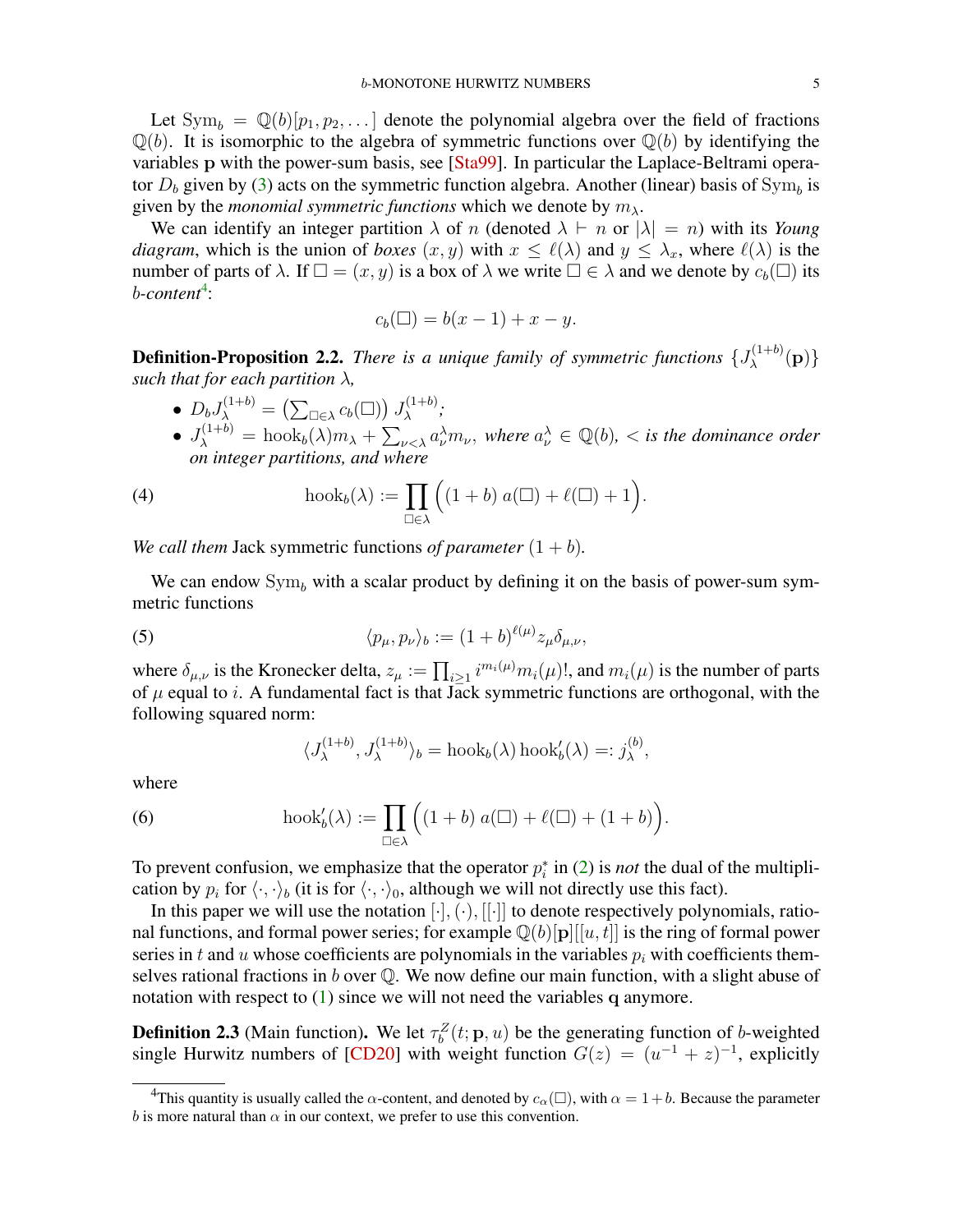<span id="page-4-2"></span>Let  $Sym_b = \mathbb{Q}(b)[p_1, p_2, \dots]$  denote the polynomial algebra over the field of fractions  $\mathbb{Q}(b)$ . It is isomorphic to the algebra of symmetric functions over  $\mathbb{Q}(b)$  by identifying the variables p with the power-sum basis, see [\[Sta99\]](#page-41-7). In particular the Laplace-Beltrami operator  $D_b$  given by [\(3\)](#page-3-2) acts on the symmetric function algebra. Another (linear) basis of  $Sym_b$  is given by the *monomial symmetric functions* which we denote by  $m_{\lambda}$ .

We can identify an integer partition  $\lambda$  of n (denoted  $\lambda \vdash n$  or  $|\lambda| = n$ ) with its *Young diagram*, which is the union of *boxes*  $(x, y)$  with  $x \leq \ell(\lambda)$  and  $y \leq \lambda_x$ , where  $\ell(\lambda)$  is the number of parts of  $\lambda$ . If  $\square = (x, y)$  is a box of  $\lambda$  we write  $\square \in \lambda$  and we denote by  $c_b(\square)$  its b-content<sup>[4](#page-4-1)</sup>:

$$
c_b(\square) = b(x-1) + x - y.
$$

**Definition-Proposition 2.2.** *There is a unique family of symmetric functions*  $\{J_{\lambda}^{(1+b)}\}$  $\lambda^{(1+0)}(\mathbf{p})\}$ *such that for each partition*  $\lambda$ *,* 

- $\bullet$   $D_b J^{(1+b)}_{\lambda} = \left( \sum_{\square \in \lambda} c_b(\square) \right) J^{(1+b)}_{\lambda}$ λ *;*
- $J_{\lambda}^{(1+b)} = \text{hook}_{b}(\lambda)m_{\lambda} + \sum_{\nu < \lambda} a_{\nu}^{\lambda}m_{\nu}$ , where  $a_{\nu}^{\lambda} \in \mathbb{Q}(b)$ ,  $\lt$  is the dominance order *on integer partitions, and where*

(4) 
$$
\operatorname{hook}_{b}(\lambda) := \prod_{\square \in \lambda} \Big( (1+b) \ a(\square) + \ell(\square) + 1 \Big).
$$

*We call them* Jack symmetric functions *of parameter*  $(1 + b)$ *.* 

We can endow  $Sym_b$  with a scalar product by defining it on the basis of power-sum symmetric functions

(5) 
$$
\langle p_{\mu}, p_{\nu} \rangle_b := (1+b)^{\ell(\mu)} z_{\mu} \delta_{\mu,\nu},
$$

where  $\delta_{\mu,\nu}$  is the Kronecker delta,  $z_{\mu} := \prod_{i \geq 1} i^{m_i(\mu)} m_i(\mu)$ !, and  $m_i(\mu)$  is the number of parts of  $\mu$  equal to i. A fundamental fact is that Jack symmetric functions are orthogonal, with the following squared norm:

$$
\langle J_{\lambda}^{(1+b)}, J_{\lambda}^{(1+b)} \rangle_b = \text{hook}( \lambda) \text{hook}( \lambda) =: j_{\lambda}^{(b)},
$$

where

(6) 
$$
\operatorname{hook}_{b}(\lambda) := \prod_{\square \in \lambda} \Big( (1+b) \ a(\square) + \ell(\square) + (1+b) \Big).
$$

To prevent confusion, we emphasize that the operator  $p_i^*$  in [\(2\)](#page-3-3) is *not* the dual of the multiplication by  $p_i$  for  $\langle \cdot, \cdot \rangle_b$  (it is for  $\langle \cdot, \cdot \rangle_0$ , although we will not directly use this fact).

In this paper we will use the notation  $[\cdot], (\cdot), [[\cdot]]$  to denote respectively polynomials, rational functions, and formal power series; for example  $\mathbb{Q}(b)[p][[u, t]]$  is the ring of formal power series in t and u whose coefficients are polynomials in the variables  $p_i$  with coefficients themselves rational fractions in b over  $\mathbb Q$ . We now define our main function, with a slight abuse of notation with respect to  $(1)$  since we will not need the variables q anymore.

<span id="page-4-0"></span>**Definition 2.3** (Main function). We let  $\tau_b^Z(t; \mathbf{p}, u)$  be the generating function of b-weighted single Hurwitz numbers of [\[CD20\]](#page-39-4) with weight function  $G(z) = (u^{-1} + z)^{-1}$ , explicitly

<span id="page-4-1"></span><sup>&</sup>lt;sup>4</sup>This quantity is usually called the  $\alpha$ -content, and denoted by  $c_{\alpha}(\square)$ , with  $\alpha = 1 + b$ . Because the parameter b is more natural than  $\alpha$  in our context, we prefer to use this convention.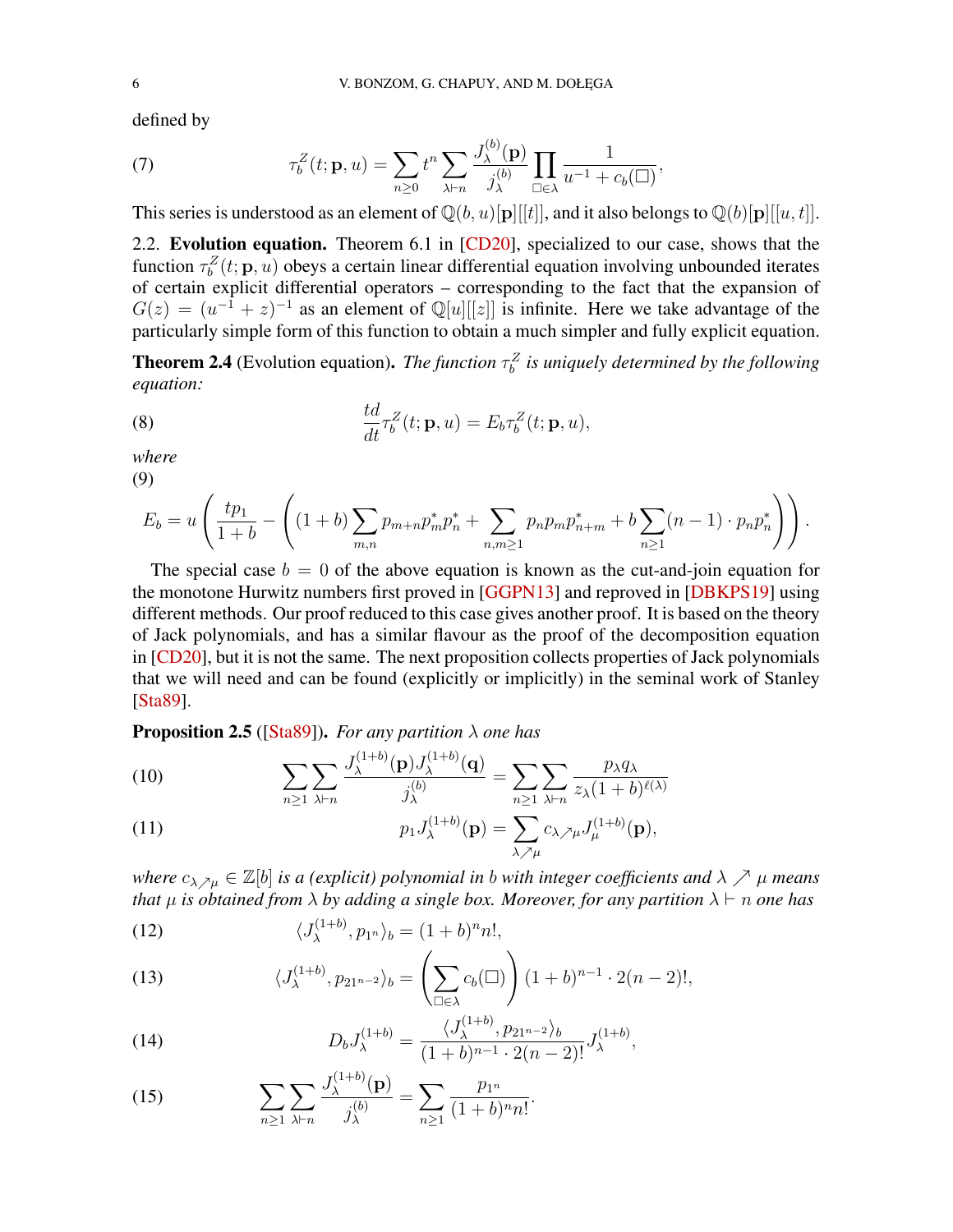<span id="page-5-8"></span>defined by

<span id="page-5-7"></span>(7) 
$$
\tau_b^Z(t; \mathbf{p}, u) = \sum_{n \geq 0} t^n \sum_{\lambda \vdash n} \frac{J_{\lambda}^{(b)}(\mathbf{p})}{j_{\lambda}^{(b)}} \prod_{\square \in \lambda} \frac{1}{u^{-1} + c_b(\square)},
$$

This series is understood as an element of  $\mathbb{Q}(b, u)[p][[t]]$ , and it also belongs to  $\mathbb{Q}(b)[p][[u, t]]$ .

2.2. Evolution equation. Theorem 6.1 in [\[CD20\]](#page-39-4), specialized to our case, shows that the function  $\tau_b^Z(t; \mathbf{p}, u)$  obeys a certain linear differential equation involving unbounded iterates of certain explicit differential operators – corresponding to the fact that the expansion of  $G(z) = (u^{-1} + z)^{-1}$  as an element of  $\mathbb{Q}[u][[z]]$  is infinite. Here we take advantage of the particularly simple form of this function to obtain a much simpler and fully explicit equation.

<span id="page-5-0"></span>**Theorem 2.4** (Evolution equation). *The function*  $\tau_b^Z$  is uniquely determined by the following *equation:*

<span id="page-5-6"></span>(8) 
$$
\frac{td}{dt}\tau_b^Z(t; \mathbf{p}, u) = E_b \tau_b^Z(t; \mathbf{p}, u),
$$

*where*

(9)

$$
E_b = u \left( \frac{tp_1}{1+b} - \left( (1+b) \sum_{m,n} p_{m+n} p_m^* p_n^* + \sum_{n,m \ge 1} p_n p_m p_{n+m}^* + b \sum_{n \ge 1} (n-1) \cdot p_n p_n^* \right) \right).
$$

The special case  $b = 0$  of the above equation is known as the cut-and-join equation for the monotone Hurwitz numbers first proved in [\[GGPN13\]](#page-39-11) and reproved in [\[DBKPS19\]](#page-39-13) using different methods. Our proof reduced to this case gives another proof. It is based on the theory of Jack polynomials, and has a similar flavour as the proof of the decomposition equation in [\[CD20\]](#page-39-4), but it is not the same. The next proposition collects properties of Jack polynomials that we will need and can be found (explicitly or implicitly) in the seminal work of Stanley [\[Sta89\]](#page-41-6).

Proposition 2.5 ([\[Sta89\]](#page-41-6)). *For any partition* λ *one has*

(10) 
$$
\sum_{n\geq 1}\sum_{\lambda\vdash n}\frac{J_{\lambda}^{(1+b)}(\mathbf{p})J_{\lambda}^{(1+b)}(\mathbf{q})}{j_{\lambda}^{(b)}}=\sum_{n\geq 1}\sum_{\lambda\vdash n}\frac{p_{\lambda}q_{\lambda}}{z_{\lambda}(1+b)^{\ell(\lambda)}}
$$

<span id="page-5-1"></span>(11) 
$$
p_1 J_{\lambda}^{(1+b)}(\mathbf{p}) = \sum_{\lambda \nearrow \mu} c_{\lambda \nearrow \mu} J_{\mu}^{(1+b)}(\mathbf{p}),
$$

*where*  $c_{\lambda \lambda \mu} \in \mathbb{Z}[b]$  *is a (explicit) polynomial in b with integer coefficients and*  $\lambda \nearrow \mu$  *means that*  $\mu$  *is obtained from*  $\lambda$  *by adding a single box. Moreover, for any partition*  $\lambda \vdash n$  *one has* 

<span id="page-5-3"></span>(12) 
$$
\langle J_{\lambda}^{(1+b)}, p_{1^n} \rangle_b = (1+b)^n n!,
$$

<span id="page-5-4"></span>(13) 
$$
\langle J_{\lambda}^{(1+b)}, p_{21^{n-2}} \rangle_b = \left( \sum_{\square \in \lambda} c_b (\square) \right) (1+b)^{n-1} \cdot 2(n-2)!,
$$

<span id="page-5-5"></span>(14) 
$$
D_b J_{\lambda}^{(1+b)} = \frac{\langle J_{\lambda}^{(1+b)}, p_{21^{n-2}} \rangle_b}{(1+b)^{n-1} \cdot 2(n-2)!} J_{\lambda}^{(1+b)},
$$

<span id="page-5-2"></span>(15) 
$$
\sum_{n\geq 1}\sum_{\lambda\vdash n}\frac{J_{\lambda}^{(1+b)}(\mathbf{p})}{j_{\lambda}^{(b)}}=\sum_{n\geq 1}\frac{p_{1^n}}{(1+b)^n n!}.
$$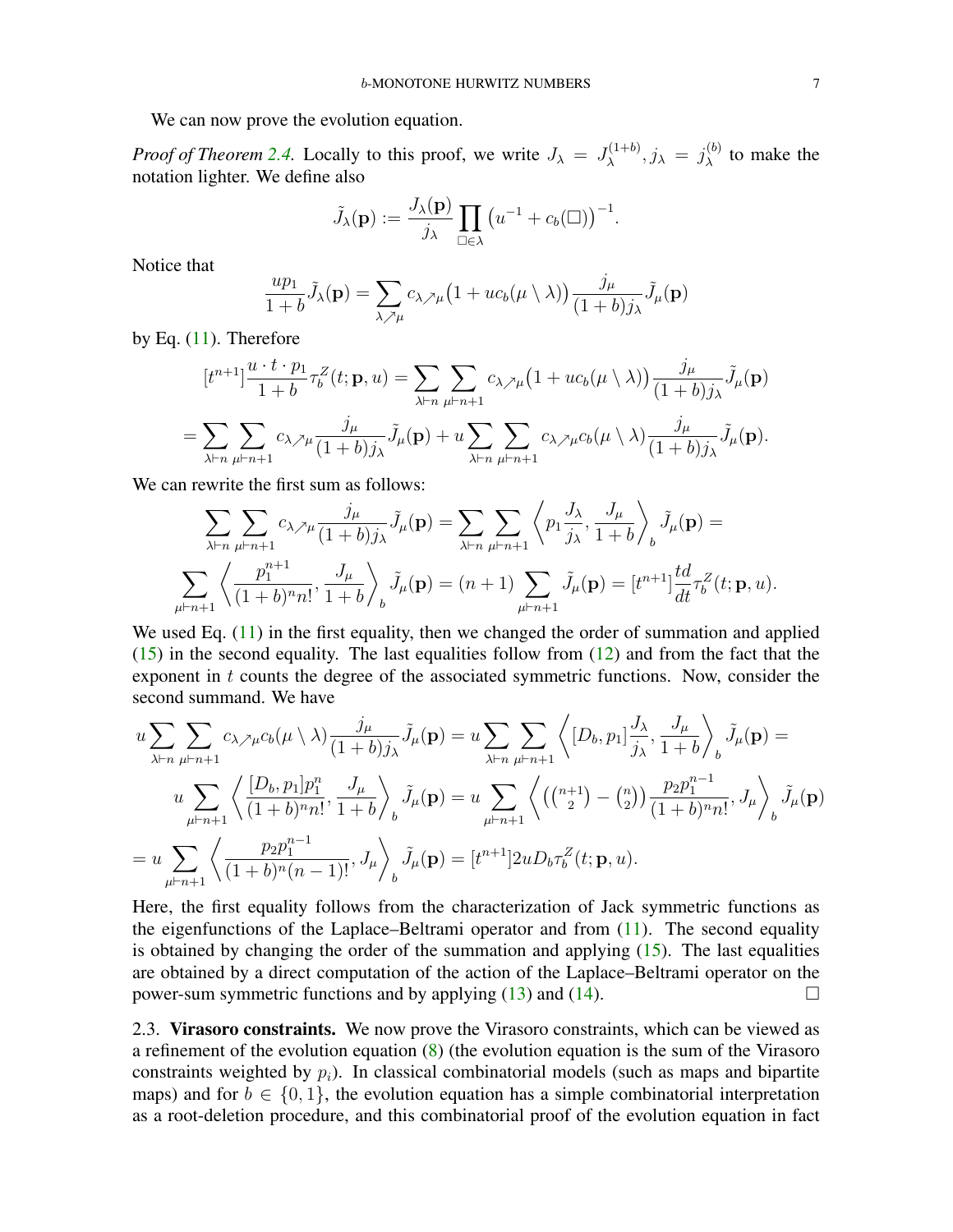We can now prove the evolution equation.

*Proof of Theorem [2.4.](#page-5-0)* Locally to this proof, we write  $J_{\lambda} = J_{\lambda}^{(1+b)}$  $j_{\lambda}^{(1+b)}, j_{\lambda} = j_{\lambda}^{(b)}$  $\lambda^{(0)}$  to make the notation lighter. We define also

$$
\tilde{J}_{\lambda}(\mathbf{p}) := \frac{J_{\lambda}(\mathbf{p})}{j_{\lambda}} \prod_{\square \in \lambda} \left( u^{-1} + c_b(\square) \right)^{-1}.
$$

Notice that

$$
\frac{up_1}{1+b}\tilde{J}_{\lambda}(\mathbf{p}) = \sum_{\lambda \nearrow \mu} c_{\lambda \nearrow \mu} \left(1 + uc_b(\mu \setminus \lambda)\right) \frac{j_{\mu}}{(1+b)j_{\lambda}} \tilde{J}_{\mu}(\mathbf{p})
$$

by Eq.  $(11)$ . Therefore

$$
[t^{n+1}] \frac{u \cdot t \cdot p_1}{1+b} \tau_b^Z(t; \mathbf{p}, u) = \sum_{\lambda \vdash n} \sum_{\mu \vdash n+1} c_{\lambda \nearrow \mu} \left(1 + uc_b(\mu \setminus \lambda)\right) \frac{j_\mu}{(1+b)j_\lambda} \tilde{J}_\mu(\mathbf{p})
$$
  
= 
$$
\sum_{\lambda \vdash n} \sum_{\mu \vdash n+1} c_{\lambda \nearrow \mu} \frac{j_\mu}{(1+b)j_\lambda} \tilde{J}_\mu(\mathbf{p}) + u \sum_{\lambda \vdash n} \sum_{\mu \vdash n+1} c_{\lambda \nearrow \mu} c_b(\mu \setminus \lambda) \frac{j_\mu}{(1+b)j_\lambda} \tilde{J}_\mu(\mathbf{p}).
$$

We can rewrite the first sum as follows:

$$
\sum_{\lambda \vdash n} \sum_{\mu \vdash n+1} c_{\lambda} \lambda_{\mu} \frac{j_{\mu}}{(1+b)j_{\lambda}} \tilde{J}_{\mu}(\mathbf{p}) = \sum_{\lambda \vdash n} \sum_{\mu \vdash n+1} \left\langle p_{1} \frac{J_{\lambda}}{j_{\lambda}}, \frac{J_{\mu}}{1+b} \right\rangle_{b} \tilde{J}_{\mu}(\mathbf{p}) =
$$
\n
$$
\sum_{\mu \vdash n+1} \left\langle \frac{p_{1}^{n+1}}{(1+b)^{n}n!}, \frac{J_{\mu}}{1+b} \right\rangle_{b} \tilde{J}_{\mu}(\mathbf{p}) = (n+1) \sum_{\mu \vdash n+1} \tilde{J}_{\mu}(\mathbf{p}) = [t^{n+1}] \frac{td}{dt} \tau_{b}^{Z}(t; \mathbf{p}, u).
$$

We used Eq. [\(11\)](#page-5-1) in the first equality, then we changed the order of summation and applied  $(15)$  in the second equality. The last equalities follow from  $(12)$  and from the fact that the exponent in t counts the degree of the associated symmetric functions. Now, consider the second summand. We have

$$
u \sum_{\lambda \vdash n} \sum_{\mu \vdash n+1} c_{\lambda} \mu c_b(\mu \setminus \lambda) \frac{j_{\mu}}{(1+b)j_{\lambda}} \tilde{J}_{\mu}(\mathbf{p}) = u \sum_{\lambda \vdash n} \sum_{\mu \vdash n+1} \left\langle [D_b, p_1] \frac{J_{\lambda}}{j_{\lambda}}, \frac{J_{\mu}}{1+b} \right\rangle_b \tilde{J}_{\mu}(\mathbf{p}) =
$$
  

$$
u \sum_{\mu \vdash n+1} \left\langle \frac{[D_b, p_1]p_1^n}{(1+b)^n n!}, \frac{J_{\mu}}{1+b} \right\rangle_b \tilde{J}_{\mu}(\mathbf{p}) = u \sum_{\mu \vdash n+1} \left\langle \left( \binom{n+1}{2} - \binom{n}{2} \right) \frac{p_2 p_1^{n-1}}{(1+b)^n n!}, J_{\mu} \right\rangle_b \tilde{J}_{\mu}(\mathbf{p})
$$
  

$$
= u \sum_{\mu \vdash n+1} \left\langle \frac{p_2 p_1^{n-1}}{(1+b)^n (n-1)!}, J_{\mu} \right\rangle_b \tilde{J}_{\mu}(\mathbf{p}) = [t^{n+1}] 2u D_b \tau_b^Z(t; \mathbf{p}, u).
$$

Here, the first equality follows from the characterization of Jack symmetric functions as the eigenfunctions of the Laplace–Beltrami operator and from [\(11\)](#page-5-1). The second equality is obtained by changing the order of the summation and applying  $(15)$ . The last equalities are obtained by a direct computation of the action of the Laplace–Beltrami operator on the power-sum symmetric functions and by applying  $(13)$  and  $(14)$ .

2.3. Virasoro constraints. We now prove the Virasoro constraints, which can be viewed as a refinement of the evolution equation [\(8\)](#page-5-6) (the evolution equation is the sum of the Virasoro constraints weighted by  $p_i$ ). In classical combinatorial models (such as maps and bipartite maps) and for  $b \in \{0, 1\}$ , the evolution equation has a simple combinatorial interpretation as a root-deletion procedure, and this combinatorial proof of the evolution equation in fact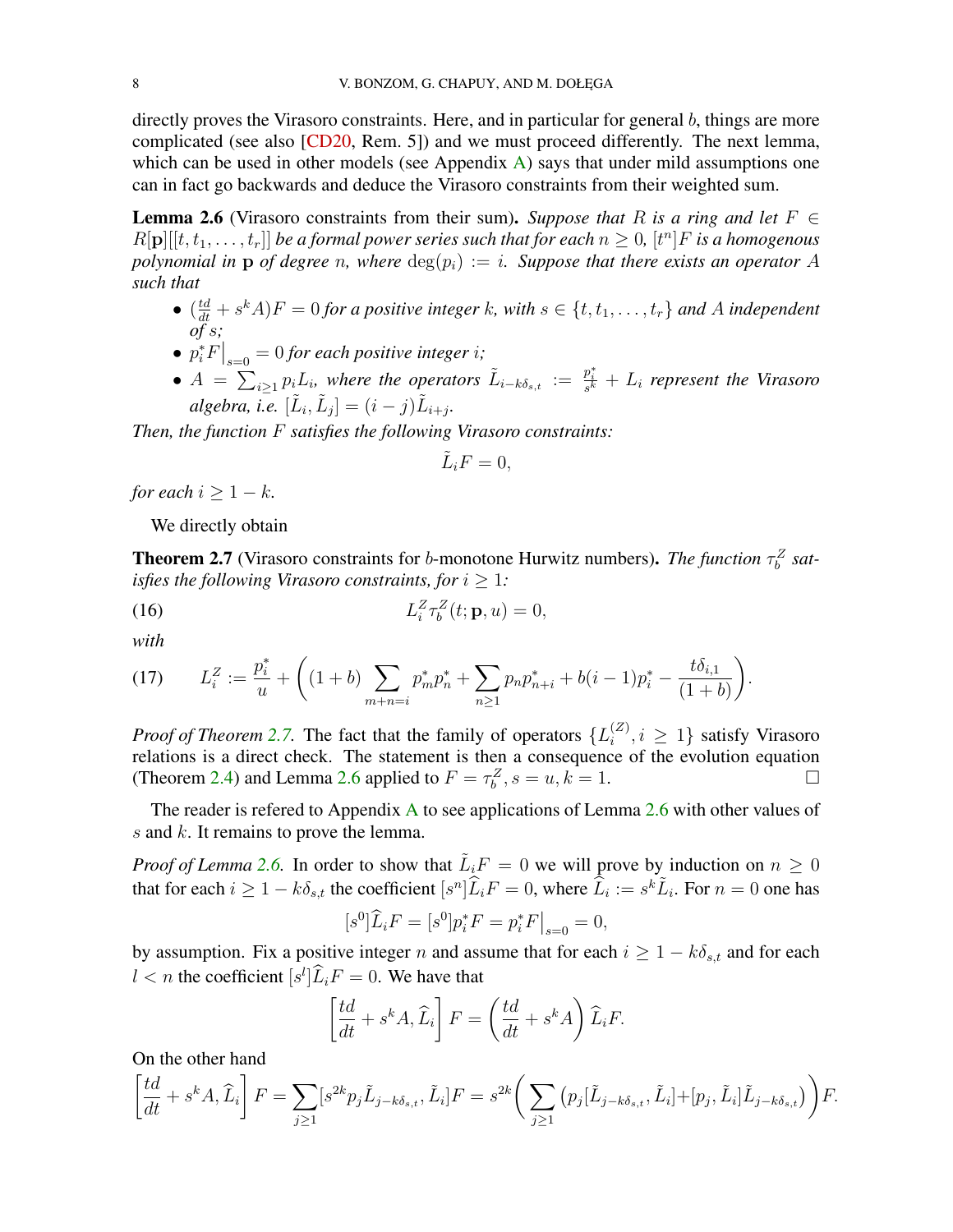<span id="page-7-3"></span>directly proves the Virasoro constraints. Here, and in particular for general  $b$ , things are more complicated (see also [\[CD20,](#page-39-4) Rem. 5]) and we must proceed differently. The next lemma, which can be used in other models (see Appendix  $\overrightarrow{A}$ ) says that under mild assumptions one can in fact go backwards and deduce the Virasoro constraints from their weighted sum.

<span id="page-7-1"></span>**Lemma 2.6** (Virasoro constraints from their sum). Suppose that R is a ring and let  $F \in$  $R[\mathbf{p}][[t, t_1, \ldots, t_r]]$  be a formal power series such that for each  $n \geq 0$ ,  $[t^n]F$  is a homogenous *polynomial in* p *of degree n, where*  $deg(p_i) := i$ *. Suppose that there exists an operator* A *such that*

- $(\frac{td}{dt} + s^k A)F = 0$  *for a positive integer* k, with  $s \in \{t, t_1, \ldots, t_r\}$  and A independent *of* s*;*
- $p_i^* F \big|_{s=0} = 0$  *for each positive integer i;*
- $A = \sum_{i\geq 1} p_i L_i$ , where the operators  $\tilde{L}_{i-k\delta_{s,t}} := \frac{p_i^*}{s^k} + L_i$  represent the Virasoro  $algebra, i.e.$   $[\tilde{L}_i, \tilde{L}_j] = (i - j)\tilde{L}_{i+j}.$

*Then, the function* F *satisfies the following Virasoro constraints:*

$$
\tilde{L}_i F = 0,
$$

*for each*  $i > 1 - k$ *.* 

We directly obtain

<span id="page-7-0"></span>**Theorem 2.7** (Virasoro constraints for b-monotone Hurwitz numbers). *The function*  $\tau_b^Z$  sat*isfies the following Virasoro constraints, for*  $i \geq 1$ *:* 

(16) 
$$
L_i^Z \tau_b^Z(t; \mathbf{p}, u) = 0,
$$

*with*

<span id="page-7-2"></span>
$$
(17) \qquad L_i^Z := \frac{p_i^*}{u} + \left( (1+b) \sum_{m+n=i} p_m^* p_n^* + \sum_{n\geq 1} p_n p_{n+i}^* + b(i-1) p_i^* - \frac{t \delta_{i,1}}{(1+b)} \right).
$$

*Proof of Theorem [2.7.](#page-7-0)* The fact that the family of operators  $\{L_i^{(Z)}\}$  $\{a_i^{(2)}, i \geq 1\}$  satisfy Virasoro relations is a direct check. The statement is then a consequence of the evolution equation (Theorem [2.4\)](#page-5-0) and Lemma [2.6](#page-7-1) applied to  $F = \tau_b^Z$ ,  $s = u, k = 1$ .

The reader is refered to [A](#page-36-0)ppendix A to see applications of Lemma  $2.6$  with other values of s and k. It remains to prove the lemma.

*Proof of Lemma* [2.6.](#page-7-1) In order to show that  $\tilde{L}_iF = 0$  we will prove by induction on  $n \geq 0$ that for each  $i \geq 1 - k \delta_{s,t}$  the coefficient  $[s^n] \widehat{L}_i F = 0$ , where  $\widehat{L}_i := s^k \widetilde{L}_i$ . For  $n = 0$  one has

$$
[s^0]\widehat{L}_i F = [s^0]p_i^* F = p_i^* F \big|_{s=0} = 0,
$$

by assumption. Fix a positive integer n and assume that for each  $i \geq 1 - k\delta_{s,t}$  and for each  $l < n$  the coefficient  $[s^l]\tilde{L}_iF = 0$ . We have that

$$
\left[\frac{td}{dt} + s^k A, \widehat{L}_i\right] F = \left(\frac{td}{dt} + s^k A\right) \widehat{L}_i F.
$$

On the other hand

$$
\left[\frac{td}{dt} + s^k A, \widehat{L}_i\right] F = \sum_{j\geq 1} [s^{2k} p_j \widetilde{L}_{j-k\delta_{s,t}}, \widetilde{L}_i] F = s^{2k} \left(\sum_{j\geq 1} \left(p_j [\widetilde{L}_{j-k\delta_{s,t}}, \widetilde{L}_i] + [p_j, \widetilde{L}_i] \widetilde{L}_{j-k\delta_{s,t}}\right)\right) F.
$$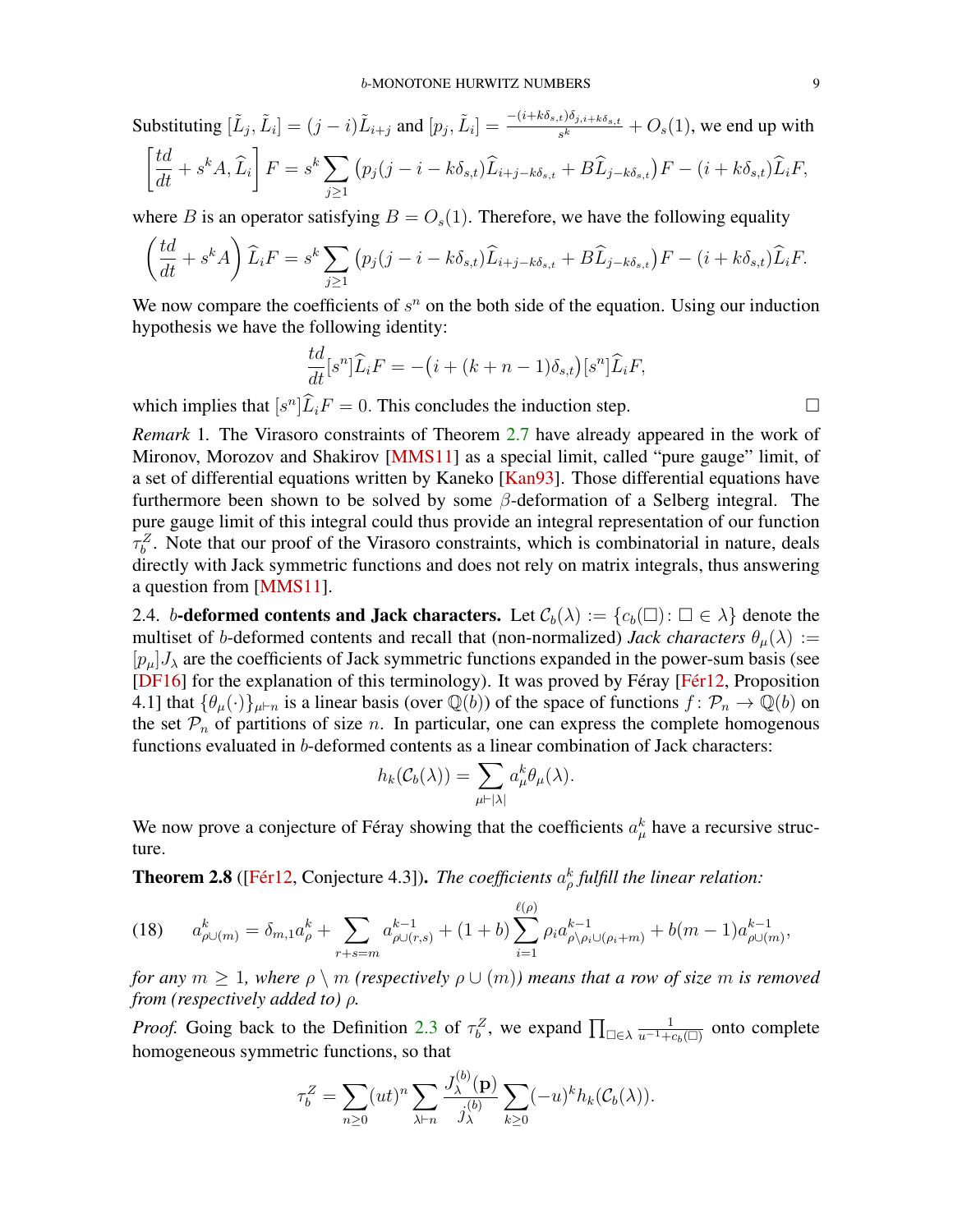<span id="page-8-3"></span>Substituting  $[\tilde{L}_j, \tilde{L}_i] = (j - i)\tilde{L}_{i+j}$  and  $[p_j, \tilde{L}_i] = \frac{-(i + k\delta_{s,t})\delta_{j,i+k\delta_{s,t}}}{s^k} + O_s(1)$ , we end up with  $\lceil td$  $\left.\frac{t d}{dt}+s^k A,\widehat{L}_i\right].$  $F = s^k \sum$  $j \geq 1$  $\left(p_j(j-i-k\delta_{s,t})\tilde{L}_{i+j-k\delta_{s,t}}+B\tilde{L}_{j-k\delta_{s,t}}\right)F-(i+k\delta_{s,t})\tilde{L}_iF,$ 

where B is an operator satisfying  $B = O<sub>s</sub>(1)$ . Therefore, we have the following equality

$$
\left(\frac{td}{dt} + s^k A\right) \widehat{L}_i F = s^k \sum_{j \ge 1} \left(p_j(j - i - k\delta_{s,t}) \widehat{L}_{i+j-k\delta_{s,t}} + B \widehat{L}_{j-k\delta_{s,t}}\right) F - (i + k\delta_{s,t}) \widehat{L}_i F.
$$

We now compare the coefficients of  $s^n$  on the both side of the equation. Using our induction hypothesis we have the following identity:

$$
\frac{td}{dt}[s^n]\widehat{L}_iF = -(i + (k+n-1)\delta_{s,t})[s^n]\widehat{L}_iF,
$$

which implies that  $[s^n]\widehat{L}_iF = 0$ . This concludes the induction step.

<span id="page-8-0"></span>*Remark* 1*.* The Virasoro constraints of Theorem [2.7](#page-7-0) have already appeared in the work of Mironov, Morozov and Shakirov [\[MMS11\]](#page-40-11) as a special limit, called "pure gauge" limit, of a set of differential equations written by Kaneko [\[Kan93\]](#page-40-17). Those differential equations have furthermore been shown to be solved by some  $\beta$ -deformation of a Selberg integral. The pure gauge limit of this integral could thus provide an integral representation of our function  $\tau_b^Z$ . Note that our proof of the Virasoro constraints, which is combinatorial in nature, deals directly with Jack symmetric functions and does not rely on matrix integrals, thus answering a question from [\[MMS11\]](#page-40-11).

2.4. b-deformed contents and Jack characters. Let  $\mathcal{C}_b(\lambda) := \{c_b(\square) : \square \in \lambda\}$  denote the multiset of b-deformed contents and recall that (non-normalized) *Jack characters*  $\theta_u(\lambda)$  :=  $[p_\mu]J_\lambda$  are the coefficients of Jack symmetric functions expanded in the power-sum basis (see [\[DF16\]](#page-39-14) for the explanation of this terminology). It was proved by Féray [\[Fér12,](#page-39-9) Proposition 4.1] that  $\{\theta_\mu(\cdot)\}_{\mu \vdash n}$  is a linear basis (over  $\mathbb{Q}(b)$ ) of the space of functions  $f : \mathcal{P}_n \to \mathbb{Q}(b)$  on the set  $\mathcal{P}_n$  of partitions of size n. In particular, one can express the complete homogenous functions evaluated in b-deformed contents as a linear combination of Jack characters:

$$
h_k(\mathcal{C}_b(\lambda)) = \sum_{\mu \vdash |\lambda|} a_\mu^k \theta_\mu(\lambda).
$$

We now prove a conjecture of Féray showing that the coefficients  $a^k_\mu$  have a recursive structure.

<span id="page-8-1"></span>**Theorem 2.8** ([\[Fér12,](#page-39-9) Conjecture 4.3]). *The coefficients*  $a_{\rho}^{k}$  fulfill the linear relation:

<span id="page-8-2"></span>
$$
(18) \qquad a_{\rho\cup(m)}^k = \delta_{m,1}a_{\rho}^k + \sum_{r+s=m} a_{\rho\cup(r,s)}^{k-1} + (1+b)\sum_{i=1}^{\ell(\rho)} \rho_i a_{\rho\setminus\rho_i\cup(\rho_i+m)}^{k-1} + b(m-1)a_{\rho\cup(m)}^{k-1},
$$

*for any*  $m \geq 1$ *, where*  $\rho \setminus m$  *(respectively*  $\rho \cup (m)$ *) means that a row of size* m *is removed from (respectively added to)* ρ*.*

*Proof.* Going back to the Definition [2.3](#page-4-0) of  $\tau_b^Z$ , we expand  $\prod_{\square \in \lambda} \frac{1}{u^{-1} + c_b(\square)}$  onto complete homogeneous symmetric functions, so that

 $(\mathbf{b})$ 

$$
\tau_b^Z = \sum_{n\geq 0} (ut)^n \sum_{\lambda \vdash n} \frac{J_{\lambda}^{(0)}(\mathbf{p})}{j_{\lambda}^{(b)}} \sum_{k\geq 0} (-u)^k h_k(\mathcal{C}_b(\lambda)).
$$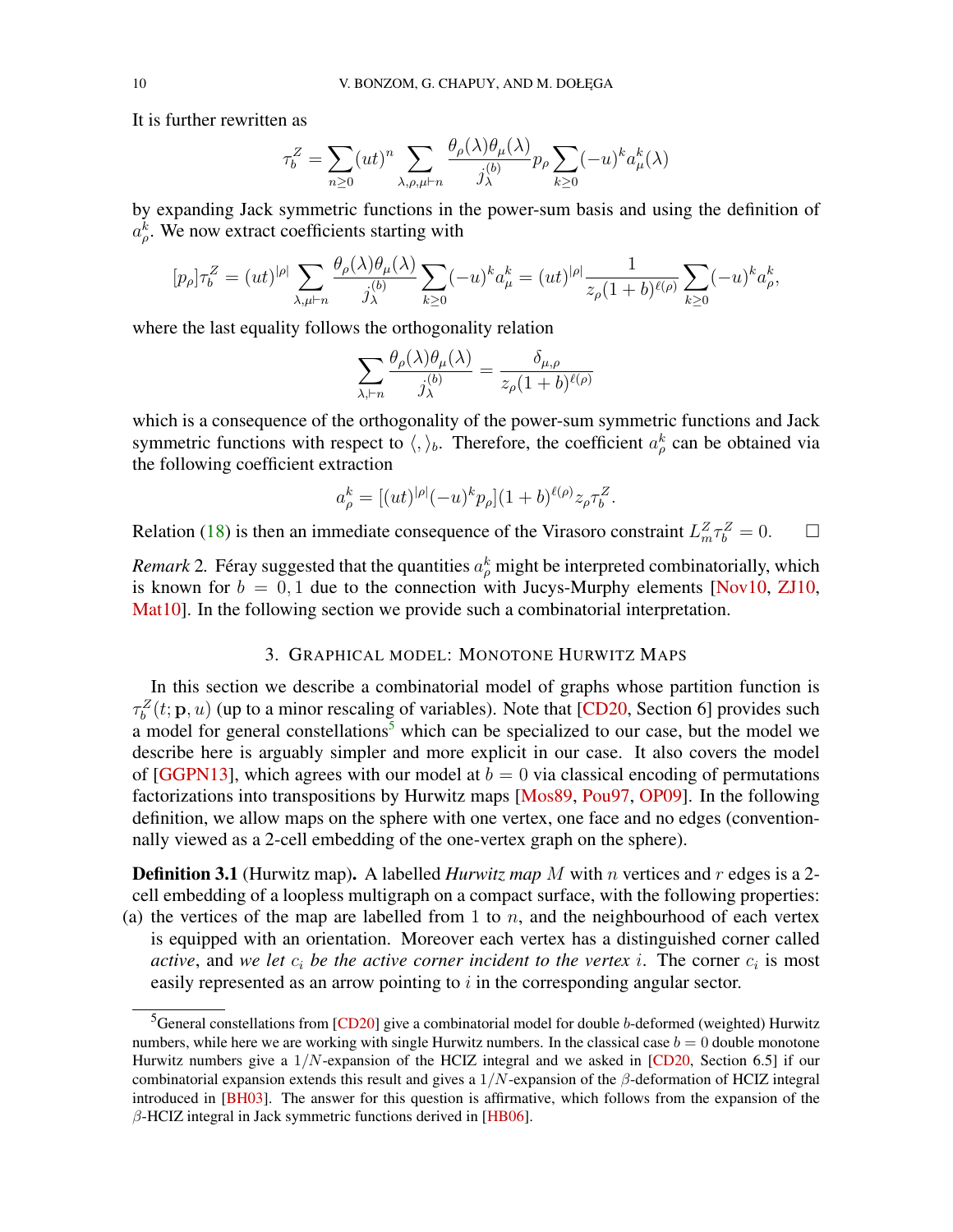<span id="page-9-2"></span>It is further rewritten as

$$
\tau_b^Z=\sum_{n\geq 0} (ut)^n \sum_{\lambda,\rho,\mu \vdash n} \frac{\theta_\rho(\lambda) \theta_\mu(\lambda)}{j^{(b)}_\lambda} p_\rho \sum_{k\geq 0} (-u)^k a^k_\mu(\lambda)
$$

by expanding Jack symmetric functions in the power-sum basis and using the definition of  $a_{\rho}^{k}$ . We now extract coefficients starting with

$$
[p_{\rho}]\tau_b^Z = (ut)^{|\rho|} \sum_{\lambda,\mu \vdash n} \frac{\theta_{\rho}(\lambda)\theta_{\mu}(\lambda)}{j_{\lambda}^{(b)}} \sum_{k \ge 0} (-u)^k a_{\mu}^k = (ut)^{|\rho|} \frac{1}{z_{\rho}(1+b)^{\ell(\rho)}} \sum_{k \ge 0} (-u)^k a_{\rho}^k,
$$

where the last equality follows the orthogonality relation

$$
\sum_{\lambda,\vdash n} \frac{\theta_{\rho}(\lambda)\theta_{\mu}(\lambda)}{j_{\lambda}^{(b)}} = \frac{\delta_{\mu,\rho}}{z_{\rho}(1+b)^{\ell(\rho)}}
$$

which is a consequence of the orthogonality of the power-sum symmetric functions and Jack symmetric functions with respect to  $\langle, \rangle_b$ . Therefore, the coefficient  $a_{\rho}^k$  can be obtained via the following coefficient extraction

$$
a_{\rho}^{k} = [(ut)^{|\rho|}(-u)^{k}p_{\rho}](1+b)^{\ell(\rho)}z_{\rho}\tau_{b}^{Z}.
$$

Relation [\(18\)](#page-8-2) is then an immediate consequence of the Virasoro constraint  $L_m^Z \tau_b^Z = 0$ .  $\Box$ 

*Remark* 2. Féray suggested that the quantities  $a_{\rho}^{k}$  might be interpreted combinatorially, which is known for  $b = 0, 1$  due to the connection with Jucys-Murphy elements [\[Nov10,](#page-40-18) [ZJ10,](#page-41-8) [Mat10\]](#page-40-19). In the following section we provide such a combinatorial interpretation.

### 3. GRAPHICAL MODEL: MONOTONE HURWITZ MAPS

<span id="page-9-0"></span>In this section we describe a combinatorial model of graphs whose partition function is  $\tau_b^Z(t; \mathbf{p}, u)$  (up to a minor rescaling of variables). Note that [\[CD20,](#page-39-4) Section 6] provides such a model for general constellations<sup>[5](#page-9-1)</sup> which can be specialized to our case, but the model we describe here is arguably simpler and more explicit in our case. It also covers the model of [\[GGPN13\]](#page-39-11), which agrees with our model at  $b = 0$  via classical encoding of permutations factorizations into transpositions by Hurwitz maps [\[Mos89,](#page-40-20) [Pou97,](#page-41-9) [OP09\]](#page-41-10). In the following definition, we allow maps on the sphere with one vertex, one face and no edges (conventionnally viewed as a 2-cell embedding of the one-vertex graph on the sphere).

**Definition 3.1** (Hurwitz map). A labelled *Hurwitz map* M with n vertices and r edges is a 2cell embedding of a loopless multigraph on a compact surface, with the following properties:

(a) the vertices of the map are labelled from 1 to  $n$ , and the neighbourhood of each vertex is equipped with an orientation. Moreover each vertex has a distinguished corner called *active*, and *we let*  $c_i$  *be the active corner incident to the vertex i.* The corner  $c_i$  is most easily represented as an arrow pointing to i in the corresponding angular sector.

<span id="page-9-1"></span> ${}^{5}$ General constellations from [\[CD20\]](#page-39-4) give a combinatorial model for double b-deformed (weighted) Hurwitz numbers, while here we are working with single Hurwitz numbers. In the classical case  $b = 0$  double monotone Hurwitz numbers give a  $1/N$ -expansion of the HCIZ integral and we asked in [\[CD20,](#page-39-4) Section 6.5] if our combinatorial expansion extends this result and gives a  $1/N$ -expansion of the  $\beta$ -deformation of HCIZ integral introduced in [\[BH03\]](#page-39-15). The answer for this question is affirmative, which follows from the expansion of the  $\beta$ -HCIZ integral in Jack symmetric functions derived in [\[HB06\]](#page-40-21).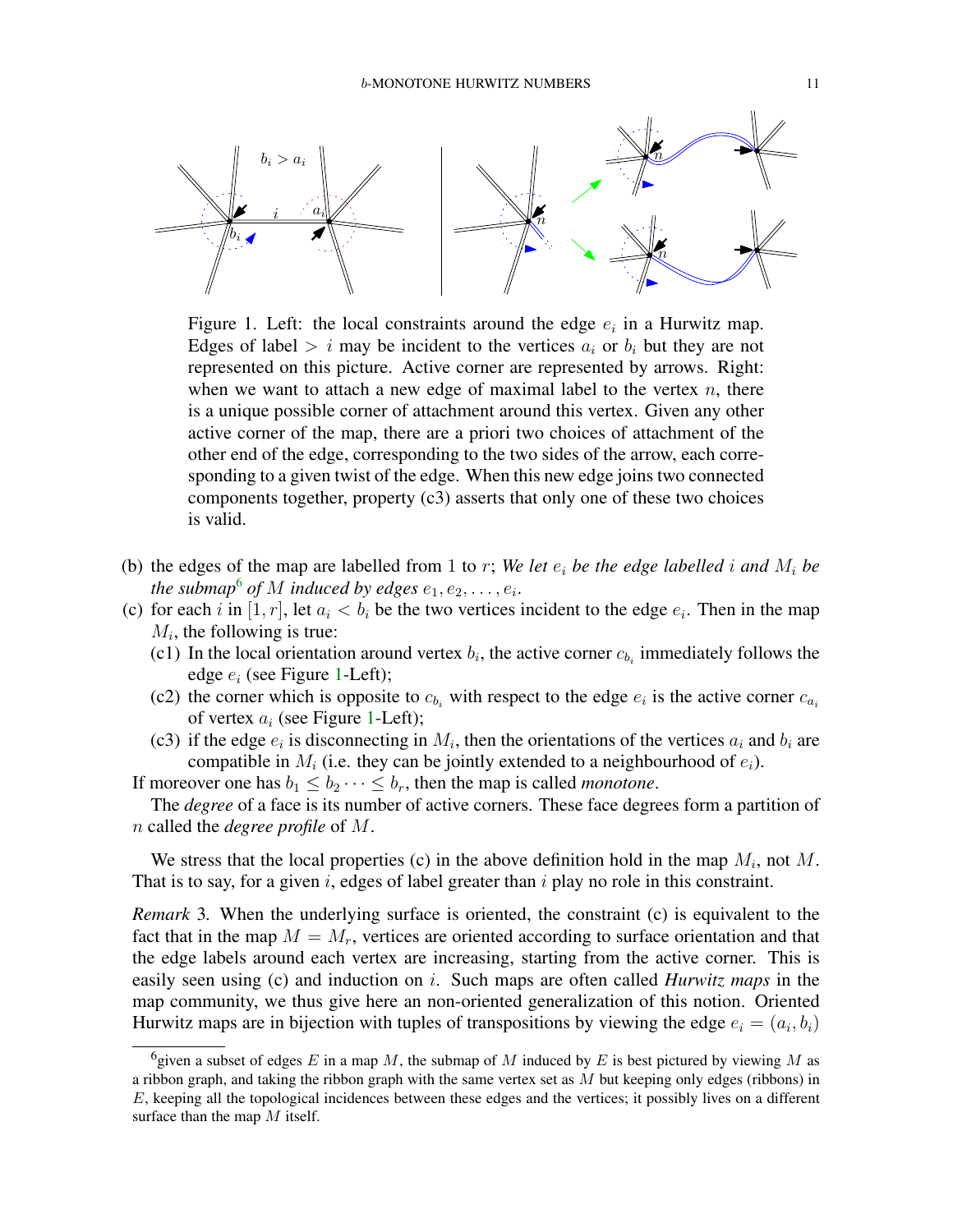<span id="page-10-1"></span>

Figure 1. Left: the local constraints around the edge  $e_i$  in a Hurwitz map. Edges of label  $> i$  may be incident to the vertices  $a_i$  or  $b_i$  but they are not represented on this picture. Active corner are represented by arrows. Right: when we want to attach a new edge of maximal label to the vertex  $n$ , there is a unique possible corner of attachment around this vertex. Given any other active corner of the map, there are a priori two choices of attachment of the other end of the edge, corresponding to the two sides of the arrow, each corresponding to a given twist of the edge. When this new edge joins two connected components together, property (c3) asserts that only one of these two choices is valid.

- (b) the edges of the map are labelled from 1 to r; We let  $e_i$  be the edge labelled i and  $M_i$  be the submap<sup>[6](#page-10-0)</sup> of M induced by edges  $e_1, e_2, \ldots, e_i$ .
- (c) for each i in [1, r], let  $a_i < b_i$  be the two vertices incident to the edge  $e_i$ . Then in the map  $M_i$ , the following is true:
	- (c1) In the local orientation around vertex  $b_i$ , the active corner  $c_{b_i}$  immediately follows the edge  $e_i$  (see Figure [1-](#page-10-1)Left);
	- (c2) the corner which is opposite to  $c_{b_i}$  with respect to the edge  $e_i$  is the active corner  $c_{a_i}$ of vertex  $a_i$  (see Figure [1-](#page-10-1)Left);
	- (c3) if the edge  $e_i$  is disconnecting in  $M_i$ , then the orientations of the vertices  $a_i$  and  $b_i$  are compatible in  $M_i$  (i.e. they can be jointly extended to a neighbourhood of  $e_i$ ).

If moreover one has  $b_1 \leq b_2 \cdots \leq b_r$ , then the map is called *monotone*.

The *degree* of a face is its number of active corners. These face degrees form a partition of n called the *degree profile* of M.

We stress that the local properties (c) in the above definition hold in the map  $M_i$ , not M. That is to say, for a given i, edges of label greater than  $i$  play no role in this constraint.

*Remark* 3*.* When the underlying surface is oriented, the constraint (c) is equivalent to the fact that in the map  $M = M_r$ , vertices are oriented according to surface orientation and that the edge labels around each vertex are increasing, starting from the active corner. This is easily seen using (c) and induction on i. Such maps are often called *Hurwitz maps* in the map community, we thus give here an non-oriented generalization of this notion. Oriented Hurwitz maps are in bijection with tuples of transpositions by viewing the edge  $e_i = (a_i, b_i)$ 

<span id="page-10-0"></span><sup>&</sup>lt;sup>6</sup> given a subset of edges E in a map M, the submap of M induced by E is best pictured by viewing M as a ribbon graph, and taking the ribbon graph with the same vertex set as  $M$  but keeping only edges (ribbons) in E, keeping all the topological incidences between these edges and the vertices; it possibly lives on a different surface than the map M itself.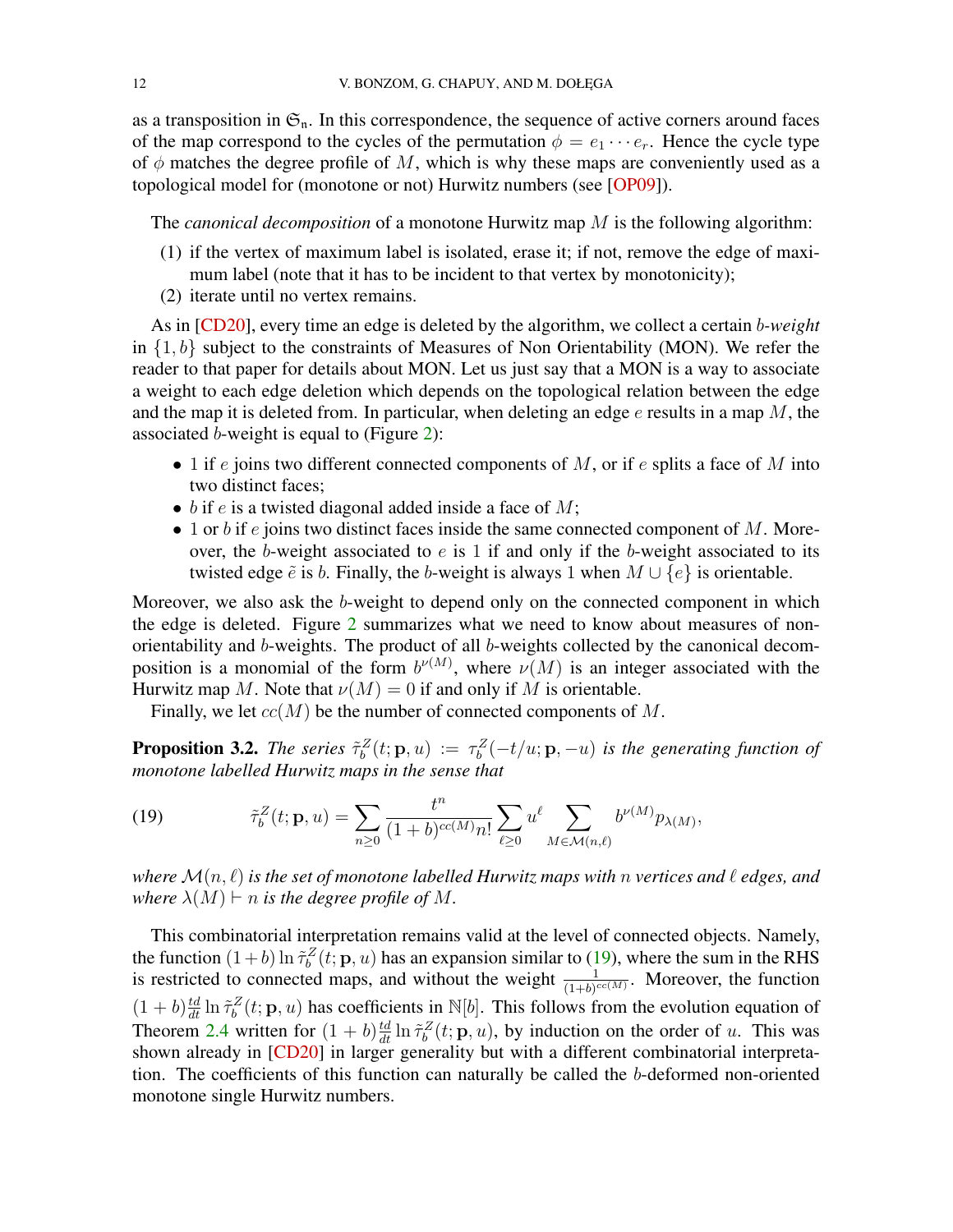<span id="page-11-2"></span>as a transposition in  $\mathfrak{S}_n$ . In this correspondence, the sequence of active corners around faces of the map correspond to the cycles of the permutation  $\phi = e_1 \cdots e_r$ . Hence the cycle type of  $\phi$  matches the degree profile of M, which is why these maps are conveniently used as a topological model for (monotone or not) Hurwitz numbers (see [\[OP09\]](#page-41-10)).

The *canonical decomposition* of a monotone Hurwitz map M is the following algorithm:

- (1) if the vertex of maximum label is isolated, erase it; if not, remove the edge of maximum label (note that it has to be incident to that vertex by monotonicity);
- (2) iterate until no vertex remains.

As in [\[CD20\]](#page-39-4), every time an edge is deleted by the algorithm, we collect a certain b*-weight* in  $\{1, b\}$  subject to the constraints of Measures of Non Orientability (MON). We refer the reader to that paper for details about MON. Let us just say that a MON is a way to associate a weight to each edge deletion which depends on the topological relation between the edge and the map it is deleted from. In particular, when deleting an edge  $e$  results in a map  $M$ , the associated b-weight is equal to (Figure [2\)](#page-12-0):

- 1 if e joins two different connected components of  $M$ , or if e splits a face of  $M$  into two distinct faces;
- $\bullet$  b if e is a twisted diagonal added inside a face of M;
- $\bullet$  1 or b if e joins two distinct faces inside the same connected component of M. Moreover, the b-weight associated to  $e$  is 1 if and only if the b-weight associated to its twisted edge  $\tilde{e}$  is b. Finally, the b-weight is always 1 when  $M \cup \{e\}$  is orientable.

Moreover, we also ask the b-weight to depend only on the connected component in which the edge is deleted. Figure [2](#page-12-0) summarizes what we need to know about measures of nonorientability and b-weights. The product of all b-weights collected by the canonical decomposition is a monomial of the form  $b^{\nu(M)}$ , where  $\nu(M)$  is an integer associated with the Hurwitz map M. Note that  $\nu(M) = 0$  if and only if M is orientable.

Finally, we let  $cc(M)$  be the number of connected components of M.

**Proposition 3.2.** The series  $\tilde{\tau}_b^Z(t; \mathbf{p}, u) := \tau_b^Z(-t/u; \mathbf{p}, -u)$  is the generating function of *monotone labelled Hurwitz maps in the sense that*

<span id="page-11-1"></span>(19) 
$$
\tilde{\tau}_b^Z(t; \mathbf{p}, u) = \sum_{n \geq 0} \frac{t^n}{(1 + b)^{cc(M)} n!} \sum_{\ell \geq 0} u^{\ell} \sum_{M \in \mathcal{M}(n, \ell)} b^{\nu(M)} p_{\lambda(M)},
$$

*where*  $\mathcal{M}(n, \ell)$  *is the set of monotone labelled Hurwitz maps with* n *vertices and*  $\ell$  *edges, and where*  $\lambda(M) \vdash n$  *is the degree profile of* M.

<span id="page-11-0"></span>This combinatorial interpretation remains valid at the level of connected objects. Namely, the function  $(1+b) \ln \tilde{\tau}_b^Z(t; \mathbf{p}, u)$  has an expansion similar to [\(19\)](#page-11-1), where the sum in the RHS is restricted to connected maps, and without the weight  $\frac{1}{(1+b)^{cc(M)}}$ . Moreover, the function  $(1 + b) \frac{td}{dt} \ln \tilde{\tau}_b^Z(t; \mathbf{p}, u)$  has coefficients in N[b]. This follows from the evolution equation of Theorem [2.4](#page-5-0) written for  $(1 + b) \frac{td}{dt} \ln \tilde{\tau}_b^Z(t; \mathbf{p}, u)$ , by induction on the order of u. This was shown already in [\[CD20\]](#page-39-4) in larger generality but with a different combinatorial interpretation. The coefficients of this function can naturally be called the b-deformed non-oriented monotone single Hurwitz numbers.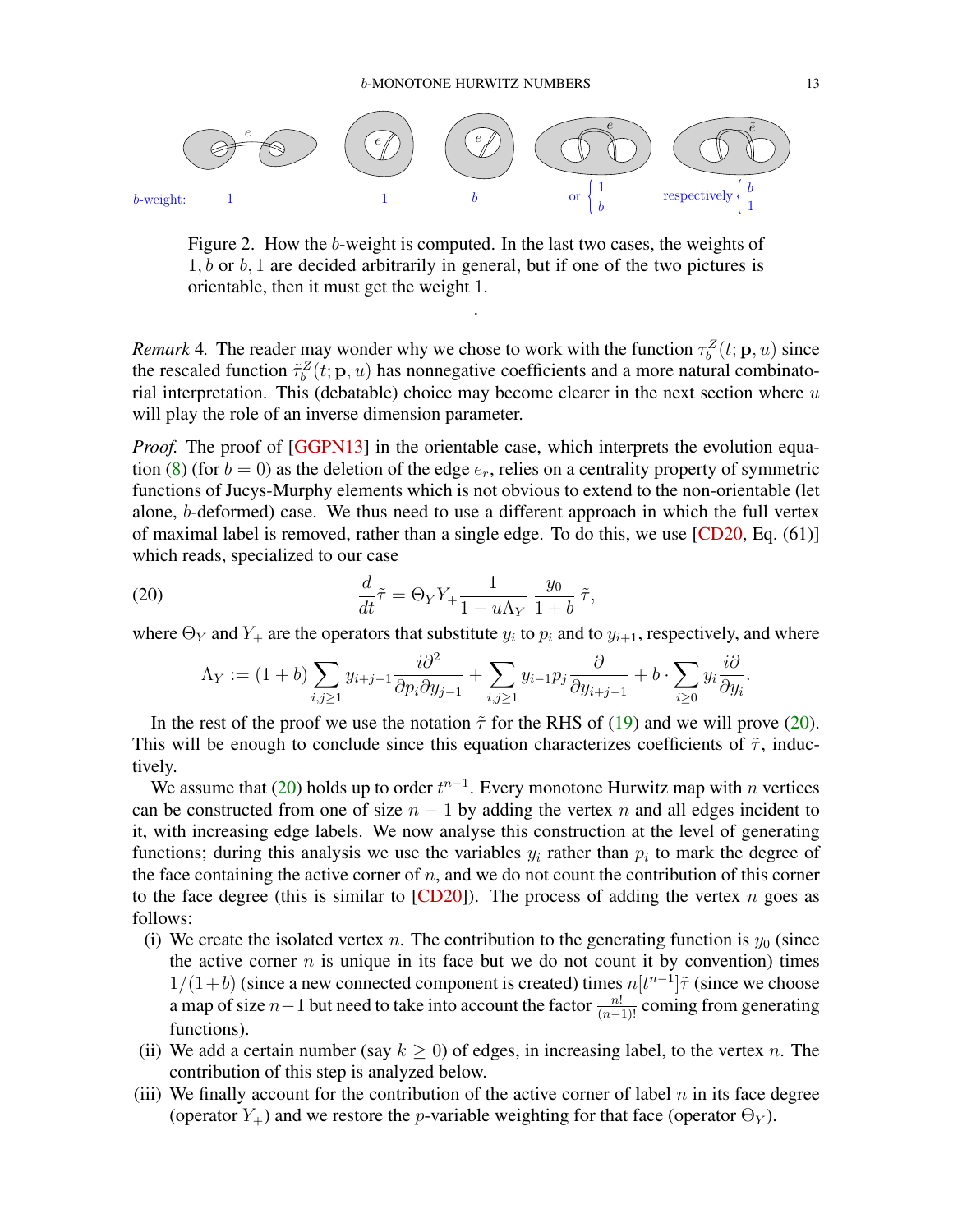<span id="page-12-2"></span><span id="page-12-0"></span>

Figure 2. How the b-weight is computed. In the last two cases, the weights of  $1, b$  or  $b, 1$  are decided arbitrarily in general, but if one of the two pictures is orientable, then it must get the weight 1.

.

*Remark* 4. The reader may wonder why we chose to work with the function  $\tau_b^Z(t; \mathbf{p}, u)$  since the rescaled function  $\tilde{\tau}_b^Z(t; \mathbf{p}, u)$  has nonnegative coefficients and a more natural combinatorial interpretation. This (debatable) choice may become clearer in the next section where  $u$ will play the role of an inverse dimension parameter.

*Proof.* The proof of [\[GGPN13\]](#page-39-11) in the orientable case, which interprets the evolution equa-tion [\(8\)](#page-5-6) (for  $b = 0$ ) as the deletion of the edge  $e_r$ , relies on a centrality property of symmetric functions of Jucys-Murphy elements which is not obvious to extend to the non-orientable (let alone, b-deformed) case. We thus need to use a different approach in which the full vertex of maximal label is removed, rather than a single edge. To do this, we use  $[CD20, Eq. (61)]$  $[CD20, Eq. (61)]$ which reads, specialized to our case

<span id="page-12-1"></span>(20) 
$$
\frac{d}{dt}\tilde{\tau} = \Theta_Y Y_+ \frac{1}{1 - u\Lambda_Y} \frac{y_0}{1 + b} \tilde{\tau},
$$

where  $\Theta_Y$  and  $Y_+$  are the operators that substitute  $y_i$  to  $p_i$  and to  $y_{i+1}$ , respectively, and where

$$
\Lambda_Y := (1+b)\sum_{i,j\geq 1} y_{i+j-1} \frac{i\partial^2}{\partial p_i \partial y_{j-1}} + \sum_{i,j\geq 1} y_{i-1} p_j \frac{\partial}{\partial y_{i+j-1}} + b \cdot \sum_{i\geq 0} y_i \frac{i\partial}{\partial y_i}.
$$

In the rest of the proof we use the notation  $\tilde{\tau}$  for the RHS of [\(19\)](#page-11-1) and we will prove [\(20\)](#page-12-1). This will be enough to conclude since this equation characterizes coefficients of  $\tilde{\tau}$ , inductively.

We assume that [\(20\)](#page-12-1) holds up to order  $t^{n-1}$ . Every monotone Hurwitz map with n vertices can be constructed from one of size  $n - 1$  by adding the vertex n and all edges incident to it, with increasing edge labels. We now analyse this construction at the level of generating functions; during this analysis we use the variables  $y_i$  rather than  $p_i$  to mark the degree of the face containing the active corner of  $n$ , and we do not count the contribution of this corner to the face degree (this is similar to  $[CD20]$ ). The process of adding the vertex n goes as follows:

- (i) We create the isolated vertex n. The contribution to the generating function is  $y_0$  (since the active corner  $n$  is unique in its face but we do not count it by convention) times  $1/(1+b)$  (since a new connected component is created) times  $n[t^{n-1}]\tilde{\tau}$  (since we choose a map of size  $n-1$  but need to take into account the factor  $\frac{n!}{(n-1)!}$  coming from generating functions).
- (ii) We add a certain number (say  $k \geq 0$ ) of edges, in increasing label, to the vertex n. The contribution of this step is analyzed below.
- (iii) We finally account for the contribution of the active corner of label  $n$  in its face degree (operator  $Y_+$ ) and we restore the *p*-variable weighting for that face (operator  $\Theta_Y$ ).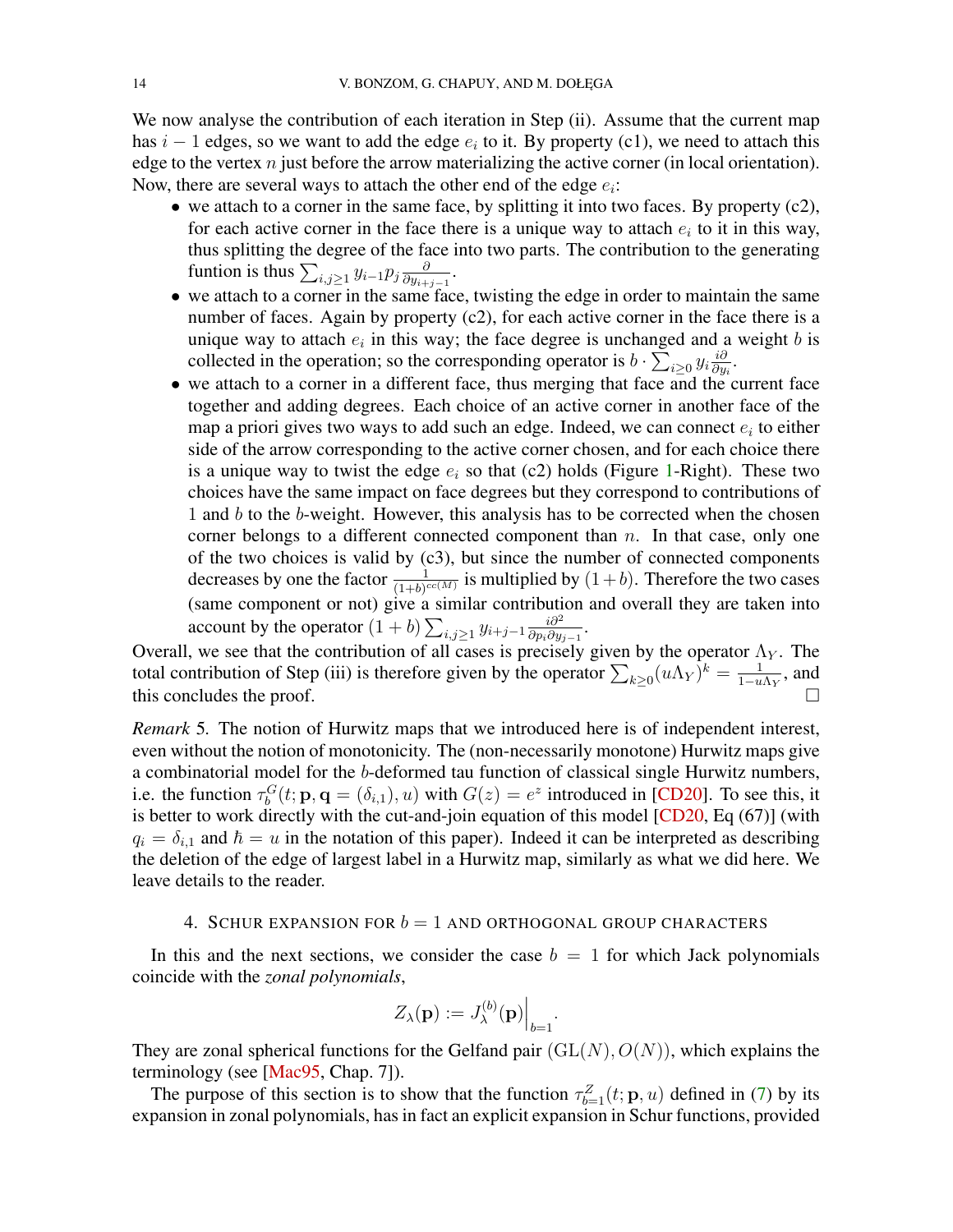<span id="page-13-1"></span>We now analyse the contribution of each iteration in Step (ii). Assume that the current map has  $i - 1$  edges, so we want to add the edge  $e_i$  to it. By property (c1), we need to attach this edge to the vertex  $n$  just before the arrow materializing the active corner (in local orientation). Now, there are several ways to attach the other end of the edge  $e_i$ :

- we attach to a corner in the same face, by splitting it into two faces. By property  $(c2)$ , for each active corner in the face there is a unique way to attach  $e_i$  to it in this way, thus splitting the degree of the face into two parts. The contribution to the generating funtion is thus  $\sum_{i,j\geq 1} y_{i-1} p_j \frac{\partial}{\partial y_{i+1}}$  $\frac{\partial}{\partial y_{i+j-1}}$ .
- we attach to a corner in the same face, twisting the edge in order to maintain the same number of faces. Again by property (c2), for each active corner in the face there is a unique way to attach  $e_i$  in this way; the face degree is unchanged and a weight b is collected in the operation; so the corresponding operator is  $b \cdot \sum_{i \geq 0} y_i \frac{i\partial}{\partial y_i}$  $\frac{i\partial}{\partial y_i}$ .
- we attach to a corner in a different face, thus merging that face and the current face together and adding degrees. Each choice of an active corner in another face of the map a priori gives two ways to add such an edge. Indeed, we can connect  $e_i$  to either side of the arrow corresponding to the active corner chosen, and for each choice there is a unique way to twist the edge  $e_i$  so that (c2) holds (Figure [1-](#page-10-1)Right). These two choices have the same impact on face degrees but they correspond to contributions of 1 and  $b$  to the  $b$ -weight. However, this analysis has to be corrected when the chosen corner belongs to a different connected component than  $n$ . In that case, only one of the two choices is valid by  $(c3)$ , but since the number of connected components decreases by one the factor  $\frac{1}{(1+b)^{cc(M)}}$  is multiplied by  $(1+b)$ . Therefore the two cases (same component or not) give a similar contribution and overall they are taken into account by the operator  $(1 + b) \sum_{i,j \geq 1} y_{i+j-1} \frac{i \partial^2}{\partial p_i \partial y_j}$  $\frac{i\partial^2}{\partial p_i\partial y_{j-1}}$ .

Overall, we see that the contribution of all cases is precisely given by the operator  $\Lambda_Y$ . The total contribution of Step (iii) is therefore given by the operator  $\sum_{k\geq 0} (u \Lambda_Y)^k = \frac{1}{1-u}$  $\frac{1}{1-u\Lambda_Y}$ , and this concludes the proof.

*Remark* 5*.* The notion of Hurwitz maps that we introduced here is of independent interest, even without the notion of monotonicity. The (non-necessarily monotone) Hurwitz maps give a combinatorial model for the b-deformed tau function of classical single Hurwitz numbers, i.e. the function  $\tau_b^G(t; \mathbf{p}, \mathbf{q} = (\delta_{i,1}), u)$  with  $G(z) = e^z$  introduced in [\[CD20\]](#page-39-4). To see this, it is better to work directly with the cut-and-join equation of this model [\[CD20,](#page-39-4) Eq (67)] (with  $q_i = \delta_{i,1}$  and  $\hbar = u$  in the notation of this paper). Indeed it can be interpreted as describing the deletion of the edge of largest label in a Hurwitz map, similarly as what we did here. We leave details to the reader.

### 4. SCHUR EXPANSION FOR  $b = 1$  and orthogonal group characters

<span id="page-13-0"></span>In this and the next sections, we consider the case  $b = 1$  for which Jack polynomials coincide with the *zonal polynomials*,

$$
Z_{\lambda}(\mathbf{p}) := J_{\lambda}^{(b)}(\mathbf{p})\Big|_{b=1}.
$$

They are zonal spherical functions for the Gelfand pair  $(GL(N), O(N))$ , which explains the terminology (see [\[Mac95,](#page-40-16) Chap. 7]).

The purpose of this section is to show that the function  $\tau_{b=1}^Z(t; \mathbf{p}, u)$  defined in [\(7\)](#page-5-7) by its expansion in zonal polynomials, has in fact an explicit expansion in Schur functions, provided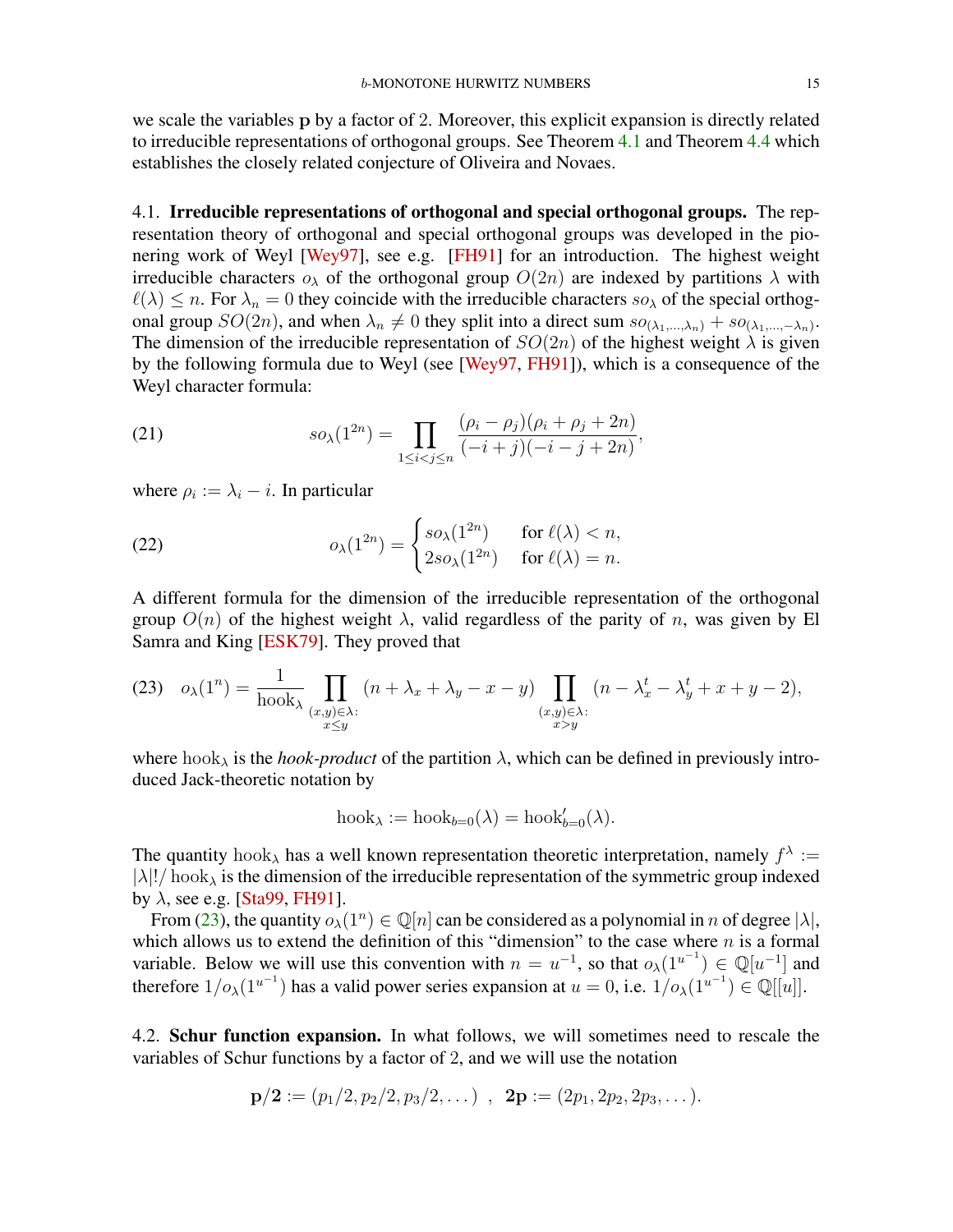<span id="page-14-4"></span>we scale the variables p by a factor of 2. Moreover, this explicit expansion is directly related to irreducible representations of orthogonal groups. See Theorem [4.1](#page-14-0) and Theorem [4.4](#page-19-0) which establishes the closely related conjecture of Oliveira and Novaes.

4.1. Irreducible representations of orthogonal and special orthogonal groups. The representation theory of orthogonal and special orthogonal groups was developed in the pionering work of Weyl [\[Wey97\]](#page-41-11), see e.g. [\[FH91\]](#page-39-16) for an introduction. The highest weight irreducible characters  $o_{\lambda}$  of the orthogonal group  $O(2n)$  are indexed by partitions  $\lambda$  with  $\ell(\lambda) \leq n$ . For  $\lambda_n = 0$  they coincide with the irreducible characters so<sub> $\lambda$ </sub> of the special orthogonal group  $SO(2n)$ , and when  $\lambda_n \neq 0$  they split into a direct sum  $so_{(\lambda_1,...,\lambda_n)} + so_{(\lambda_1,...,-\lambda_n)}$ . The dimension of the irreducible representation of  $SO(2n)$  of the highest weight  $\lambda$  is given by the following formula due to Weyl (see [\[Wey97,](#page-41-11) [FH91\]](#page-39-16)), which is a consequence of the Weyl character formula:

<span id="page-14-2"></span>(21) 
$$
so_{\lambda}(1^{2n}) = \prod_{1 \leq i < j \leq n} \frac{(\rho_i - \rho_j)(\rho_i + \rho_j + 2n)}{(-i + j)(-i - j + 2n)},
$$

where  $\rho_i := \lambda_i - i$ . In particular

<span id="page-14-3"></span>(22) 
$$
o_{\lambda}(1^{2n}) = \begin{cases} so_{\lambda}(1^{2n}) & \text{for } \ell(\lambda) < n, \\ 2so_{\lambda}(1^{2n}) & \text{for } \ell(\lambda) = n. \end{cases}
$$

A different formula for the dimension of the irreducible representation of the orthogonal group  $O(n)$  of the highest weight  $\lambda$ , valid regardless of the parity of n, was given by El Samra and King [\[ESK79\]](#page-39-17). They proved that

<span id="page-14-1"></span>
$$
(23) \quad o_{\lambda}(1^n) = \frac{1}{\text{hook}_{\lambda}} \prod_{\substack{(x,y)\in\lambda:\\x\leq y}} \left(n + \lambda_x + \lambda_y - x - y\right) \prod_{\substack{(x,y)\in\lambda:\\x>y}} \left(n - \lambda_x^t - \lambda_y^t + x + y - 2\right),
$$

where  $hook_{\lambda}$  is the *hook-product* of the partition  $\lambda$ , which can be defined in previously introduced Jack-theoretic notation by

$$
\mathrm{hook}_{\lambda} := \mathrm{hook}_{b=0}(\lambda) = \mathrm{hook}_{b=0}(\lambda).
$$

The quantity hook<sub> $\lambda$ </sub> has a well known representation theoretic interpretation, namely  $f^{\lambda}$  :=  $|\lambda|!/ \text{hook}$  is the dimension of the irreducible representation of the symmetric group indexed by  $\lambda$ , see e.g. [\[Sta99,](#page-41-7) [FH91\]](#page-39-16).

From [\(23\)](#page-14-1), the quantity  $o_\lambda(1^n) \in \mathbb{Q}[n]$  can be considered as a polynomial in n of degree  $|\lambda|$ , which allows us to extend the definition of this "dimension" to the case where  $n$  is a formal variable. Below we will use this convention with  $n = u^{-1}$ , so that  $o_{\lambda}(1^{u^{-1}}) \in \mathbb{Q}[u^{-1}]$  and therefore  $1/\rho_{\lambda}(1^{u^{-1}})$  has a valid power series expansion at  $u = 0$ , i.e.  $1/\rho_{\lambda}(1^{u^{-1}}) \in \mathbb{Q}[[u]]$ .

<span id="page-14-0"></span>4.2. Schur function expansion. In what follows, we will sometimes need to rescale the variables of Schur functions by a factor of 2, and we will use the notation

$$
\mathbf{p}/2 := (p_1/2, p_2/2, p_3/2, \dots) , \mathbf{2p} := (2p_1, 2p_2, 2p_3, \dots).
$$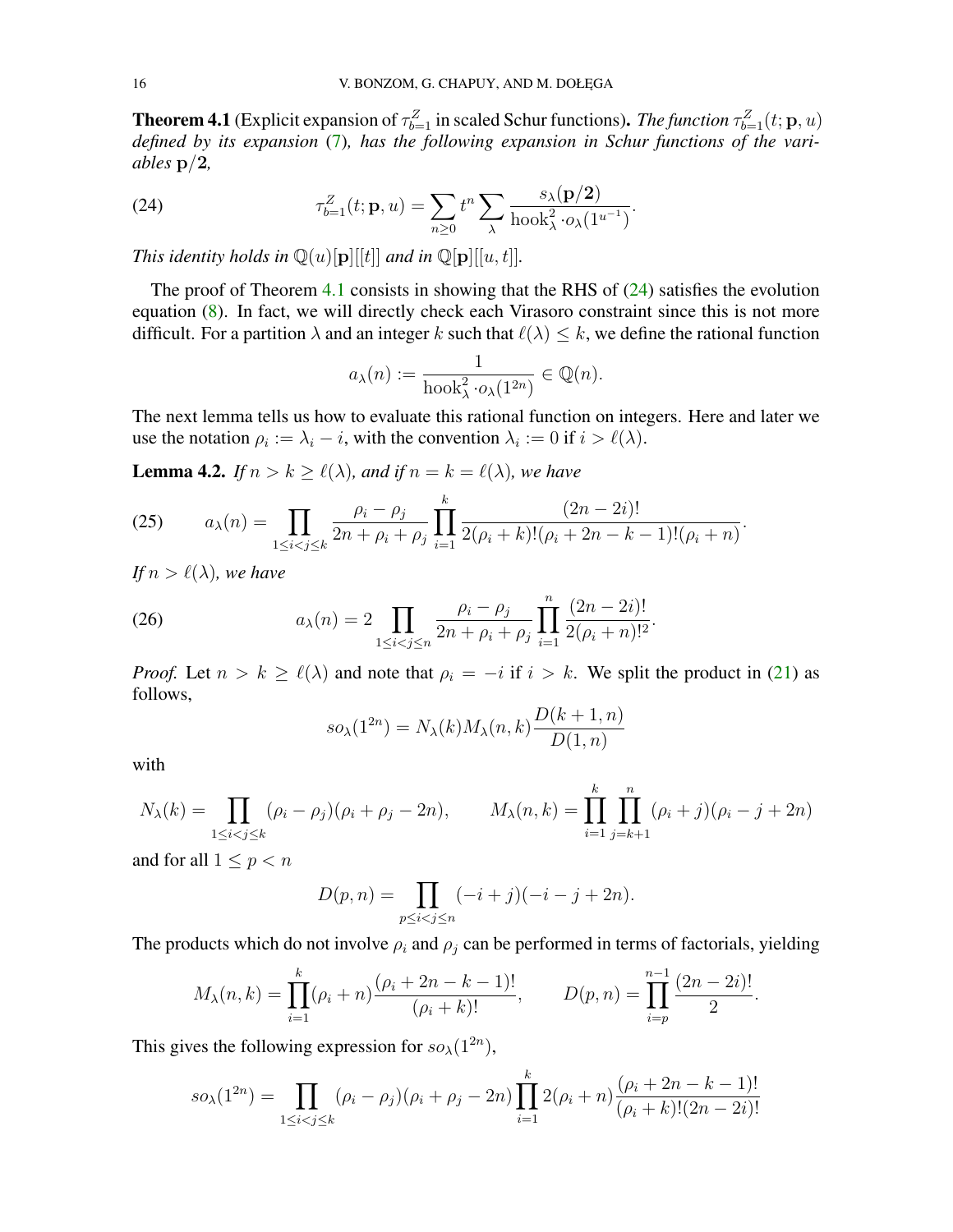**Theorem 4.1** (Explicit expansion of  $\tau_{b=1}^Z$  in scaled Schur functions). *The function*  $\tau_{b=1}^Z(t; \mathbf{p}, u)$ *defined by its expansion* [\(7\)](#page-5-7)*, has the following expansion in Schur functions of the variables* p/2*,*

<span id="page-15-0"></span>(24) 
$$
\tau_{b=1}^Z(t; \mathbf{p}, u) = \sum_{n \geq 0} t^n \sum_{\lambda} \frac{s_{\lambda}(\mathbf{p}/2)}{\text{hook}^2 \cdot o_{\lambda}(1^{u^{-1}})}.
$$

*This identity holds in*  $\mathbb{Q}(u)[p][[t]]$  *and in*  $\mathbb{Q}[p][[u, t]]$ *.* 

The proof of Theorem [4.1](#page-14-0) consists in showing that the RHS of  $(24)$  satisfies the evolution equation [\(8\)](#page-5-6). In fact, we will directly check each Virasoro constraint since this is not more difficult. For a partition  $\lambda$  and an integer k such that  $\ell(\lambda) \leq k$ , we define the rational function

$$
a_{\lambda}(n) := \frac{1}{\text{hook}^2 \cdot o_{\lambda}(1^{2n})} \in \mathbb{Q}(n).
$$

The next lemma tells us how to evaluate this rational function on integers. Here and later we use the notation  $\rho_i := \lambda_i - i$ , with the convention  $\lambda_i := 0$  if  $i > \ell(\lambda)$ .

**Lemma 4.2.** *If*  $n > k \ge \ell(\lambda)$ *, and if*  $n = k = \ell(\lambda)$ *, we have* 

<span id="page-15-1"></span>(25) 
$$
a_{\lambda}(n) = \prod_{1 \leq i < j \leq k} \frac{\rho_i - \rho_j}{2n + \rho_i + \rho_j} \prod_{i=1}^k \frac{(2n - 2i)!}{2(\rho_i + k)!(\rho_i + 2n - k - 1)!(\rho_i + n)}.
$$

*If*  $n > \ell(\lambda)$ *, we have* 

<span id="page-15-2"></span>(26) 
$$
a_{\lambda}(n) = 2 \prod_{1 \leq i < j \leq n} \frac{\rho_i - \rho_j}{2n + \rho_i + \rho_j} \prod_{i=1}^n \frac{(2n - 2i)!}{2(\rho_i + n)!^2}.
$$

*Proof.* Let  $n > k \ge \ell(\lambda)$  and note that  $\rho_i = -i$  if  $i > k$ . We split the product in [\(21\)](#page-14-2) as follows,

$$
so_{\lambda}(1^{2n}) = N_{\lambda}(k)M_{\lambda}(n,k)\frac{D(k+1,n)}{D(1,n)}
$$

with

$$
N_{\lambda}(k) = \prod_{1 \le i < j \le k} (\rho_i - \rho_j)(\rho_i + \rho_j - 2n), \qquad M_{\lambda}(n, k) = \prod_{i=1}^k \prod_{j=k+1}^n (\rho_i + j)(\rho_i - j + 2n)
$$

and for all  $1 \leq p < n$ 

$$
D(p, n) = \prod_{p \le i < j \le n} (-i + j)(-i - j + 2n).
$$

The products which do not involve  $\rho_i$  and  $\rho_j$  can be performed in terms of factorials, yielding

$$
M_{\lambda}(n,k) = \prod_{i=1}^{k} (\rho_i + n) \frac{(\rho_i + 2n - k - 1)!}{(\rho_i + k)!}, \qquad D(p,n) = \prod_{i=p}^{n-1} \frac{(2n - 2i)!}{2}.
$$

This gives the following expression for  $so_{\lambda}(1^{2n})$ ,

$$
so_{\lambda}(1^{2n}) = \prod_{1 \leq i < j \leq k} (\rho_i - \rho_j)(\rho_i + \rho_j - 2n) \prod_{i=1}^k 2(\rho_i + n) \frac{(\rho_i + 2n - k - 1)!}{(\rho_i + k)!(2n - 2i)!}
$$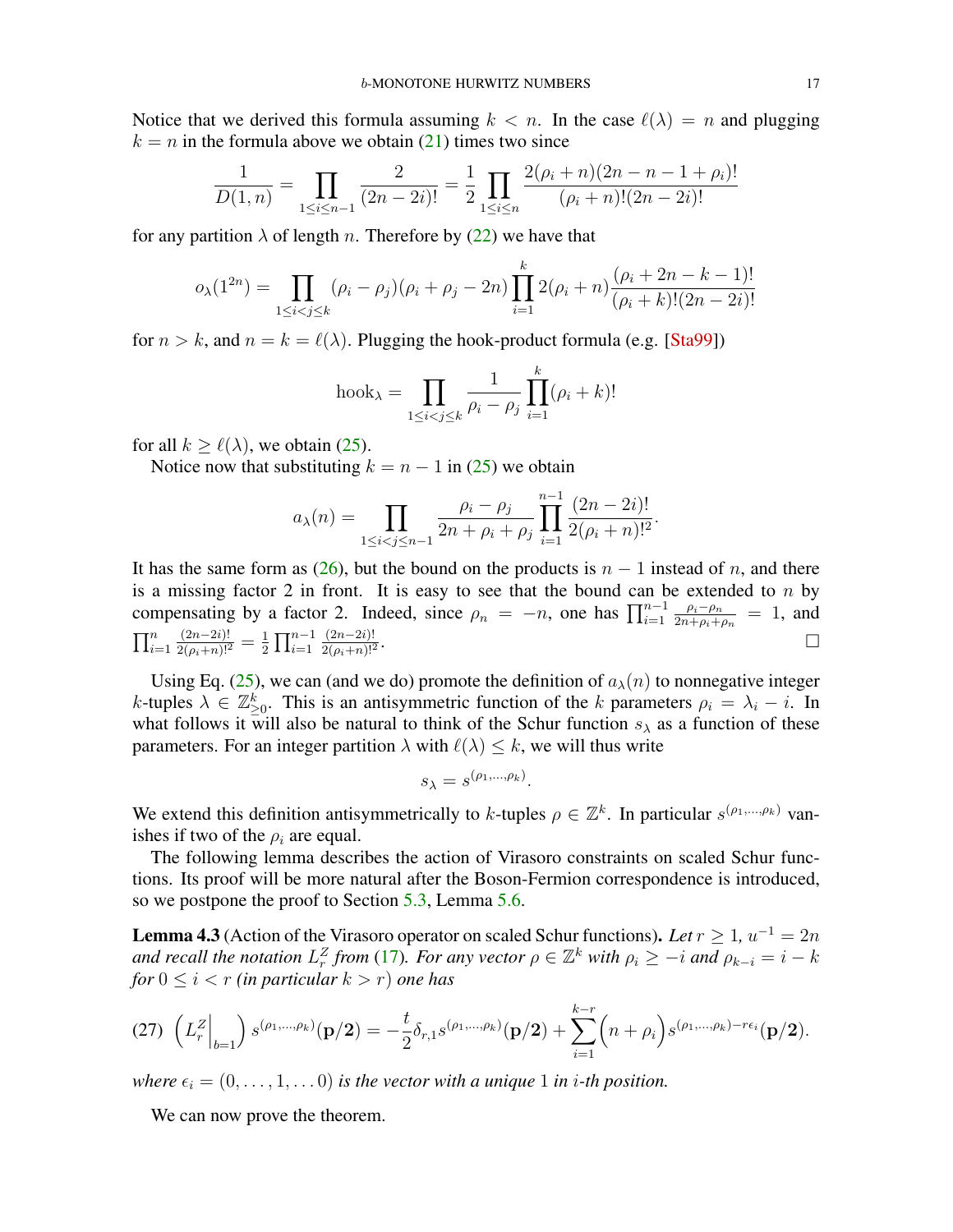<span id="page-16-2"></span>Notice that we derived this formula assuming  $k < n$ . In the case  $\ell(\lambda) = n$  and plugging  $k = n$  in the formula above we obtain [\(21\)](#page-14-2) times two since

$$
\frac{1}{D(1,n)} = \prod_{1 \le i \le n-1} \frac{2}{(2n-2i)!} = \frac{1}{2} \prod_{1 \le i \le n} \frac{2(\rho_i + n)(2n - n - 1 + \rho_i)!}{(\rho_i + n)!(2n - 2i)!}
$$

for any partition  $\lambda$  of length n. Therefore by [\(22\)](#page-14-3) we have that

$$
o_{\lambda}(1^{2n}) = \prod_{1 \leq i < j \leq k} (\rho_i - \rho_j)(\rho_i + \rho_j - 2n) \prod_{i=1}^k 2(\rho_i + n) \frac{(\rho_i + 2n - k - 1)!}{(\rho_i + k)!(2n - 2i)!}
$$

for  $n > k$ , and  $n = k = \ell(\lambda)$ . Plugging the hook-product formula (e.g. [\[Sta99\]](#page-41-7))

$$
hook_{\lambda} = \prod_{1 \le i < j \le k} \frac{1}{\rho_i - \rho_j} \prod_{i=1}^k (\rho_i + k)!
$$

for all  $k > \ell(\lambda)$ , we obtain [\(25\)](#page-15-1).

Notice now that substituting  $k = n - 1$  in [\(25\)](#page-15-1) we obtain

$$
a_{\lambda}(n) = \prod_{1 \leq i < j \leq n-1} \frac{\rho_i - \rho_j}{2n + \rho_i + \rho_j} \prod_{i=1}^{n-1} \frac{(2n-2i)!}{2(\rho_i + n)!^2}.
$$

It has the same form as [\(26\)](#page-15-2), but the bound on the products is  $n - 1$  instead of n, and there is a missing factor 2 in front. It is easy to see that the bound can be extended to  $n$  by compensating by a factor 2. Indeed, since  $\rho_n = -n$ , one has  $\prod_{i=1}^{n-1} \frac{\rho_i - \rho_n}{2n + \rho_i + \rho_i}$  $\frac{\rho_i - \rho_n}{2n + \rho_i + \rho_n} = 1$ , and  $\prod_{i=1}^n$  $\frac{(2n-2i)!}{2(\rho_i+n)!^2}=\frac{1}{2}$  $\frac{1}{2} \prod_{i=1}^{n-1}$  $(2n-2i)!$  $\frac{2(\rho_i+n)!^2}{2(n+1)!^2}$ . В последните последните последните последните последните последните последните последните последните последн<br>В последните последните последните последните последните последните последните последните последните последнит

Using Eq. [\(25\)](#page-15-1), we can (and we do) promote the definition of  $a_{\lambda}(n)$  to nonnegative integer k-tuples  $\lambda \in \mathbb{Z}_{\geq 0}^k$ . This is an antisymmetric function of the k parameters  $\rho_i = \lambda_i - i$ . In what follows it will also be natural to think of the Schur function  $s_\lambda$  as a function of these parameters. For an integer partition  $\lambda$  with  $\ell(\lambda) \leq k$ , we will thus write

$$
s_{\lambda} = s^{(\rho_1, \ldots, \rho_k)}.
$$

We extend this definition antisymmetrically to k-tuples  $\rho \in \mathbb{Z}^k$ . In particular  $s^{(\rho_1,...,\rho_k)}$  vanishes if two of the  $\rho_i$  are equal.

The following lemma describes the action of Virasoro constraints on scaled Schur functions. Its proof will be more natural after the Boson-Fermion correspondence is introduced, so we postpone the proof to Section [5.3,](#page-28-0) Lemma [5.6.](#page-24-0)

<span id="page-16-0"></span>**Lemma 4.3** (Action of the Virasoro operator on scaled Schur functions). Let  $r \geq 1$ ,  $u^{-1} = 2n$ *and recall the notation*  $L_r^Z$  *from* [\(17\)](#page-7-2)*. For any vector*  $\rho \in \mathbb{Z}^k$  *with*  $\rho_i \geq -i$  *and*  $\rho_{k-i} = i - k$ *for*  $0 \leq i < r$  *(in particular*  $k > r$ *) one has* 

<span id="page-16-1"></span>
$$
(27)\ \left(L_r^Z\Big|_{b=1}\right)s^{(\rho_1,\dots,\rho_k)}(\mathbf{p}/2)=-\frac{t}{2}\delta_{r,1}s^{(\rho_1,\dots,\rho_k)}(\mathbf{p}/2)+\sum_{i=1}^{k-r}\left(n+\rho_i\right)s^{(\rho_1,\dots,\rho_k)-r\epsilon_i}(\mathbf{p}/2).
$$

*where*  $\epsilon_i = (0, \ldots, 1, \ldots, 0)$  *is the vector with a unique* 1 *in i-th position.* 

We can now prove the theorem.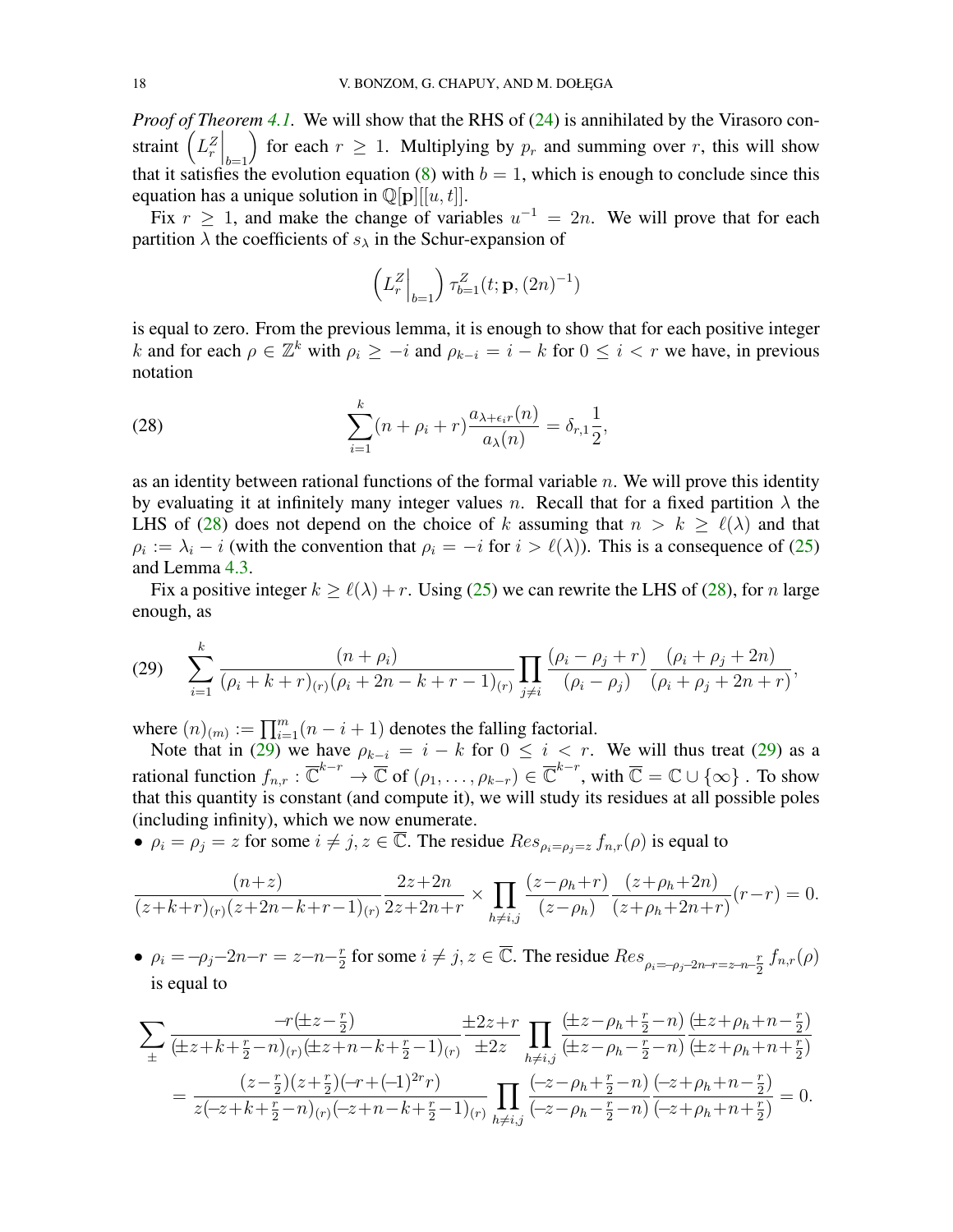*Proof of Theorem [4.1.](#page-14-0)* We will show that the RHS of [\(24\)](#page-15-0) is annihilated by the Virasoro constraint  $\left.\left(L_r^Z\right|_{b=1}\right)$ for each  $r \geq 1$ . Multiplying by  $p_r$  and summing over r, this will show that it satisfies the evolution equation [\(8\)](#page-5-6) with  $b = 1$ , which is enough to conclude since this equation has a unique solution in  $\mathbb{Q}[{\bf p}][[u, t]].$ 

Fix  $r \geq 1$ , and make the change of variables  $u^{-1} = 2n$ . We will prove that for each partition  $\lambda$  the coefficients of  $s_{\lambda}$  in the Schur-expansion of

<span id="page-17-0"></span>
$$
\left(L_r^Z\Big|_{b=1}\right)\tau_{b=1}^Z(t;{\bf p},(2n)^{-1})
$$

is equal to zero. From the previous lemma, it is enough to show that for each positive integer k and for each  $\rho \in \mathbb{Z}^k$  with  $\rho_i \geq -i$  and  $\rho_{k-i} = i - k$  for  $0 \leq i < r$  we have, in previous notation

(28) 
$$
\sum_{i=1}^{k} (n + \rho_i + r) \frac{a_{\lambda + \epsilon_i r}(n)}{a_{\lambda}(n)} = \delta_{r,1} \frac{1}{2},
$$

as an identity between rational functions of the formal variable  $n$ . We will prove this identity by evaluating it at infinitely many integer values n. Recall that for a fixed partition  $\lambda$  the LHS of [\(28\)](#page-17-0) does not depend on the choice of k assuming that  $n > k \ge \ell(\lambda)$  and that  $\rho_i := \lambda_i - i$  (with the convention that  $\rho_i = -i$  for  $i > \ell(\lambda)$ ). This is a consequence of [\(25\)](#page-15-1) and Lemma [4.3.](#page-16-0)

Fix a positive integer  $k \ge \ell(\lambda) + r$ . Using [\(25\)](#page-15-1) we can rewrite the LHS of [\(28\)](#page-17-0), for n large enough, as

<span id="page-17-1"></span>
$$
(29) \quad \sum_{i=1}^{k} \frac{(n+\rho_i)}{(\rho_i + k + r)_{(r)}(\rho_i + 2n - k + r - 1)_{(r)}} \prod_{j \neq i} \frac{(\rho_i - \rho_j + r)}{(\rho_i - \rho_j)} \frac{(\rho_i + \rho_j + 2n)}{(\rho_i + \rho_j + 2n + r)},
$$

where  $(n)_{(m)} := \prod_{i=1}^{m} (n-i+1)$  denotes the falling factorial.

Note that in [\(29\)](#page-17-1) we have  $\rho_{k-i} = i - k$  for  $0 \le i < r$ . We will thus treat (29) as a rational function  $f_{n,r}: \overline{\mathbb{C}}^{k-r}\to \overline{\mathbb{C}}$  of  $(\rho_1,\ldots,\rho_{k-r})\in \overline{\mathbb{C}}^{k-r}$ , with  $\overline{\mathbb{C}}=\mathbb{C}\cup\{\infty\}$  . To show that this quantity is constant (and compute it), we will study its residues at all possible poles (including infinity), which we now enumerate.

•  $\rho_i = \rho_j = z$  for some  $i \neq j$ ,  $z \in \overline{\mathbb{C}}$ . The residue  $Res_{\rho_i = \rho_j = z} f_{n,r}(\rho)$  is equal to

$$
\frac{(n+z)}{(z+k+r)_{(r)}(z+2n-k+r-1)_{(r)}}\frac{2z+2n}{2z+2n+r} \times \prod_{h\neq i,j} \frac{(z-\rho_h+r)}{(z-\rho_h)}\frac{(z+\rho_h+2n)}{(z+\rho_h+2n+r)}(r-r) = 0.
$$

•  $\rho_i = -\rho_j - 2n - r = z - n - \frac{r}{2}$  $\frac{r}{2}$  for some  $i \neq j$ ,  $z \in \overline{\mathbb{C}}$ . The residue  $Res_{\rho_i = -\rho_j - 2n - r = z - n - \frac{r}{2}}$  $\frac{r}{2}$   $f_{n,r}(\rho)$ is equal to

$$
\sum_{\pm} \frac{-r(\pm z - \frac{r}{2})}{(\pm z + k + \frac{r}{2} - n)_{(r)}(\pm z + n - k + \frac{r}{2} - 1)_{(r)}} \frac{\pm 2z + r}{\pm 2z} \prod_{h \neq i,j} \frac{(\pm z - \rho_h + \frac{r}{2} - n)}{(\pm z - \rho_h - \frac{r}{2} - n)} \frac{(\pm z + \rho_h + n - \frac{r}{2})}{(\pm z + \rho_h + n + \frac{r}{2})}
$$
  
= 
$$
\frac{(z - \frac{r}{2})(z + \frac{r}{2})(-r + (-1)^{2r}r)}{z(-z + k + \frac{r}{2} - n)_{(r)}(-z + n - k + \frac{r}{2} - 1)_{(r)}} \prod_{h \neq i,j} \frac{(-z - \rho_h + \frac{r}{2} - n)}{(-z - \rho_h - \frac{r}{2} - n)} \frac{(-z + \rho_h + n - \frac{r}{2})}{(-z + \rho_h + n + \frac{r}{2})} = 0.
$$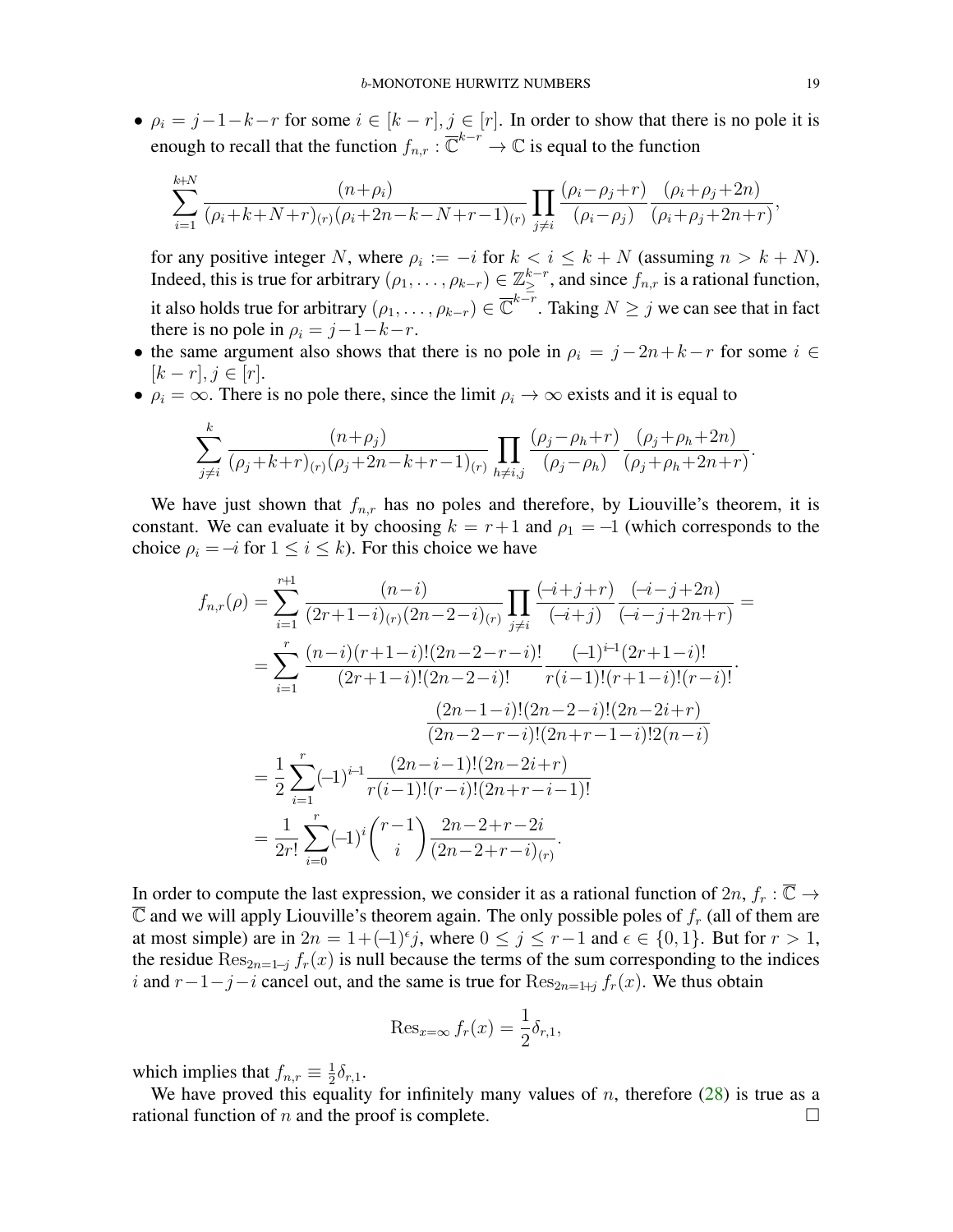•  $\rho_i = j-1-k-r$  for some  $i \in [k-r], j \in [r]$ . In order to show that there is no pole it is enough to recall that the function  $f_{n,r}: \overline{\mathbb{C}}^{k-r} \to \mathbb{C}$  is equal to the function

$$
\sum_{i=1}^{k+N} \frac{(n+\rho_i)}{(\rho_i + k + N + r)_{(r)}(\rho_i + 2n - k - N + r - 1)_{(r)}} \prod_{j \neq i} \frac{(\rho_i - \rho_j + r)}{(\rho_i - \rho_j)} \frac{(\rho_i + \rho_j + 2n)}{(\rho_i + \rho_j + 2n + r)},
$$

for any positive integer N, where  $\rho_i := -i$  for  $k < i \leq k + N$  (assuming  $n > k + N$ ). Indeed, this is true for arbitrary  $(\rho_1, \ldots, \rho_{k-r}) \in \mathbb{Z}_{\geq}^{k-r}$ , and since  $f_{n,r}$  is a rational function, it also holds true for arbitrary  $(\rho_1,\ldots,\rho_{k-r})\in\overline{\mathbb{C}}^{k-r}.$  Taking  $N\geq j$  we can see that in fact there is no pole in  $\rho_i = j - 1 - k - r$ .

- the same argument also shows that there is no pole in  $\rho_i = j 2n + k r$  for some  $i \in$  $[k - r], j \in [r].$
- $\rho_i = \infty$ . There is no pole there, since the limit  $\rho_i \to \infty$  exists and it is equal to

$$
\sum_{j \neq i}^{k} \frac{(n+\rho_j)}{(\rho_j + k + r)_{(r)}(\rho_j + 2n - k + r - 1)_{(r)}} \prod_{h \neq i,j} \frac{(\rho_j - \rho_h + r)}{(\rho_j - \rho_h)} \frac{(\rho_j + \rho_h + 2n)}{(\rho_j + \rho_h + 2n + r)}.
$$

We have just shown that  $f_{n,r}$  has no poles and therefore, by Liouville's theorem, it is constant. We can evaluate it by choosing  $k = r+1$  and  $\rho_1 = -1$  (which corresponds to the choice  $\rho_i = -i$  for  $1 \leq i \leq k$ ). For this choice we have

$$
f_{n,r}(\rho) = \sum_{i=1}^{r+1} \frac{(n-i)}{(2r+1-i)_{(r)}(2n-2-i)_{(r)}} \prod_{j\neq i} \frac{(-i+j+r)}{(-i+j)} \frac{(-i-j+2n)}{(-i-j+2n+r)} =
$$
  
\n
$$
= \sum_{i=1}^{r} \frac{(n-i)(r+1-i)!(2n-2-r-i)!}{(2r+1-i)!(2n-2-i)!} \frac{(-1)^{i-1}(2r+1-i)!}{r(i-1)!(r+1-i)!(r-i)!}.
$$
  
\n
$$
\frac{(2n-1-i)!(2n-2-i)!(2n-2i+r)}{(2n-2-r-i)!(2n+r-1-i)!2(n-i)}
$$
  
\n
$$
= \frac{1}{2} \sum_{i=1}^{r} (-1)^{i-1} \frac{(2n-i-1)!(2n-2i+r)}{r(i-1)!(r-i)!(2n+r-i-1)!}
$$
  
\n
$$
= \frac{1}{2r!} \sum_{i=0}^{r} (-1)^{i} {r-1 \choose i} \frac{2n-2+r-2i}{(2n-2+r-i)_{(r)}}.
$$

In order to compute the last expression, we consider it as a rational function of  $2n$ ,  $f_r : \overline{\mathbb{C}} \to$  $\overline{\mathbb{C}}$  and we will apply Liouville's theorem again. The only possible poles of  $f_r$  (all of them are at most simple) are in  $2n = 1 + (-1)^{\epsilon}j$ , where  $0 \le j \le r-1$  and  $\epsilon \in \{0, 1\}$ . But for  $r > 1$ , the residue  $\text{Res}_{2n=1-j} f_r(x)$  is null because the terms of the sum corresponding to the indices i and  $r-1-j-i$  cancel out, and the same is true for  $\text{Res}_{2n=1+j} f_r(x)$ . We thus obtain

$$
\operatorname{Res}_{x=\infty} f_r(x) = \frac{1}{2} \delta_{r,1},
$$

which implies that  $f_{n,r} \equiv \frac{1}{2}$  $\frac{1}{2}\delta_{r,1}$ .

We have proved this equality for infinitely many values of  $n$ , therefore [\(28\)](#page-17-0) is true as a rational function of *n* and the proof is complete.  $\Box$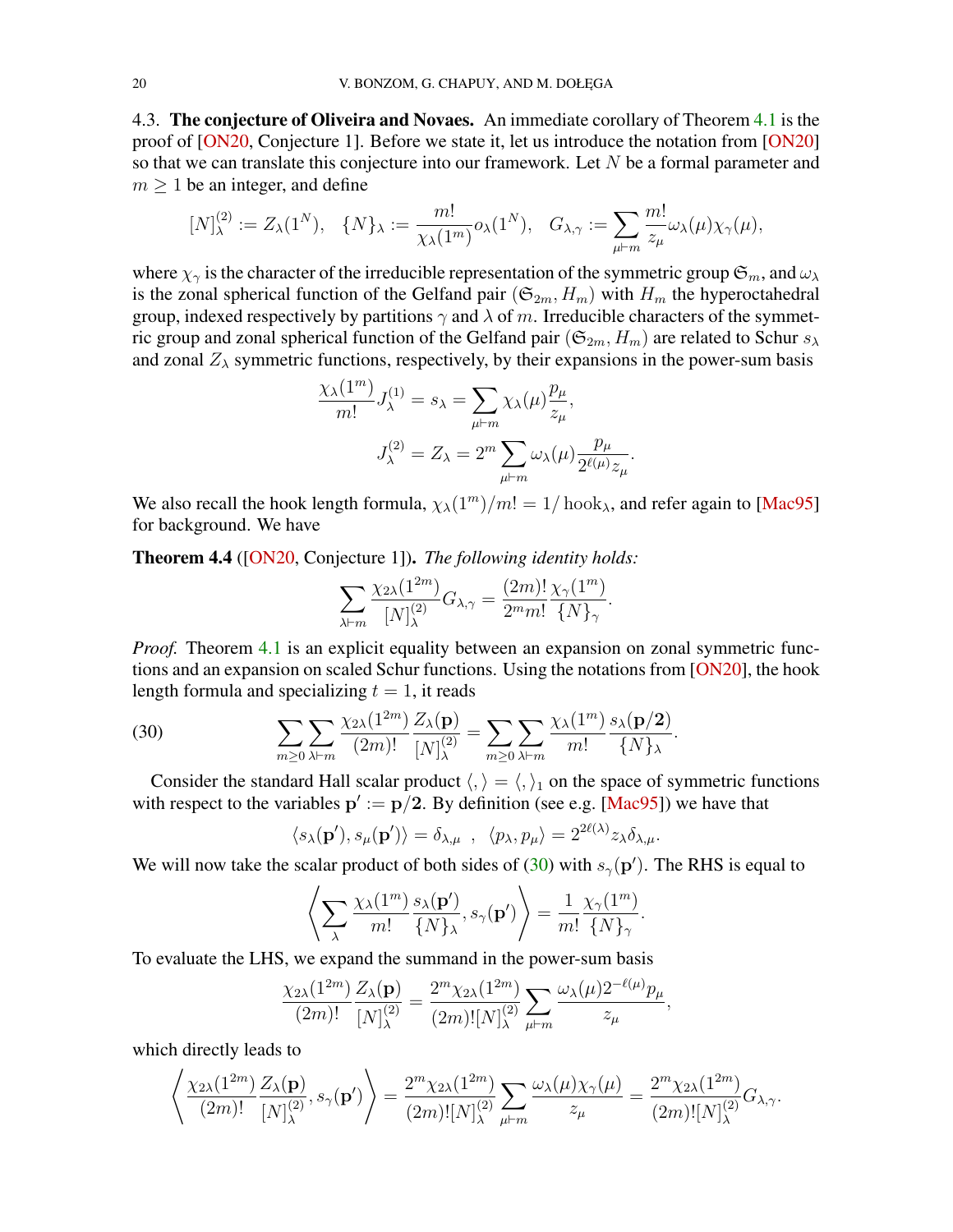<span id="page-19-2"></span>4.3. The conjecture of Oliveira and Novaes. An immediate corollary of Theorem [4.1](#page-14-0) is the proof of [\[ON20,](#page-41-4) Conjecture 1]. Before we state it, let us introduce the notation from [\[ON20\]](#page-41-4) so that we can translate this conjecture into our framework. Let N be a formal parameter and  $m \geq 1$  be an integer, and define

$$
[N]^{(2)}_\lambda:=Z_\lambda(1^N),\quad \{N\}_\lambda:=\frac{m!}{\chi_\lambda(1^m)}o_\lambda(1^N),\quad G_{\lambda,\gamma}:=\sum_{\mu\vdash m}\frac{m!}{z_\mu}\omega_\lambda(\mu)\chi_\gamma(\mu),
$$

where  $\chi_{\gamma}$  is the character of the irreducible representation of the symmetric group  $\mathfrak{S}_m$ , and  $\omega_{\lambda}$ is the zonal spherical function of the Gelfand pair  $(\mathfrak{S}_{2m}, H_m)$  with  $H_m$  the hyperoctahedral group, indexed respectively by partitions  $\gamma$  and  $\lambda$  of m. Irreducible characters of the symmetric group and zonal spherical function of the Gelfand pair ( $\mathfrak{S}_{2m}$ ,  $H_m$ ) are related to Schur  $s_\lambda$ and zonal  $Z_{\lambda}$  symmetric functions, respectively, by their expansions in the power-sum basis

$$
\frac{\chi_{\lambda}(1^m)}{m!} J_{\lambda}^{(1)} = s_{\lambda} = \sum_{\mu \vdash m} \chi_{\lambda}(\mu) \frac{p_{\mu}}{z_{\mu}},
$$

$$
J_{\lambda}^{(2)} = Z_{\lambda} = 2^m \sum_{\mu \vdash m} \omega_{\lambda}(\mu) \frac{p_{\mu}}{2^{\ell(\mu)} z_{\mu}}.
$$

We also recall the hook length formula,  $\chi_{\lambda}(1^m)/m! = 1/\text{hook}$ , and refer again to [\[Mac95\]](#page-40-16) for background. We have

<span id="page-19-0"></span>Theorem 4.4 ([\[ON20,](#page-41-4) Conjecture 1]). *The following identity holds:*

$$
\sum_{\lambda \vdash m} \frac{\chi_{2\lambda}(1^{2m})}{[N]_{\lambda}^{(2)}} G_{\lambda,\gamma} = \frac{(2m)!}{2^m m!} \frac{\chi_{\gamma}(1^m)}{\{N\}_{\gamma}}.
$$

*Proof.* Theorem [4.1](#page-14-0) is an explicit equality between an expansion on zonal symmetric functions and an expansion on scaled Schur functions. Using the notations from [\[ON20\]](#page-41-4), the hook length formula and specializing  $t = 1$ , it reads

(30) 
$$
\sum_{m\geq 0}\sum_{\lambda\vdash m}\frac{\chi_{2\lambda}(1^{2m})}{(2m)!}\frac{Z_{\lambda}(\mathbf{p})}{[N]_{\lambda}^{(2)}}=\sum_{m\geq 0}\sum_{\lambda\vdash m}\frac{\chi_{\lambda}(1^{m})}{m!}\frac{s_{\lambda}(\mathbf{p}/2)}{\{N\}_{\lambda}}.
$$

Consider the standard Hall scalar product  $\langle, \rangle = \langle, \rangle_1$  on the space of symmetric functions with respect to the variables  $p' := p/2$ . By definition (see e.g. [\[Mac95\]](#page-40-16)) we have that

<span id="page-19-1"></span>
$$
\langle s_{\lambda}(\mathbf{p}'), s_{\mu}(\mathbf{p}') \rangle = \delta_{\lambda, \mu} , \langle p_{\lambda}, p_{\mu} \rangle = 2^{2\ell(\lambda)} z_{\lambda} \delta_{\lambda, \mu}.
$$

We will now take the scalar product of both sides of [\(30\)](#page-19-1) with  $s_{\gamma}(\mathbf{p}')$ . The RHS is equal to

$$
\left\langle \sum_{\lambda} \frac{\chi_{\lambda}(1^m)}{m!} \frac{s_{\lambda}(\mathbf{p}')}{\{N\}_{\lambda}}, s_{\gamma}(\mathbf{p}') \right\rangle = \frac{1}{m!} \frac{\chi_{\gamma}(1^m)}{\{N\}_{\gamma}}.
$$

To evaluate the LHS, we expand the summand in the power-sum basis

$$
\frac{\chi_{2\lambda}(1^{2m})}{(2m)!} \frac{Z_{\lambda}(\mathbf{p})}{[N]_{\lambda}^{(2)}} = \frac{2^m \chi_{2\lambda}(1^{2m})}{(2m)! [N]_{\lambda}^{(2)}} \sum_{\mu \vdash m} \frac{\omega_{\lambda}(\mu) 2^{-\ell(\mu)} p_{\mu}}{z_{\mu}},
$$

which directly leads to

$$
\left\langle \frac{\chi_{2\lambda}(1^{2m})}{(2m)!} \frac{Z_{\lambda}(\mathbf{p})}{[N]_{\lambda}^{(2)}}, s_{\gamma}(\mathbf{p}') \right\rangle = \frac{2^{m} \chi_{2\lambda}(1^{2m})}{(2m)! [N]_{\lambda}^{(2)}} \sum_{\mu \vdash m} \frac{\omega_{\lambda}(\mu) \chi_{\gamma}(\mu)}{z_{\mu}} = \frac{2^{m} \chi_{2\lambda}(1^{2m})}{(2m)! [N]_{\lambda}^{(2)}} G_{\lambda, \gamma}.
$$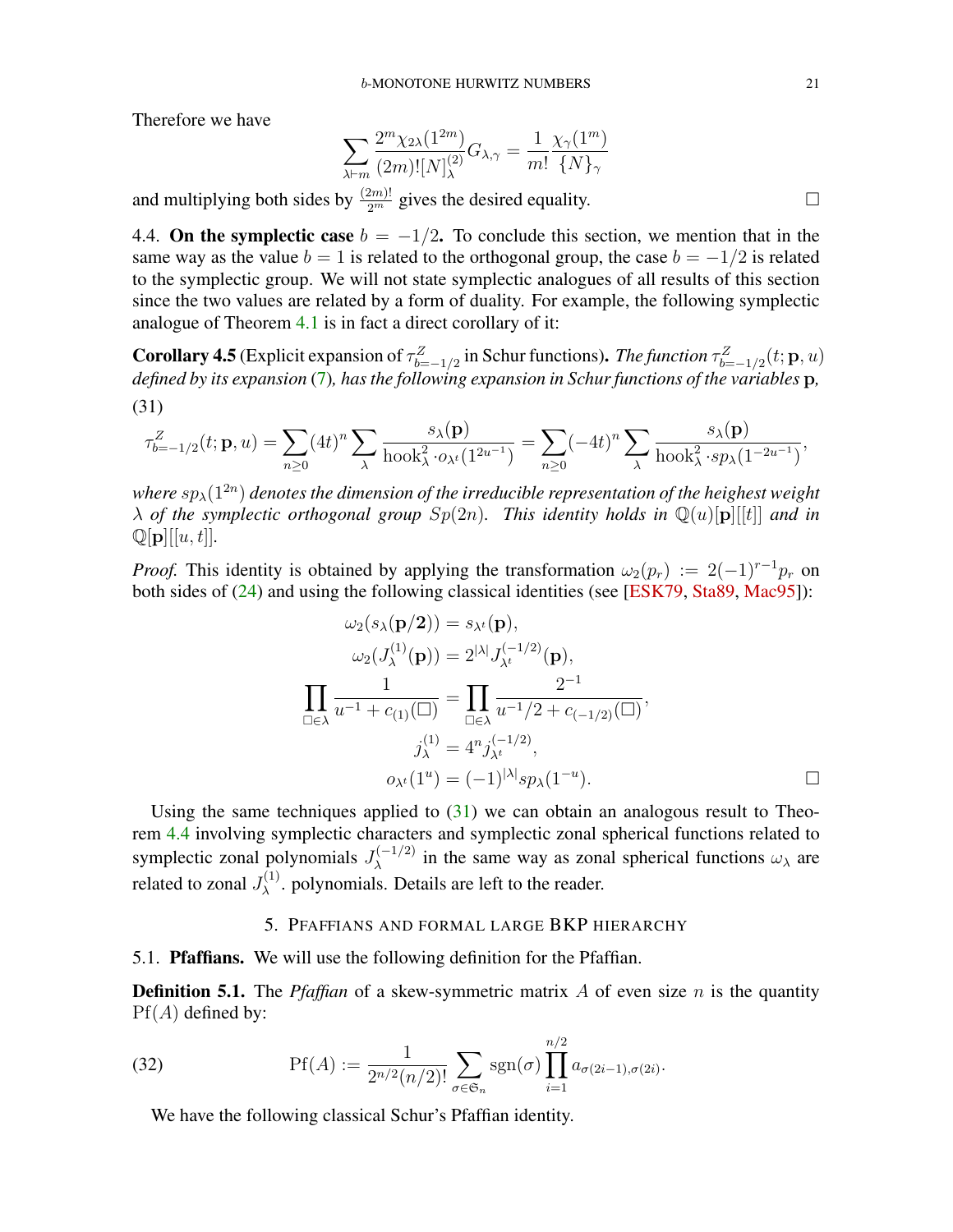<span id="page-20-4"></span>Therefore we have

$$
\sum_{\lambda \vdash m} \frac{2^m \chi_{2\lambda}(1^{2m})}{(2m)! [N]_{\lambda}^{(2)}} G_{\lambda, \gamma} = \frac{1}{m!} \frac{\chi_{\gamma}(1^m)}{\{N\}_{\gamma}}
$$

and multiplying both sides by  $\frac{(2m)!}{2^m}$  gives the desired equality.

4.4. On the symplectic case  $b = -1/2$ . To conclude this section, we mention that in the same way as the value  $b = 1$  is related to the orthogonal group, the case  $b = -1/2$  is related to the symplectic group. We will not state symplectic analogues of all results of this section since the two values are related by a form of duality. For example, the following symplectic analogue of Theorem [4.1](#page-14-0) is in fact a direct corollary of it:

**Corollary 4.5** (Explicit expansion of  $\tau_{b=-1/2}^Z$  in Schur functions). *The function*  $\tau_{b=-1/2}^Z(t; \mathbf{p}, u)$ *defined by its expansion* [\(7\)](#page-5-7)*, has the following expansion in Schur functions of the variables* p*,* (31)

<span id="page-20-1"></span>
$$
\tau_{b=-1/2}^Z(t; \mathbf{p}, u) = \sum_{n\geq 0} (4t)^n \sum_{\lambda} \frac{s_{\lambda}(\mathbf{p})}{\mathrm{hook}^2 \cdot s_{\lambda} \cdot (1^{2u-1})} = \sum_{n\geq 0} (-4t)^n \sum_{\lambda} \frac{s_{\lambda}(\mathbf{p})}{\mathrm{hook}^2 \cdot s_{\lambda} (1^{-2u-1})},
$$

where  $sp_\lambda(1^{2n})$  denotes the dimension of the irreducible representation of the heighest weight  $\lambda$  *of the symplectic orthogonal group*  $Sp(2n)$ *. This identity holds in*  $\mathbb{Q}(u)[p][[t]]$  *and in*  $\mathbb{Q}[\mathbf{p}][[u, t]].$ 

*Proof.* This identity is obtained by applying the transformation  $\omega_2(p_r) := 2(-1)^{r-1}p_r$  on both sides of [\(24\)](#page-15-0) and using the following classical identities (see [\[ESK79,](#page-39-17) [Sta89,](#page-41-6) [Mac95\]](#page-40-16)):

$$
\omega_2(s_\lambda(\mathbf{p}/2)) = s_{\lambda^t}(\mathbf{p}),
$$
  
\n
$$
\omega_2(J_{\lambda}^{(1)}(\mathbf{p})) = 2^{|\lambda|} J_{\lambda^t}^{(-1/2)}(\mathbf{p}),
$$
  
\n
$$
\prod_{\square \in \lambda} \frac{1}{u^{-1} + c_{(1)}(\square)} = \prod_{\square \in \lambda} \frac{2^{-1}}{u^{-1}/2 + c_{(-1/2)}(\square)},
$$
  
\n
$$
j_{\lambda}^{(1)} = 4^n j_{\lambda^t}^{(-1/2)},
$$
  
\n
$$
o_{\lambda^t}(1^u) = (-1)^{|\lambda|} sp_{\lambda}(1^{-u}).
$$

Using the same techniques applied to  $(31)$  we can obtain an analogous result to Theorem [4.4](#page-19-0) involving symplectic characters and symplectic zonal spherical functions related to symplectic zonal polynomials  $J_{\lambda}^{(-1/2)}$  $\lambda^{\left(-1/2\right)}$  in the same way as zonal spherical functions  $\omega_{\lambda}$  are related to zonal  $J_{\lambda}^{(1)}$  $\lambda^{(1)}$ . polynomials. Details are left to the reader.

### <span id="page-20-3"></span>5. PFAFFIANS AND FORMAL LARGE BKP HIERARCHY

<span id="page-20-0"></span>5.1. Pfaffians. We will use the following definition for the Pfaffian.

**Definition 5.1.** The *Pfaffian* of a skew-symmetric matrix  $A$  of even size  $n$  is the quantity  $Pf(A)$  defined by:

(32) 
$$
\text{Pf}(A) := \frac{1}{2^{n/2}(n/2)!} \sum_{\sigma \in \mathfrak{S}_n} \text{sgn}(\sigma) \prod_{i=1}^{n/2} a_{\sigma(2i-1), \sigma(2i)}.
$$

<span id="page-20-2"></span>We have the following classical Schur's Pfaffian identity.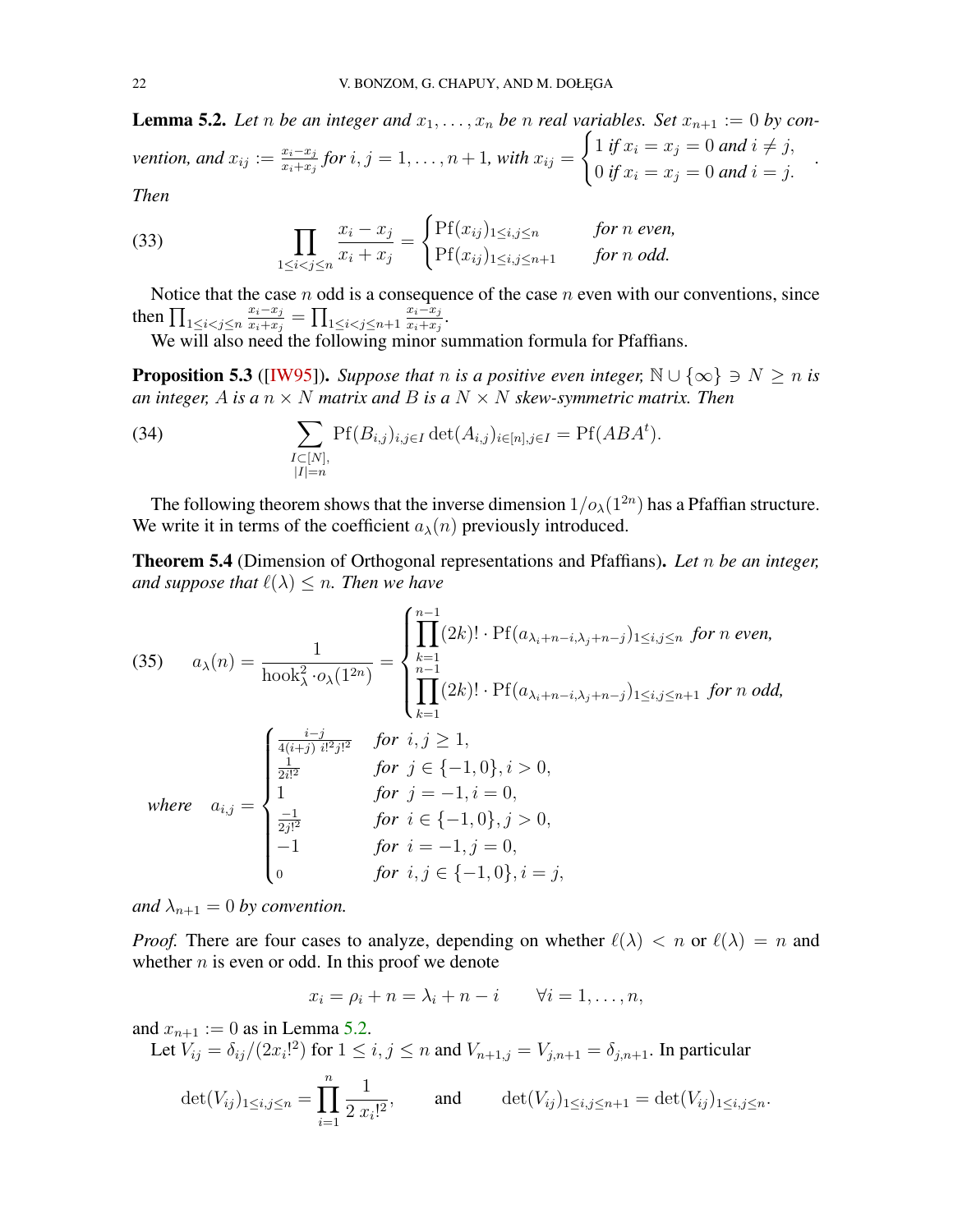<span id="page-21-4"></span>**Lemma 5.2.** Let *n* be an integer and  $x_1, \ldots, x_n$  be *n* real variables. Set  $x_{n+1} := 0$  by con*vention, and*  $x_{ij} := \frac{x_i - x_j}{x_i + x_j}$  $\frac{x_i-x_j}{x_i+x_j}$  for  $i,j=1,\ldots,n+1,$  with  $x_{ij}=$  $\int 1$  *if*  $x_i = x_j = 0$  *and*  $i \neq j$ , 0 *if*  $x_i = x_j = 0$  *and*  $i = j$ . *Then*

*.*

<span id="page-21-0"></span>(33) 
$$
\prod_{1 \leq i < j \leq n} \frac{x_i - x_j}{x_i + x_j} = \begin{cases} \text{Pf}(x_{ij})_{1 \leq i, j \leq n} & \text{for } n \text{ even,} \\ \text{Pf}(x_{ij})_{1 \leq i, j \leq n+1} & \text{for } n \text{ odd.} \end{cases}
$$

Notice that the case  $n$  odd is a consequence of the case  $n$  even with our conventions, since then  $\prod_{1 \leq i < j \leq n}$  $x_i-x_j$  $\frac{x_i-x_j}{x_i+x_j}=\prod_{1\leq i < j \leq n+1}$  $x_i-x_j$  $\frac{x_i-x_j}{x_i+x_j}$ .

We will also need the following minor summation formula for Pfaffians.

<span id="page-21-3"></span>**Proposition 5.3** ([\[IW95\]](#page-40-22)). *Suppose that n is a positive even integer*,  $\mathbb{N} \cup \{\infty\} \ni N \ge n$  *is an integer,* A *is a*  $n \times N$  *matrix and* B *is a*  $N \times N$  *skew-symmetric matrix. Then* 

<span id="page-21-1"></span>(34) 
$$
\sum_{\substack{I \subset [N], \\ |I|=n}} \Pr(B_{i,j})_{i,j \in I} \det(A_{i,j})_{i \in [n], j \in I} = \Pr(ABA^t).
$$

The following theorem shows that the inverse dimension  $1/\rho_{\lambda}(1^{2n})$  has a Pfaffian structure. We write it in terms of the coefficient  $a_{\lambda}(n)$  previously introduced.

<span id="page-21-2"></span>Theorem 5.4 (Dimension of Orthogonal representations and Pfaffians). *Let* n *be an integer, and suppose that*  $\ell(\lambda) \leq n$ *. Then we have* 

(35) 
$$
a_{\lambda}(n) = \frac{1}{\text{hook}_{\lambda}^{2} \cdot o_{\lambda}(1^{2n})} = \begin{cases} \prod_{k=1}^{n-1} (2k)! \cdot \text{Pf}(a_{\lambda_{i}+n-i,\lambda_{j}+n-j})_{1 \leq i,j \leq n} \text{ for } n \text{ even,} \\ \prod_{k=1}^{n-1} (2k)! \cdot \text{Pf}(a_{\lambda_{i}+n-i,\lambda_{j}+n-j})_{1 \leq i,j \leq n+1} \text{ for } n \text{ odd,} \\ \prod_{k=1}^{\frac{i-j}{4(i+j)} \cdot \frac{i!^{2}j!^{2}}{2i!^{2}}} \text{ for } i, j \geq 1, \\ \frac{1}{2i!^{2}} \text{ for } j \in \{-1,0\}, i > 0, \\ 1 \text{ for } j = -1, i = 0, \\ \frac{-1}{2j!^{2}} \text{ for } i \in \{-1,0\}, j > 0, \\ -1 \text{ for } i = -1, j = 0, \\ 0 \text{ for } i, j \in \{-1,0\}, i = j, \end{cases}
$$

*and*  $\lambda_{n+1} = 0$  *by convention.* 

*Proof.* There are four cases to analyze, depending on whether  $\ell(\lambda) < n$  or  $\ell(\lambda) = n$  and whether  $n$  is even or odd. In this proof we denote

$$
x_i = \rho_i + n = \lambda_i + n - i \qquad \forall i = 1, \dots, n,
$$

and  $x_{n+1} := 0$  as in Lemma [5.2.](#page-20-2)

Let 
$$
V_{ij} = \delta_{ij}/(2x_i!^2)
$$
 for  $1 \le i, j \le n$  and  $V_{n+1,j} = V_{j,n+1} = \delta_{j,n+1}$ . In particular  
\n
$$
\det(V_{ij})_{1 \le i,j \le n} = \prod_{i=1}^n \frac{1}{2 \, x_i!^2}, \qquad \text{and} \qquad \det(V_{ij})_{1 \le i,j \le n+1} = \det(V_{ij})_{1 \le i,j \le n}.
$$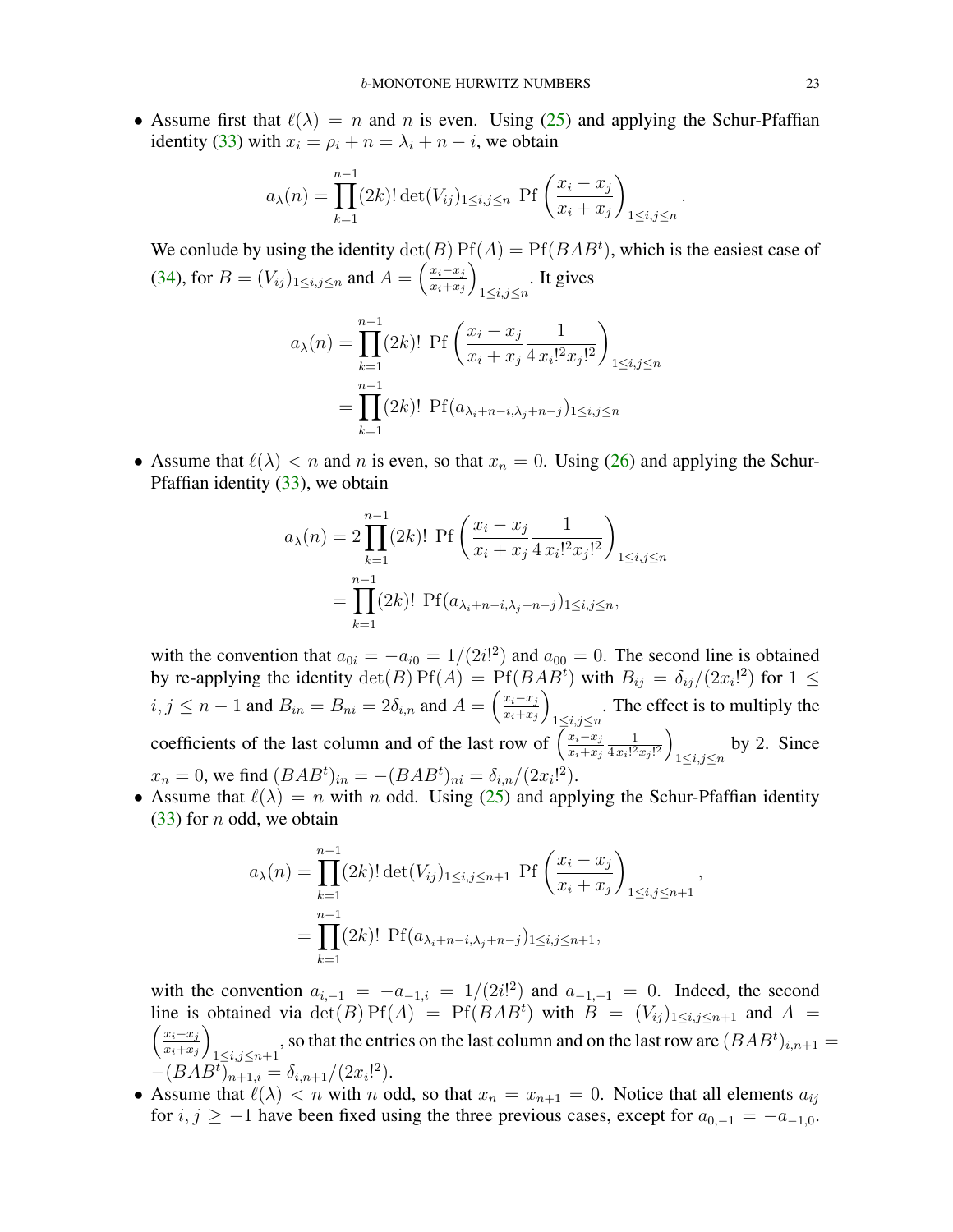• Assume first that  $\ell(\lambda) = n$  and n is even. Using [\(25\)](#page-15-1) and applying the Schur-Pfaffian identity [\(33\)](#page-21-0) with  $x_i = \rho_i + n = \lambda_i + n - i$ , we obtain

$$
a_{\lambda}(n) = \prod_{k=1}^{n-1} (2k)! \det(V_{ij})_{1 \le i,j \le n} \text{ Pf}\left(\frac{x_i - x_j}{x_i + x_j}\right)_{1 \le i,j \le n}
$$

We conlude by using the identity  $\det(B) P f(A) = P f(BAB<sup>t</sup>)$ , which is the easiest case of [\(34\)](#page-21-1), for  $B = (V_{ij})_{1 \le i,j \le n}$  and  $A = \left(\frac{x_i - x_j}{x_i + x_j}\right)$  $x_i+x_j$  $\setminus$  $\sum_{1 \leq i,j \leq n}$ . It gives

$$
a_{\lambda}(n) = \prod_{k=1}^{n-1} (2k)! \operatorname{Pf}\left(\frac{x_i - x_j}{x_i + x_j} \frac{1}{4 x_i!^2 x_j!^2}\right)_{1 \le i, j \le n}
$$

$$
= \prod_{k=1}^{n-1} (2k)! \operatorname{Pf}(a_{\lambda_i + n - i, \lambda_j + n - j})_{1 \le i, j \le n}
$$

• Assume that  $\ell(\lambda) < n$  and n is even, so that  $x_n = 0$ . Using [\(26\)](#page-15-2) and applying the Schur-Pfaffian identity [\(33\)](#page-21-0), we obtain

$$
a_{\lambda}(n) = 2 \prod_{k=1}^{n-1} (2k)! \text{ Pf} \left( \frac{x_i - x_j}{x_i + x_j} \frac{1}{4 x_i!^2 x_j!^2} \right)_{1 \le i, j \le n}
$$

$$
= \prod_{k=1}^{n-1} (2k)! \text{ Pf} (a_{\lambda_i + n - i, \lambda_j + n - j})_{1 \le i, j \le n},
$$

with the convention that  $a_{0i} = -a_{i0} = 1/(2i!)^2$  and  $a_{00} = 0$ . The second line is obtained by re-applying the identity  $\det(B) P f(A) = P f(BAB^t)$  with  $B_{ij} = \delta_{ij}/(2x_i!^2)$  for  $1 \leq$  $i, j \leq n-1$  and  $B_{in} = B_{ni} = 2\delta_{i,n}$  and  $A = \left(\frac{x_i - x_j}{x_i + x_j}\right)$  $x_i+x_j$  $\setminus$ . The effect is to multiply the  $\frac{1 \leq i,j \leq n}{n}$ coefficients of the last column and of the last row of  $\left(\frac{x_i-x_j}{x_i+x_j}\right)$  $x_i+x_j$ 1  $rac{1}{4x_i!^2x_j!^2}$  $\sum_{1 \leq i,j \leq n}$  by 2. Since  $x_n = 0$ , we find  $(BAB^t)_{in} = -(BAB^t)_{ni} = \delta_{i,n}/(2x_i!^2)$ .

• Assume that  $\ell(\lambda) = n$  with n odd. Using [\(25\)](#page-15-1) and applying the Schur-Pfaffian identity  $(33)$  for *n* odd, we obtain

$$
a_{\lambda}(n) = \prod_{k=1}^{n-1} (2k)! \det(V_{ij})_{1 \le i,j \le n+1} \text{ Pf}\left(\frac{x_i - x_j}{x_i + x_j}\right)_{1 \le i,j \le n+1},
$$
  
= 
$$
\prod_{k=1}^{n-1} (2k)! \text{ Pf}(a_{\lambda_i + n - i, \lambda_j + n - j})_{1 \le i,j \le n+1},
$$

with the convention  $a_{i,-1} = -a_{-1,i} = 1/(2i!)$  and  $a_{-1,-1} = 0$ . Indeed, the second line is obtained via  $\det(B) P f(A) = P f(BAB^t)$  with  $B = (V_{ij})_{1 \le i,j \le n+1}$  and  $A =$  $\int x_i-x_j$  $x_i+x_j$  $\setminus$ 1 $\le i,j \le n+1$ , so that the entries on the last column and on the last row are  $(BAB<sup>t</sup>)_{i,n+1}$  =  $-(BAB^t)_{n+1,i} = \delta_{i,n+1}/(2x_i!^2).$ 

• Assume that  $\ell(\lambda) < n$  with n odd, so that  $x_n = x_{n+1} = 0$ . Notice that all elements  $a_{ij}$ for  $i, j \ge -1$  have been fixed using the three previous cases, except for  $a_{0,-1} = -a_{-1,0}$ .

.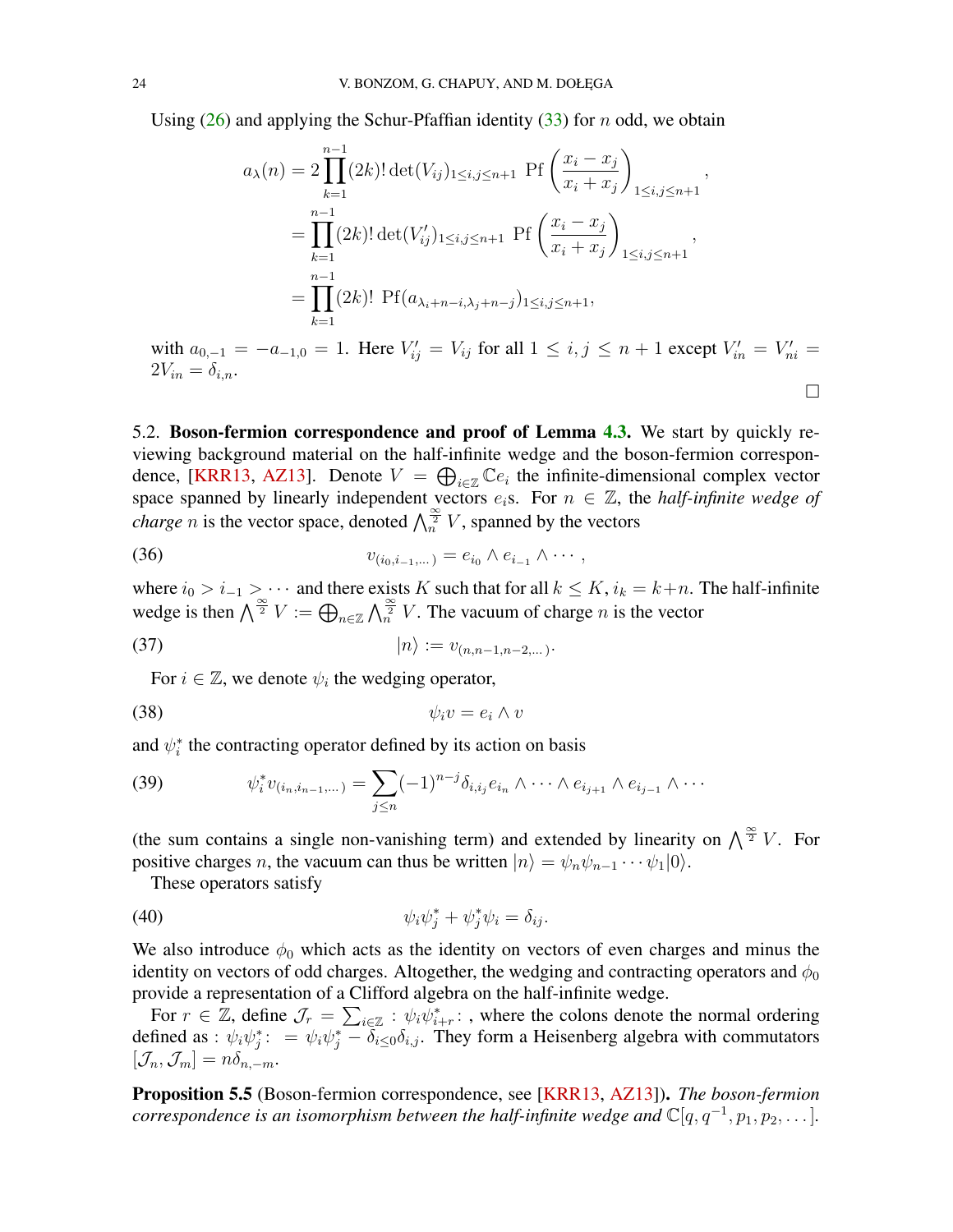<span id="page-23-0"></span>Using  $(26)$  and applying the Schur-Pfaffian identity  $(33)$  for n odd, we obtain

$$
a_{\lambda}(n) = 2 \prod_{k=1}^{n-1} (2k)! \det(V_{ij})_{1 \le i,j \le n+1} \text{ Pf} \left( \frac{x_i - x_j}{x_i + x_j} \right)_{1 \le i,j \le n+1},
$$
  
= 
$$
\prod_{k=1}^{n-1} (2k)! \det(V'_{ij})_{1 \le i,j \le n+1} \text{ Pf} \left( \frac{x_i - x_j}{x_i + x_j} \right)_{1 \le i,j \le n+1},
$$
  
= 
$$
\prod_{k=1}^{n-1} (2k)! \text{ Pf} (a_{\lambda_i + n - i, \lambda_j + n - j})_{1 \le i,j \le n+1},
$$

with  $a_{0,-1} = -a_{-1,0} = 1$ . Here  $V'_{ij} = V_{ij}$  for all  $1 \le i, j \le n+1$  except  $V'_{in} = V'_{ni} =$  $2V_{in} = \delta_{i,n}.$ 

 $\Box$ 

5.2. Boson-fermion correspondence and proof of Lemma [4.3.](#page-16-0) We start by quickly reviewing background material on the half-infinite wedge and the boson-fermion correspon-dence, [\[KRR13,](#page-40-23) [AZ13\]](#page-39-18). Denote  $V = \bigoplus_{i \in \mathbb{Z}} \mathbb{C}e_i$  the infinite-dimensional complex vector space spanned by linearly independent vectors  $e_i$ s. For  $n \in \mathbb{Z}$ , the *half-infinite wedge of charge n* is the vector space, denoted  $\bigwedge_{n=0}^{\infty} V$ , spanned by the vectors

(36) 
$$
v_{(i_0,i_{-1},...)}=e_{i_0}\wedge e_{i_{-1}}\wedge\cdots,
$$

where  $i_0 > i_{-1} > \cdots$  and there exists K such that for all  $k \leq K$ ,  $i_k = k+n$ . The half-infinite wedge is then  $\bigwedge^{\frac{\infty}{2}} V := \bigoplus_{n \in \mathbb{Z}} \bigwedge^{\frac{\infty}{2}} V$ . The vacuum of charge n is the vector

(37) 
$$
|n\rangle := v_{(n,n-1,n-2,...)}.
$$

For  $i \in \mathbb{Z}$ , we denote  $\psi_i$  the wedging operator,

$$
\psi_i v = e_i \wedge v
$$

and  $\psi_i^*$  the contracting operator defined by its action on basis

(39) 
$$
\psi_i^* v_{(i_n, i_{n-1}, \dots)} = \sum_{j \leq n} (-1)^{n-j} \delta_{i, i_j} e_{i_n} \wedge \dots \wedge e_{i_{j+1}} \wedge e_{i_{j-1}} \wedge \dots
$$

(the sum contains a single non-vanishing term) and extended by linearity on  $\bigwedge^{\frac{\infty}{2}} V$ . For positive charges *n*, the vacuum can thus be written  $|n\rangle = \psi_n \psi_{n-1} \cdots \psi_1 |0\rangle$ .

These operators satisfy

$$
\psi_i \psi_j^* + \psi_j^* \psi_i = \delta_{ij}.
$$

We also introduce  $\phi_0$  which acts as the identity on vectors of even charges and minus the identity on vectors of odd charges. Altogether, the wedging and contracting operators and  $\phi_0$ provide a representation of a Clifford algebra on the half-infinite wedge.

For  $r \in \mathbb{Z}$ , define  $\mathcal{J}_r = \sum_{i \in \mathbb{Z}} : \psi_i \overline{\psi}_{i+r}^*$ ; where the colons denote the normal ordering defined as :  $\psi_i \psi_j^* := \psi_i \psi_j^* - \overline{\delta_{i\leq 0}} \delta_{i,j}$ . They form a Heisenberg algebra with commutators  $[\mathcal{J}_n,\mathcal{J}_m]=n\delta_{n,-m}.$ 

Proposition 5.5 (Boson-fermion correspondence, see [\[KRR13,](#page-40-23) [AZ13\]](#page-39-18)). *The boson-fermion correspondence is an isomorphism between the half-infinite wedge and*  $\mathbb{C}[q, q^{-1}, p_1, p_2, \dots]$ *.*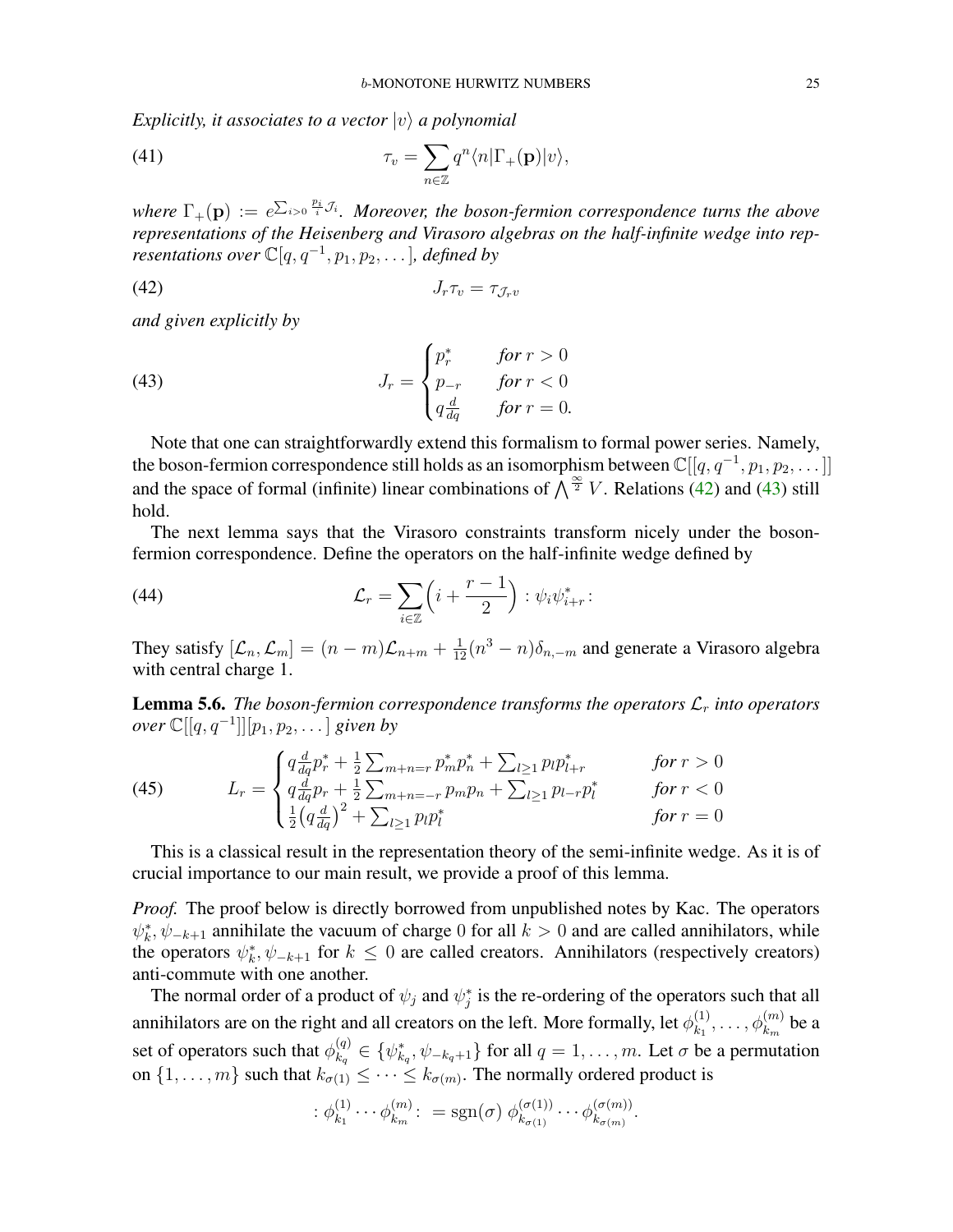*Explicitly, it associates to a vector*  $|v\rangle$  *a polynomial* 

(41) 
$$
\tau_v = \sum_{n \in \mathbb{Z}} q^n \langle n | \Gamma_+(\mathbf{p}) | v \rangle,
$$

where  $\Gamma_+(\mathbf{p}) := e^{\sum_{i>0} \frac{p_i}{i} \mathcal{J}_i}$ . Moreover, the boson-fermion correspondence turns the above *representations of the Heisenberg and Virasoro algebras on the half-infinite wedge into rep-* $$ 

<span id="page-24-1"></span>
$$
(42)\t\t J_r \tau_v = \tau_{\mathcal{J}_r v}
$$

*and given explicitly by*

<span id="page-24-2"></span>(43) 
$$
J_r = \begin{cases} p_r^* & \text{for } r > 0 \\ p_{-r} & \text{for } r < 0 \\ q \frac{d}{dq} & \text{for } r = 0. \end{cases}
$$

Note that one can straightforwardly extend this formalism to formal power series. Namely, the boson-fermion correspondence still holds as an isomorphism between  $\mathbb{C}[[q, q^{-1}, p_1, p_2, \dots]]$ and the space of formal (infinite) linear combinations of  $\int_{0}^{\infty} V$ . Relations [\(42\)](#page-24-1) and [\(43\)](#page-24-2) still hold.

The next lemma says that the Virasoro constraints transform nicely under the bosonfermion correspondence. Define the operators on the half-infinite wedge defined by

<span id="page-24-4"></span>(44) 
$$
\mathcal{L}_r = \sum_{i \in \mathbb{Z}} \left( i + \frac{r-1}{2} \right) : \psi_i \psi_{i+r}^* :
$$

They satisfy  $[\mathcal{L}_n, \mathcal{L}_m] = (n-m)\mathcal{L}_{n+m} + \frac{1}{12}(n^3 - n)\delta_{n,-m}$  and generate a Virasoro algebra with central charge 1.

<span id="page-24-0"></span>**Lemma 5.6.** *The boson-fermion correspondence transforms the operators*  $\mathcal{L}_r$  *into operators over*  $\mathbb{C}[[q,q^{-1}]][p_1,p_2,\dots]$  *given by* 

$$
(45)
$$

<span id="page-24-3"></span>(45) 
$$
L_r = \begin{cases} q \frac{d}{dq} p_r^* + \frac{1}{2} \sum_{m+n=r} p_m^* p_n^* + \sum_{l \ge 1} p_l p_{l+r}^* & \text{for } r > 0\\ q \frac{d}{dq} p_r + \frac{1}{2} \sum_{m+n=-r} p_m p_n + \sum_{l \ge 1} p_{l-r} p_l^* & \text{for } r < 0\\ \frac{1}{2} \left( q \frac{d}{dq} \right)^2 + \sum_{l \ge 1} p_l p_l^* & \text{for } r = 0 \end{cases}
$$

This is a classical result in the representation theory of the semi-infinite wedge. As it is of crucial importance to our main result, we provide a proof of this lemma.

*Proof.* The proof below is directly borrowed from unpublished notes by Kac. The operators  $\psi_k^*, \psi_{-k+1}$  annihilate the vacuum of charge 0 for all  $k > 0$  and are called annihilators, while the operators  $\psi_k^*, \psi_{-k+1}$  for  $k \leq 0$  are called creators. Annihilators (respectively creators) anti-commute with one another.

The normal order of a product of  $\psi_j$  and  $\psi_j^*$  is the re-ordering of the operators such that all annihilators are on the right and all creators on the left. More formally, let  $\phi_{k_1}^{(1)}$  $\phi_{k_{1}}^{(1)}, \ldots, \phi_{k_{m}}^{(m)}$  be a set of operators such that  $\phi_{k_{\alpha}}^{(q)}$  $\mathbf{R}_{k_q}^{(q)} \in \{\psi_{k_q}^*, \psi_{-k_q+1}\}\$  for all  $q = 1, \ldots, m$ . Let  $\sigma$  be a permutation on  $\{1, \ldots, m\}$  such that  $k_{\sigma(1)} \leq \cdots \leq k_{\sigma(m)}$ . The normally ordered product is

$$
\therefore \phi_{k_1}^{(1)} \cdots \phi_{k_m}^{(m)} \colon = \text{sgn}(\sigma) \; \phi_{k_{\sigma(1)}}^{(\sigma(1))} \cdots \phi_{k_{\sigma(m)}}^{(\sigma(m))}.
$$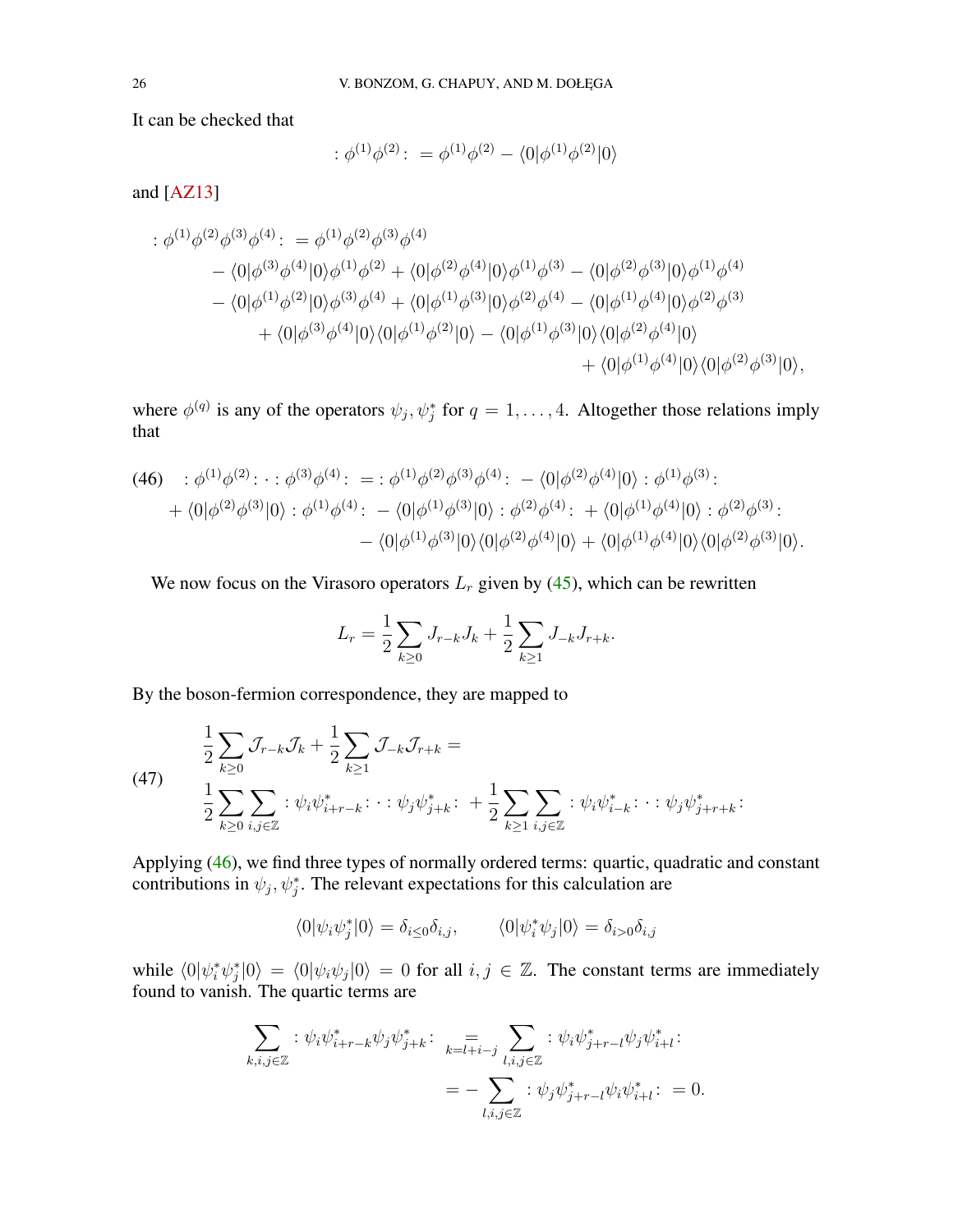<span id="page-25-2"></span>It can be checked that

$$
:\phi^{(1)}\phi^{(2)}\colon = \phi^{(1)}\phi^{(2)} - \langle 0|\phi^{(1)}\phi^{(2)}|0\rangle
$$

and [\[AZ13\]](#page-39-18)

$$
\begin{split}\n& \div \phi^{(1)} \phi^{(2)} \phi^{(3)} \phi^{(4)}: \\
&= \phi^{(1)} \phi^{(2)} \phi^{(3)} \phi^{(4)} \\
&= \langle 0 | \phi^{(3)} \phi^{(4)} | 0 \rangle \phi^{(1)} \phi^{(2)} + \langle 0 | \phi^{(2)} \phi^{(4)} | 0 \rangle \phi^{(1)} \phi^{(3)} - \langle 0 | \phi^{(2)} \phi^{(3)} | 0 \rangle \phi^{(1)} \phi^{(4)} \\
&= \langle 0 | \phi^{(1)} \phi^{(2)} | 0 \rangle \phi^{(3)} \phi^{(4)} + \langle 0 | \phi^{(1)} \phi^{(3)} | 0 \rangle \phi^{(2)} \phi^{(4)} - \langle 0 | \phi^{(1)} \phi^{(4)} | 0 \rangle \phi^{(2)} \phi^{(3)} \\
&+ \langle 0 | \phi^{(3)} \phi^{(4)} | 0 \rangle \langle 0 | \phi^{(1)} \phi^{(2)} | 0 \rangle - \langle 0 | \phi^{(1)} \phi^{(3)} | 0 \rangle \langle 0 | \phi^{(2)} \phi^{(4)} | 0 \rangle \\
&+ \langle 0 | \phi^{(1)} \phi^{(4)} | 0 \rangle \langle 0 | \phi^{(2)} \phi^{(3)} | 0 \rangle,\n\end{split}
$$

where  $\phi^{(q)}$  is any of the operators  $\psi_j, \psi_j^*$  for  $q = 1, ..., 4$ . Altogether those relations imply that

<span id="page-25-0"></span>
$$
(46) \quad : \phi^{(1)}\phi^{(2)}: \cdot : \phi^{(3)}\phi^{(4)}: \quad = : \phi^{(1)}\phi^{(2)}\phi^{(3)}\phi^{(4)}: \quad -\langle 0|\phi^{(2)}\phi^{(4)}|0\rangle : \phi^{(1)}\phi^{(3)}: \quad +\langle 0|\phi^{(2)}\phi^{(3)}|0\rangle : \phi^{(1)}\phi^{(4)}: \quad -\langle 0|\phi^{(1)}\phi^{(3)}|0\rangle : \phi^{(2)}\phi^{(4)}: \quad +\langle 0|\phi^{(1)}\phi^{(4)}|0\rangle : \phi^{(2)}\phi^{(3)}: \quad -\langle 0|\phi^{(1)}\phi^{(3)}|0\rangle \langle 0|\phi^{(2)}\phi^{(4)}|0\rangle + \langle 0|\phi^{(1)}\phi^{(4)}|0\rangle \langle 0|\phi^{(2)}\phi^{(3)}|0\rangle.
$$

We now focus on the Virasoro operators  $L_r$  given by [\(45\)](#page-24-3), which can be rewritten

$$
L_r = \frac{1}{2} \sum_{k \ge 0} J_{r-k} J_k + \frac{1}{2} \sum_{k \ge 1} J_{-k} J_{r+k}.
$$

By the boson-fermion correspondence, they are mapped to

<span id="page-25-1"></span>(47) 
$$
\frac{1}{2} \sum_{k\geq 0} \mathcal{J}_{r-k} \mathcal{J}_k + \frac{1}{2} \sum_{k\geq 1} \mathcal{J}_{-k} \mathcal{J}_{r+k} =
$$

$$
\frac{1}{2} \sum_{k\geq 0} \sum_{i,j \in \mathbb{Z}} \, : \, \psi_i \psi_{i+r-k}^* : \, \cdot : \, \psi_j \psi_{j+k}^* : \, + \frac{1}{2} \sum_{k\geq 1} \sum_{i,j \in \mathbb{Z}} \, : \, \psi_i \psi_{i-k}^* : \, \cdot : \, \psi_j \psi_{j+r+k}^* :
$$

Applying [\(46\)](#page-25-0), we find three types of normally ordered terms: quartic, quadratic and constant contributions in  $\psi_j$ ,  $\psi_j^*$ . The relevant expectations for this calculation are

$$
\langle 0|\psi_i\psi_j^*|0\rangle = \delta_{i\leq 0}\delta_{i,j}, \qquad \langle 0|\psi_i^*\psi_j|0\rangle = \delta_{i>0}\delta_{i,j}
$$

while  $\langle 0 | \psi_i^* \psi_j^* | 0 \rangle = \langle 0 | \psi_i \psi_j | 0 \rangle = 0$  for all  $i, j \in \mathbb{Z}$ . The constant terms are immediately found to vanish. The quartic terms are

$$
\sum_{k,i,j\in\mathbb{Z}} : \psi_i \psi_{i+r-k}^* \psi_j \psi_{j+k}^* : \quad \sum_{k=l+i-j} \sum_{l,i,j\in\mathbb{Z}} : \psi_i \psi_{j+r-l}^* \psi_j \psi_{i+l}^* : \\ = - \sum_{l,i,j\in\mathbb{Z}} : \psi_j \psi_{j+r-l}^* \psi_i \psi_{i+l}^* : = 0.
$$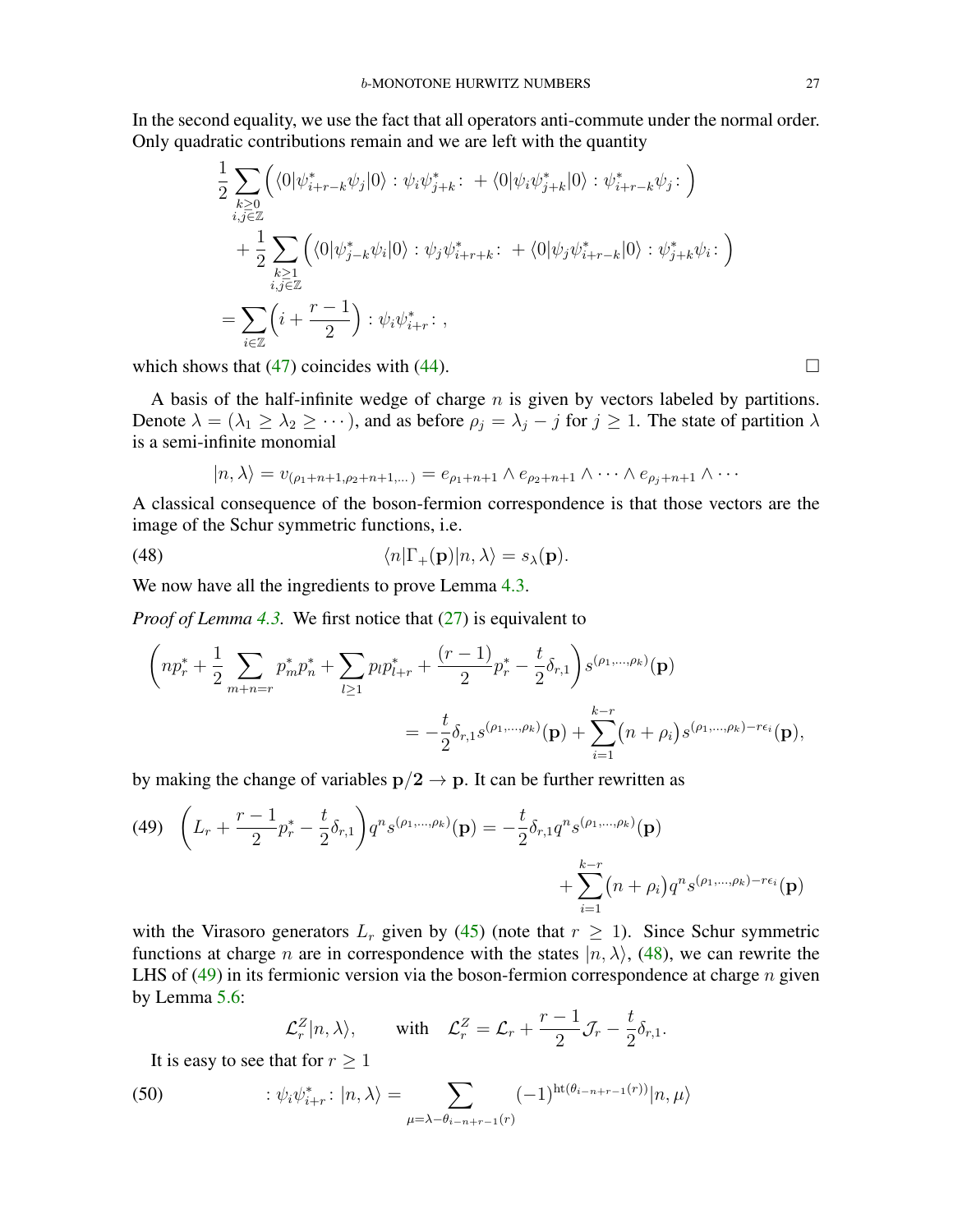In the second equality, we use the fact that all operators anti-commute under the normal order. Only quadratic contributions remain and we are left with the quantity

$$
\frac{1}{2} \sum_{\substack{k \geq 0 \\ i,j \in \mathbb{Z}}} \left( \langle 0 | \psi^*_{i+r-k} \psi_j | 0 \rangle : \psi_i \psi^*_{j+k} : + \langle 0 | \psi_i \psi^*_{j+k} | 0 \rangle : \psi^*_{i+r-k} \psi_j : \right) \n+ \frac{1}{2} \sum_{\substack{k \geq 1 \\ i,j \in \mathbb{Z}}} \left( \langle 0 | \psi^*_{j-k} \psi_i | 0 \rangle : \psi_j \psi^*_{i+r+k} : + \langle 0 | \psi_j \psi^*_{i+r-k} | 0 \rangle : \psi^*_{j+k} \psi_i : \right) \n= \sum_{i \in \mathbb{Z}} \left( i + \frac{r-1}{2} \right) : \psi_i \psi^*_{i+r} : ,
$$

which shows that [\(47\)](#page-25-1) coincides with [\(44\)](#page-24-4).  $\Box$ 

A basis of the half-infinite wedge of charge  $n$  is given by vectors labeled by partitions. Denote  $\lambda = (\lambda_1 \geq \lambda_2 \geq \cdots)$ , and as before  $\rho_j = \lambda_j - j$  for  $j \geq 1$ . The state of partition  $\lambda$ is a semi-infinite monomial

<span id="page-26-0"></span>
$$
|n,\lambda\rangle = v_{(\rho_1+n+1,\rho_2+n+1,\dots)} = e_{\rho_1+n+1} \wedge e_{\rho_2+n+1} \wedge \dots \wedge e_{\rho_j+n+1} \wedge \dots
$$

A classical consequence of the boson-fermion correspondence is that those vectors are the image of the Schur symmetric functions, i.e.

(48) 
$$
\langle n|\Gamma_+(\mathbf{p})|n,\lambda\rangle = s_{\lambda}(\mathbf{p}).
$$

We now have all the ingredients to prove Lemma [4.3.](#page-16-0)

*Proof of Lemma [4.3.](#page-16-0)* We first notice that [\(27\)](#page-16-1) is equivalent to

$$
\left( np_r^* + \frac{1}{2} \sum_{m+n=r} p_m^* p_n^* + \sum_{l \ge 1} p_l p_{l+r}^* + \frac{(r-1)}{2} p_r^* - \frac{t}{2} \delta_{r,1} \right) s^{(\rho_1, \dots, \rho_k)}(\mathbf{p})
$$
  
= 
$$
-\frac{t}{2} \delta_{r,1} s^{(\rho_1, \dots, \rho_k)}(\mathbf{p}) + \sum_{i=1}^{k-r} (n+\rho_i) s^{(\rho_1, \dots, \rho_k) - r\epsilon_i}(\mathbf{p}),
$$

by making the change of variables  $p/2 \rightarrow p$ . It can be further rewritten as

<span id="page-26-1"></span>(49) 
$$
\left(L_r + \frac{r-1}{2}p_r^* - \frac{t}{2}\delta_{r,1}\right)q^n s^{(\rho_1,\dots,\rho_k)}(\mathbf{p}) = -\frac{t}{2}\delta_{r,1}q^n s^{(\rho_1,\dots,\rho_k)}(\mathbf{p}) + \sum_{i=1}^{k-r} (n+\rho_i)q^n s^{(\rho_1,\dots,\rho_k)-r\epsilon_i}(\mathbf{p})
$$

with the Virasoro generators  $L_r$  given by [\(45\)](#page-24-3) (note that  $r \ge 1$ ). Since Schur symmetric functions at charge *n* are in correspondence with the states  $|n, \lambda\rangle$ , [\(48\)](#page-26-0), we can rewrite the LHS of  $(49)$  in its fermionic version via the boson-fermion correspondence at charge n given by Lemma [5.6:](#page-24-0)

$$
\mathcal{L}_r^Z|n,\lambda\rangle
$$
, with  $\mathcal{L}_r^Z = \mathcal{L}_r + \frac{r-1}{2}\mathcal{J}_r - \frac{t}{2}\delta_{r,1}$ .

It is easy to see that for  $r \geq 1$ 

(50) 
$$
\qquad \qquad : \psi_i \psi_{i+r}^* : |n, \lambda\rangle = \sum_{\mu=\lambda-\theta_{i-n+r-1}(r)} (-1)^{\text{ht}(\theta_{i-n+r-1}(r))} |n, \mu\rangle
$$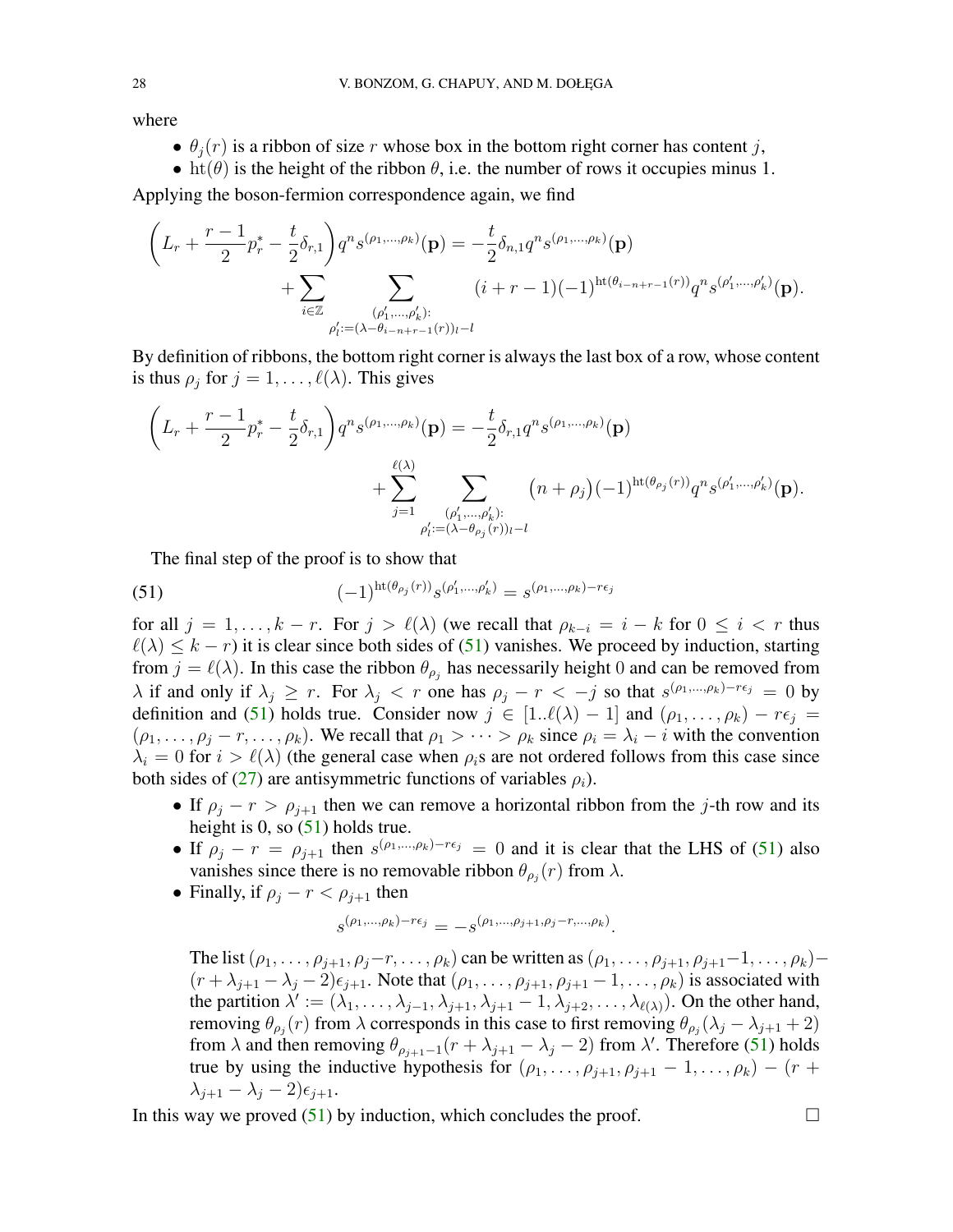where

- $\theta_i(r)$  is a ribbon of size r whose box in the bottom right corner has content j,
- ht( $\theta$ ) is the height of the ribbon  $\theta$ , i.e. the number of rows it occupies minus 1.

Applying the boson-fermion correspondence again, we find

$$
\left(L_r + \frac{r-1}{2}p_r^* - \frac{t}{2}\delta_{r,1}\right)q^n s^{(\rho_1,\dots,\rho_k)}(\mathbf{p}) = -\frac{t}{2}\delta_{n,1}q^n s^{(\rho_1,\dots,\rho_k)}(\mathbf{p}) + \sum_{i\in\mathbb{Z}} \sum_{\substack{(\rho'_1,\dots,\rho'_k):\\ \rho'_i:=(\lambda-\theta_{i-n+r-1}(r))_l-l}} (i+r-1)(-1)^{\operatorname{ht}(\theta_{i-n+r-1}(r))}q^n s^{(\rho'_1,\dots,\rho'_k)}(\mathbf{p}).
$$

By definition of ribbons, the bottom right corner is always the last box of a row, whose content is thus  $\rho_j$  for  $j = 1, \ldots, \ell(\lambda)$ . This gives

$$
\left(L_r + \frac{r-1}{2}p_r^* - \frac{t}{2}\delta_{r,1}\right)q^n s^{(\rho_1,\dots,\rho_k)}(\mathbf{p}) = -\frac{t}{2}\delta_{r,1}q^n s^{(\rho_1,\dots,\rho_k)}(\mathbf{p}) + \sum_{j=1}^{\ell(\lambda)} \sum_{\substack{(\rho'_1,\dots,\rho'_k):\\ \rho'_i:=(\lambda-\theta_{\rho_j}(r))_{i-l}}} (n+\rho_j)(-1)^{\text{ht}(\theta_{\rho_j}(r))}q^n s^{(\rho'_1,\dots,\rho'_k)}(\mathbf{p}).
$$

<span id="page-27-0"></span>The final step of the proof is to show that

(51) 
$$
(-1)^{\text{ht}(\theta_{\rho_j}(r))} s^{(\rho'_1, ..., \rho'_k)} = s^{(\rho_1, ..., \rho_k) - r\epsilon_j}
$$

for all  $j = 1, ..., k - r$ . For  $j > \ell(\lambda)$  (we recall that  $\rho_{k-i} = i - k$  for  $0 \le i < r$  thus  $\ell(\lambda) \leq k - r$ ) it is clear since both sides of [\(51\)](#page-27-0) vanishes. We proceed by induction, starting from  $j = \ell(\lambda)$ . In this case the ribbon  $\theta_{\rho_j}$  has necessarily height 0 and can be removed from  $\lambda$  if and only if  $\lambda_j \geq r$ . For  $\lambda_j < r$  one has  $\rho_j - r < -j$  so that  $s^{(\rho_1,...,\rho_k)-r\epsilon_j} = 0$  by definition and [\(51\)](#page-27-0) holds true. Consider now  $j \in [1..\ell(\lambda) - 1]$  and  $(\rho_1, \ldots, \rho_k) - r\epsilon_j =$  $(\rho_1, \ldots, \rho_i - r, \ldots, \rho_k)$ . We recall that  $\rho_1 > \cdots > \rho_k$  since  $\rho_i = \lambda_i - i$  with the convention  $\lambda_i = 0$  for  $i > \ell(\lambda)$  (the general case when  $\rho_i$ s are not ordered follows from this case since both sides of [\(27\)](#page-16-1) are antisymmetric functions of variables  $\rho_i$ ).

- If  $\rho_j r > \rho_{j+1}$  then we can remove a horizontal ribbon from the j-th row and its height is 0, so  $(51)$  holds true.
- If  $\rho_j r = \rho_{j+1}$  then  $s^{(\rho_1,...,\rho_k)-r\epsilon_j} = 0$  and it is clear that the LHS of [\(51\)](#page-27-0) also vanishes since there is no removable ribbon  $\theta_{\rho_j}(r)$  from  $\lambda$ .
- Finally, if  $\rho_i r < \rho_{i+1}$  then

$$
s^{(\rho_1,\ldots,\rho_k)-r\epsilon_j}=-s^{(\rho_1,\ldots,\rho_{j+1},\rho_j-r,\ldots,\rho_k)}.
$$

The list  $(\rho_1, \ldots, \rho_{j+1}, \rho_j-r, \ldots, \rho_k)$  can be written as  $(\rho_1, \ldots, \rho_{j+1}, \rho_{j+1}-1, \ldots, \rho_k)$  $(r + \lambda_{i+1} - \lambda_i - 2)\epsilon_{i+1}$ . Note that  $(\rho_1, \ldots, \rho_{i+1}, \rho_{i+1} - 1, \ldots, \rho_k)$  is associated with the partition  $\lambda' := (\lambda_1, \ldots, \lambda_{j-1}, \lambda_{j+1}, \lambda_{j+1} - 1, \lambda_{j+2}, \ldots, \lambda_{\ell(\lambda)})$ . On the other hand, removing  $\theta_{\rho_j}(r)$  from  $\lambda$  corresponds in this case to first removing  $\theta_{\rho_j}(\lambda_j - \lambda_{j+1} + 2)$ from  $\lambda$  and then removing  $\theta_{\rho_{j+1}-1}(r + \lambda_{j+1} - \lambda_j - 2)$  from  $\lambda'$ . Therefore [\(51\)](#page-27-0) holds true by using the inductive hypothesis for  $(\rho_1, \ldots, \rho_{j+1}, \rho_{j+1} - 1, \ldots, \rho_k) - (r + 1)$  $\lambda_{j+1} - \lambda_j - 2\epsilon_{j+1}.$ 

In this way we proved  $(51)$  by induction, which concludes the proof.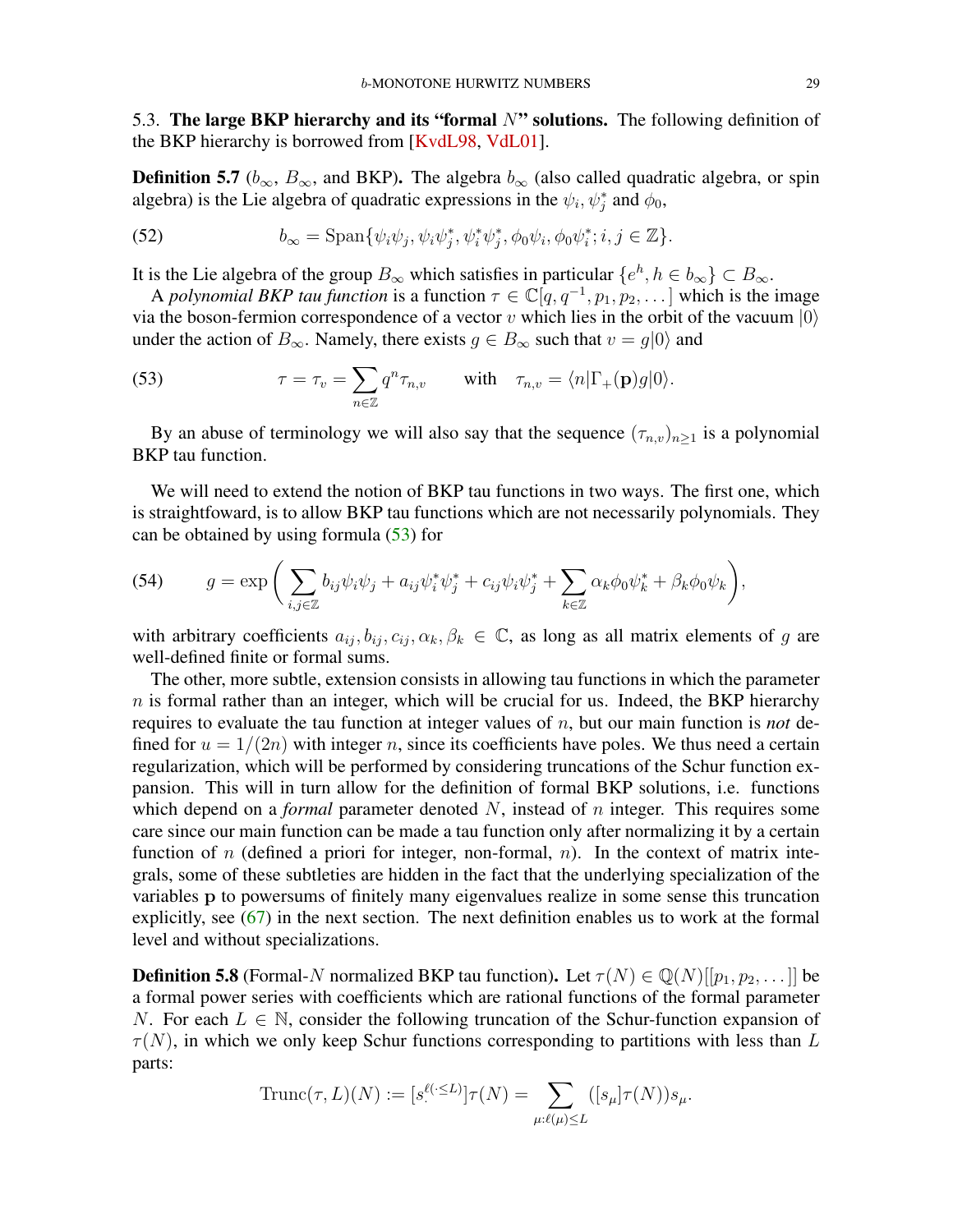<span id="page-28-3"></span><span id="page-28-0"></span>5.3. The large BKP hierarchy and its "formal  $N$ " solutions. The following definition of the BKP hierarchy is borrowed from [\[KvdL98,](#page-40-13) [VdL01\]](#page-41-3).

**Definition 5.7** ( $b_{\infty}$ ,  $B_{\infty}$ , and BKP). The algebra  $b_{\infty}$  (also called quadratic algebra, or spin algebra) is the Lie algebra of quadratic expressions in the  $\psi_i$ ,  $\psi_j^*$  and  $\phi_0$ ,

(52) 
$$
b_{\infty} = \text{Span}\{\psi_i\psi_j, \psi_i\psi_j^*, \psi_i^*\psi_j^*, \phi_0\psi_i, \phi_0\psi_i^*; i, j \in \mathbb{Z}\}.
$$

It is the Lie algebra of the group  $B_{\infty}$  which satisfies in particular  $\{e^h, h \in b_{\infty}\}\subset B_{\infty}$ .

A *polynomial BKP tau function* is a function  $\tau \in \mathbb{C}[q, q^{-1}, p_1, p_2, \dots]$  which is the image via the boson-fermion correspondence of a vector v which lies in the orbit of the vacuum  $|0\rangle$ under the action of  $B_{\infty}$ . Namely, there exists  $g \in B_{\infty}$  such that  $v = g|0\rangle$  and

<span id="page-28-1"></span>(53) 
$$
\tau = \tau_v = \sum_{n \in \mathbb{Z}} q^n \tau_{n,v} \quad \text{with} \quad \tau_{n,v} = \langle n | \Gamma_+(\mathbf{p}) g | 0 \rangle.
$$

By an abuse of terminology we will also say that the sequence  $(\tau_{n,v})_{n>1}$  is a polynomial BKP tau function.

We will need to extend the notion of BKP tau functions in two ways. The first one, which is straightfoward, is to allow BKP tau functions which are not necessarily polynomials. They can be obtained by using formula [\(53\)](#page-28-1) for

(54) 
$$
g = \exp\bigg(\sum_{i,j\in\mathbb{Z}} b_{ij}\psi_i\psi_j + a_{ij}\psi_i^*\psi_j^* + c_{ij}\psi_i\psi_j^* + \sum_{k\in\mathbb{Z}} \alpha_k\phi_0\psi_k^* + \beta_k\phi_0\psi_k\bigg),
$$

with arbitrary coefficients  $a_{ij}, b_{ij}, c_{ij}, \alpha_k, \beta_k \in \mathbb{C}$ , as long as all matrix elements of g are well-defined finite or formal sums.

The other, more subtle, extension consists in allowing tau functions in which the parameter  $n$  is formal rather than an integer, which will be crucial for us. Indeed, the BKP hierarchy requires to evaluate the tau function at integer values of n, but our main function is *not* defined for  $u = 1/(2n)$  with integer n, since its coefficients have poles. We thus need a certain regularization, which will be performed by considering truncations of the Schur function expansion. This will in turn allow for the definition of formal BKP solutions, i.e. functions which depend on a *formal* parameter denoted N, instead of n integer. This requires some care since our main function can be made a tau function only after normalizing it by a certain function of n (defined a priori for integer, non-formal,  $n$ ). In the context of matrix integrals, some of these subtleties are hidden in the fact that the underlying specialization of the variables p to powersums of finitely many eigenvalues realize in some sense this truncation explicitly, see [\(67\)](#page-32-0) in the next section. The next definition enables us to work at the formal level and without specializations.

<span id="page-28-2"></span>**Definition 5.8** (Formal-N normalized BKP tau function). Let  $\tau(N) \in \mathbb{Q}(N)[[p_1, p_2, \dots]]$  be a formal power series with coefficients which are rational functions of the formal parameter N. For each  $L \in \mathbb{N}$ , consider the following truncation of the Schur-function expansion of  $\tau(N)$ , in which we only keep Schur functions corresponding to partitions with less than L parts:

Trunc
$$
(\tau, L)(N) := [s^{\ell(\cdot \leq L)}] \tau(N) = \sum_{\mu:\ell(\mu) \leq L} ([s_{\mu}] \tau(N)) s_{\mu}.
$$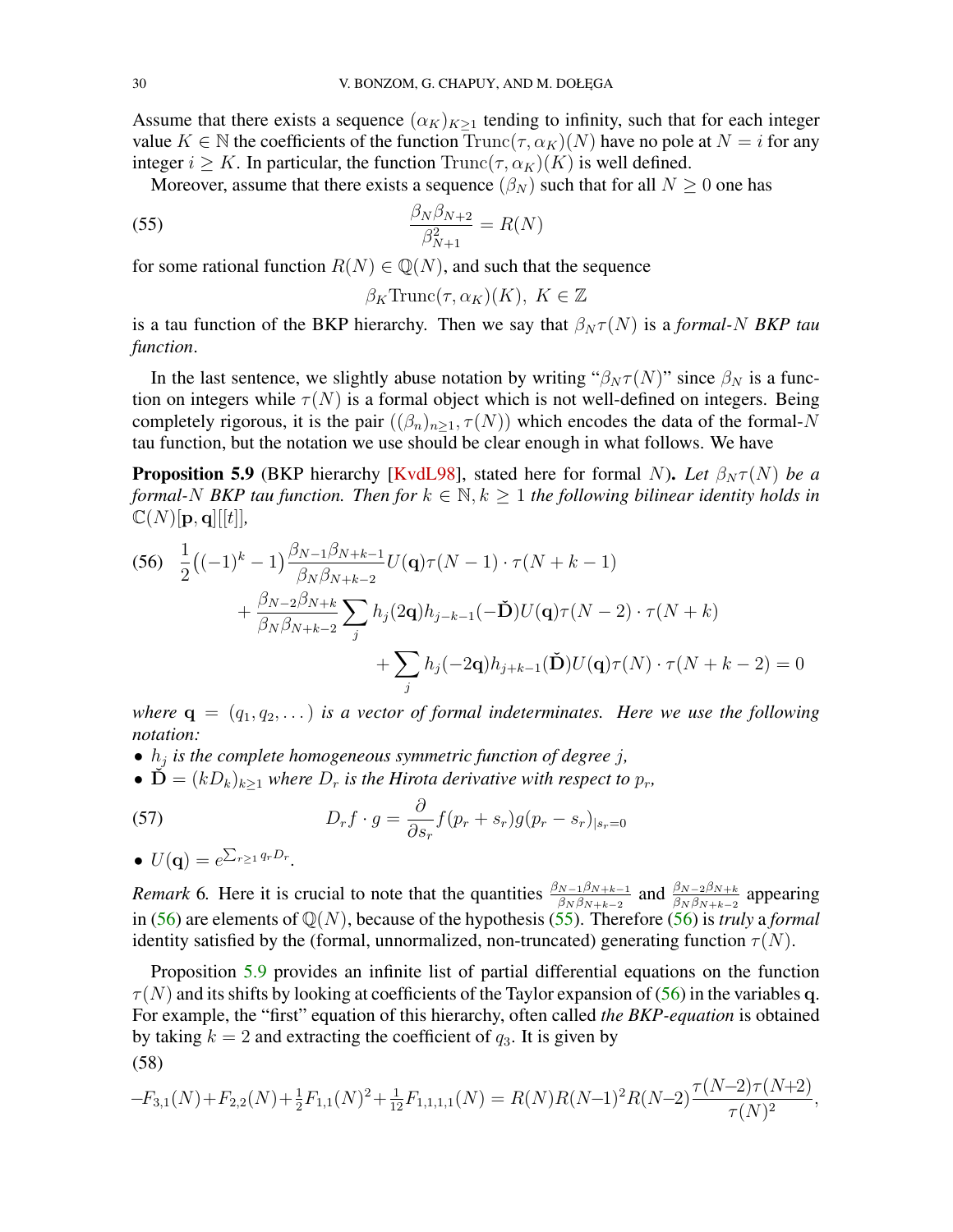<span id="page-29-4"></span>Assume that there exists a sequence  $(\alpha_K)_{K>1}$  tending to infinity, such that for each integer value  $K \in \mathbb{N}$  the coefficients of the function  $Trunc(\tau, \alpha_K)(N)$  have no pole at  $N = i$  for any integer  $i \geq K$ . In particular, the function  $\text{Trunc}(\tau, \alpha_K)(K)$  is well defined.

Moreover, assume that there exists a sequence  $(\beta_N)$  such that for all  $N \geq 0$  one has

<span id="page-29-1"></span>
$$
\frac{\beta_N \beta_{N+2}}{\beta_{N+1}^2} = R(N)
$$

for some rational function  $R(N) \in \mathbb{Q}(N)$ , and such that the sequence

$$
\beta_K \text{Trunc}(\tau, \alpha_K)(K), \ K \in \mathbb{Z}
$$

is a tau function of the BKP hierarchy. Then we say that  $\beta_N \tau(N)$  is a *formal-N BKP tau function*.

In the last sentence, we slightly abuse notation by writing " $\beta_N \tau(N)$ " since  $\beta_N$  is a function on integers while  $\tau(N)$  is a formal object which is not well-defined on integers. Being completely rigorous, it is the pair  $((\beta_n)_{n>1}, \tau(N))$  which encodes the data of the formal-N tau function, but the notation we use should be clear enough in what follows. We have

<span id="page-29-2"></span>**Proposition 5.9** (BKP hierarchy [\[KvdL98\]](#page-40-13), stated here for formal N). Let  $\beta_N \tau(N)$  be a *formal-N BKP tau function. Then for*  $k \in \mathbb{N}, k \geq 1$  *the following bilinear identity holds in*  $\mathbb{C}(N)[\mathbf{p},\mathbf{q}][[t]],$ 

<span id="page-29-0"></span>
$$
(56) \frac{1}{2}((-1)^{k} - 1) \frac{\beta_{N-1}\beta_{N+k-1}}{\beta_{N}\beta_{N+k-2}} U(\mathbf{q})\tau(N-1) \cdot \tau(N+k-1) + \frac{\beta_{N-2}\beta_{N+k}}{\beta_{N}\beta_{N+k-2}} \sum_{j} h_{j}(2\mathbf{q}) h_{j-k-1}(-\tilde{\mathbf{D}}) U(\mathbf{q})\tau(N-2) \cdot \tau(N+k) + \sum_{j} h_{j}(-2\mathbf{q}) h_{j+k-1}(\tilde{\mathbf{D}}) U(\mathbf{q})\tau(N) \cdot \tau(N+k-2) = 0
$$

*where*  $\mathbf{q} = (q_1, q_2, \dots)$  *is a vector of formal indeterminates. Here we use the following notation:*

- $\bullet$   $h_j$  *is the complete homogeneous symmetric function of degree j,*
- $\dot{\mathbf{D}} = (kD_k)_{k\geq 1}$  *where*  $D_r$  *is the Hirota derivative with respect to*  $p_r$ *,*

(57) 
$$
D_r f \cdot g = \frac{\partial}{\partial s_r} f(p_r + s_r) g(p_r - s_r)_{|s_r = 0}
$$

• 
$$
U(\mathbf{q}) = e^{\sum_{r\geq 1} q_r D_r}.
$$

*Remark* 6. Here it is crucial to note that the quantities  $\frac{\beta_{N-1}\beta_{N+k-1}}{\beta_N\beta_{N+k-2}}$  and  $\frac{\beta_{N-2}\beta_{N+k}}{\beta_N\beta_{N+k-2}}$  appearing in [\(56\)](#page-29-0) are elements of Q(N), because of the hypothesis [\(55\)](#page-29-1). Therefore [\(56\)](#page-29-0) is *truly* a *formal* identity satisfied by the (formal, unnormalized, non-truncated) generating function  $\tau(N)$ .

Proposition [5.9](#page-29-2) provides an infinite list of partial differential equations on the function  $\tau(N)$  and its shifts by looking at coefficients of the Taylor expansion of [\(56\)](#page-29-0) in the variables q. For example, the "first" equation of this hierarchy, often called *the BKP-equation* is obtained by taking  $k = 2$  and extracting the coefficient of  $q_3$ . It is given by (58)

<span id="page-29-3"></span>
$$
-F_{3,1}(N) + F_{2,2}(N) + \frac{1}{2}F_{1,1}(N)^2 + \frac{1}{12}F_{1,1,1,1}(N) = R(N)R(N-1)^2R(N-2)\frac{\tau(N-2)\tau(N+2)}{\tau(N)^2},
$$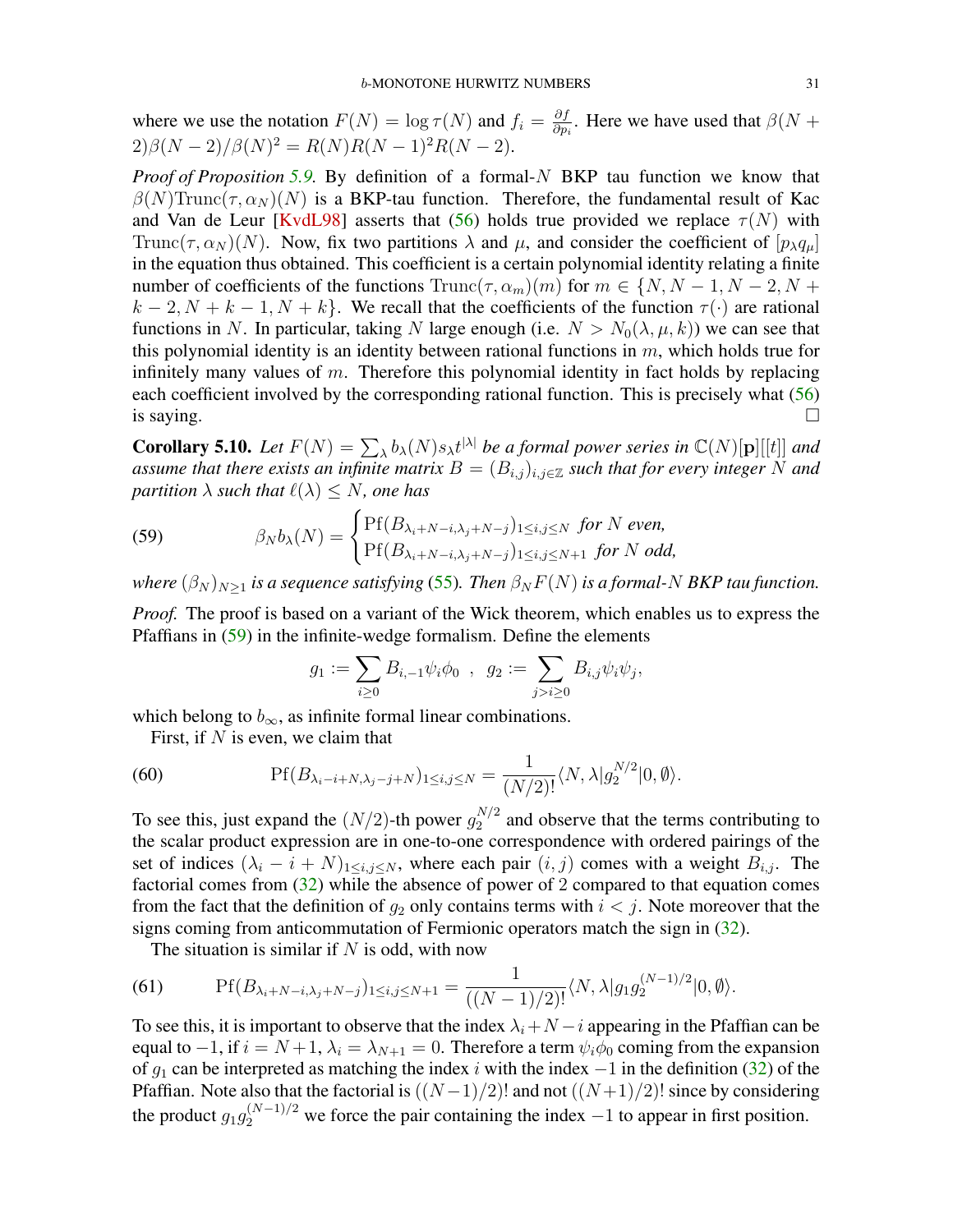<span id="page-30-3"></span>where we use the notation  $F(N) = \log \tau(N)$  and  $f_i = \frac{\partial f}{\partial n}$  $\frac{\partial f}{\partial p_i}$ . Here we have used that  $\beta(N + \alpha)$  $2)\beta(N-2)/\beta(N)^2 = R(N)R(N-1)^2R(N-2).$ 

*Proof of Proposition [5.9.](#page-29-2)* By definition of a formal-N BKP tau function we know that  $\beta(N)$ Trunc $(\tau, \alpha_N)(N)$  is a BKP-tau function. Therefore, the fundamental result of Kac and Van de Leur [\[KvdL98\]](#page-40-13) asserts that [\(56\)](#page-29-0) holds true provided we replace  $\tau(N)$  with Trunc( $\tau$ ,  $\alpha_N$ )(N). Now, fix two partitions  $\lambda$  and  $\mu$ , and consider the coefficient of  $[p_\lambda q_\mu]$ in the equation thus obtained. This coefficient is a certain polynomial identity relating a finite number of coefficients of the functions  $\text{Trunc}(\tau, \alpha_m)(m)$  for  $m \in \{N, N-1, N-2, N+1\}$  $k-2, N+k-1, N+k$ . We recall that the coefficients of the function  $\tau(\cdot)$  are rational functions in N. In particular, taking N large enough (i.e.  $N > N_0(\lambda, \mu, k)$ ) we can see that this polynomial identity is an identity between rational functions in  $m$ , which holds true for infinitely many values of  $m$ . Therefore this polynomial identity in fact holds by replacing each coefficient involved by the corresponding rational function. This is precisely what [\(56\)](#page-29-0) is saying.  $\Box$ 

**Corollary 5.10.** Let  $F(N) = \sum_{\lambda} b_{\lambda}(N) s_{\lambda} t^{|\lambda|}$  be a formal power series in  $\mathbb{C}(N)[p][[t]]$  and *assume that there exists an infinite matrix*  $B = (B_{i,j})_{i,j \in \mathbb{Z}}$  *such that for every integer* N *and partition*  $\lambda$  *such that*  $\ell(\lambda) \leq N$ *, one has* 

<span id="page-30-0"></span>(59) 
$$
\beta_N b_\lambda(N) = \begin{cases} \Pr(B_{\lambda_i+N-i,\lambda_j+N-j})_{1\leq i,j\leq N} \text{ for } N \text{ even,} \\ \Pr(B_{\lambda_i+N-i,\lambda_j+N-j})_{1\leq i,j\leq N+1} \text{ for } N \text{ odd,} \end{cases}
$$

*where*  $(\beta_N)_{N>1}$  *is a sequence satisfying* [\(55\)](#page-29-1). Then  $\beta_N F(N)$  *is a formal-N BKP tau function.* 

*Proof.* The proof is based on a variant of the Wick theorem, which enables us to express the Pfaffians in [\(59\)](#page-30-0) in the infinite-wedge formalism. Define the elements

$$
g_1 := \sum_{i \geq 0} B_{i,-1} \psi_i \phi_0 \ , \ \ g_2 := \sum_{j > i \geq 0} B_{i,j} \psi_i \psi_j,
$$

which belong to  $b_{\infty}$ , as infinite formal linear combinations.

First, if  $N$  is even, we claim that

<span id="page-30-1"></span>(60) 
$$
\text{Pf}(B_{\lambda_i-i+N,\lambda_j-j+N})_{1\leq i,j\leq N}=\frac{1}{(N/2)!}\langle N,\lambda|g_2^{N/2}|0,\emptyset\rangle.
$$

To see this, just expand the  $(N/2)$ -th power  $g_2^{N/2}$  $2^{N/2}$  and observe that the terms contributing to the scalar product expression are in one-to-one correspondence with ordered pairings of the set of indices  $(\lambda_i - i + N)_{1 \le i,j \le N}$ , where each pair  $(i, j)$  comes with a weight  $B_{i,j}$ . The factorial comes from [\(32\)](#page-20-3) while the absence of power of 2 compared to that equation comes from the fact that the definition of  $q_2$  only contains terms with  $i < j$ . Note moreover that the signs coming from anticommutation of Fermionic operators match the sign in [\(32\)](#page-20-3).

The situation is similar if  $N$  is odd, with now

<span id="page-30-2"></span>(61) 
$$
\text{Pf}(B_{\lambda_i+N-i,\lambda_j+N-j})_{1\leq i,j\leq N+1}=\frac{1}{((N-1)/2)!}\langle N,\lambda|g_1g_2^{(N-1)/2}|0,\emptyset\rangle.
$$

To see this, it is important to observe that the index  $\lambda_i + N - i$  appearing in the Pfaffian can be equal to −1, if  $i = N+1$ ,  $\lambda_i = \lambda_{N+1} = 0$ . Therefore a term  $\psi_i \phi_0$  coming from the expansion of  $g_1$  can be interpreted as matching the index i with the index  $-1$  in the definition [\(32\)](#page-20-3) of the Pfaffian. Note also that the factorial is  $((N-1)/2)!$  and not  $((N+1)/2)!$  since by considering the product  $g_1 g_2^{(N-1)/2}$  we force the pair containing the index  $-1$  to appear in first position.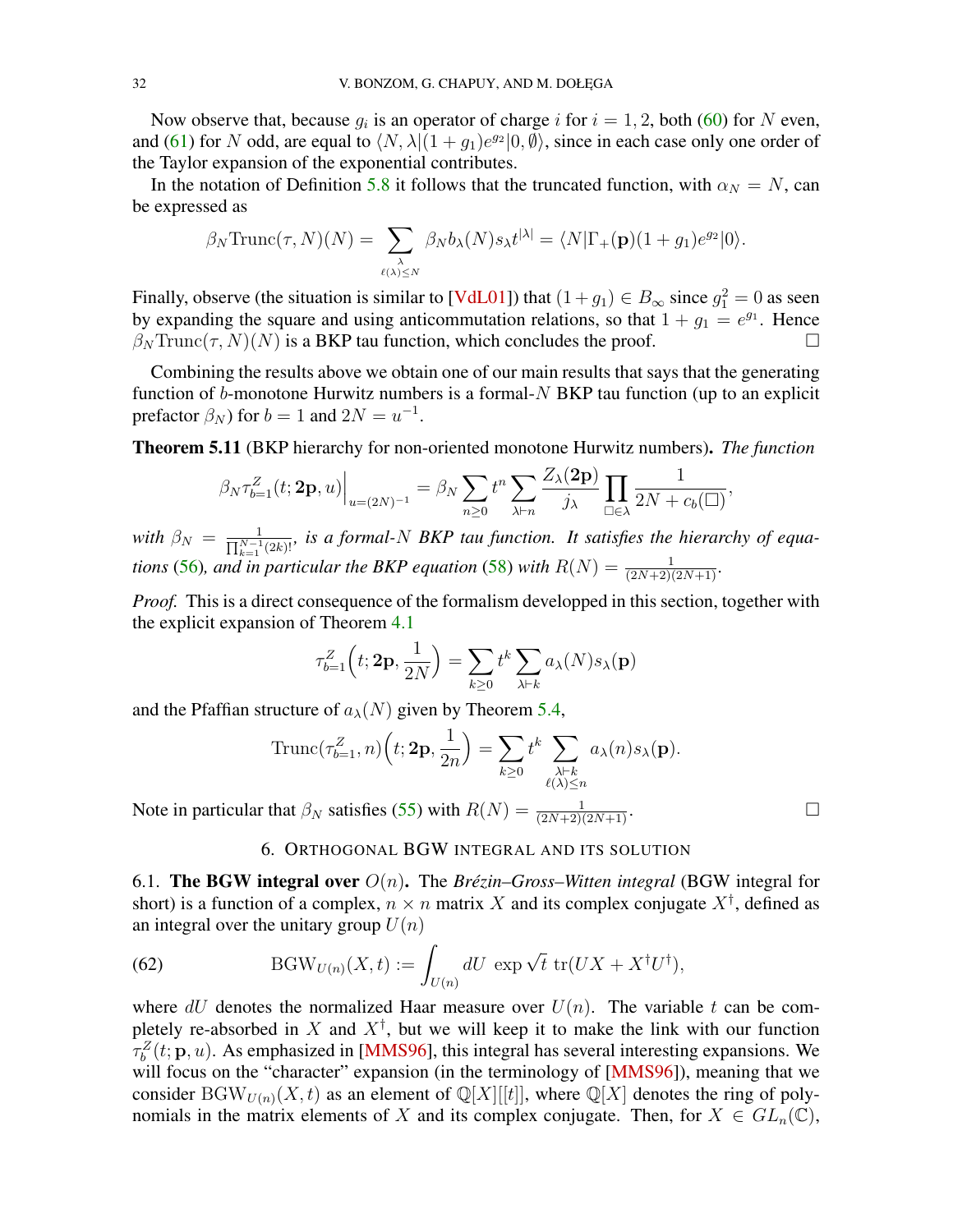<span id="page-31-2"></span>Now observe that, because  $g_i$  is an operator of charge i for  $i = 1, 2$ , both [\(60\)](#page-30-1) for N even, and [\(61\)](#page-30-2) for N odd, are equal to  $\langle N, \lambda | (1 + g_1)e^{g_2} | 0, \emptyset \rangle$ , since in each case only one order of the Taylor expansion of the exponential contributes.

In the notation of Definition [5.8](#page-28-2) it follows that the truncated function, with  $\alpha_N = N$ , can be expressed as

$$
\beta_N \text{Trunc}(\tau, N)(N) = \sum_{\substack{\lambda \\ \ell(\lambda) \le N}} \beta_N b_\lambda(N) s_\lambda t^{|\lambda|} = \langle N|\Gamma_+(\mathbf{p})(1+g_1)e^{g_2}|0\rangle.
$$

Finally, observe (the situation is similar to [\[VdL01\]](#page-41-3)) that  $(1+g_1) \in B_{\infty}$  since  $g_1^2 = 0$  as seen by expanding the square and using anticommutation relations, so that  $1 + g_1 = e^{g_1}$ . Hence  $\beta_N$ Trunc $(\tau, N)(N)$  is a BKP tau function, which concludes the proof.

Combining the results above we obtain one of our main results that says that the generating function of  $b$ -monotone Hurwitz numbers is a formal- $N$  BKP tau function (up to an explicit prefactor  $\beta_N$ ) for  $b = 1$  and  $2N = u^{-1}$ .

<span id="page-31-0"></span>Theorem 5.11 (BKP hierarchy for non-oriented monotone Hurwitz numbers). *The function*

$$
\beta_N \tau_{b=1}^Z(t; \mathbf{2p}, u)\Big|_{u=(2N)^{-1}} = \beta_N \sum_{n\geq 0} t^n \sum_{\lambda \vdash n} \frac{Z_{\lambda}(\mathbf{2p})}{j_{\lambda}} \prod_{\square \in \lambda} \frac{1}{2N + c_b(\square)},
$$

with  $\beta_N = \frac{1}{\prod_{k=1}^{N-1} (2k)!}$ , is a formal-N BKP tau function. It satisfies the hierarchy of equa*tions* [\(56\)](#page-29-0), and in particular the BKP equation [\(58\)](#page-29-3) with  $R(N) = \frac{1}{(2N+2)(2N+1)}$ .

*Proof.* This is a direct consequence of the formalism developped in this section, together with the explicit expansion of Theorem [4.1](#page-14-0)

$$
\tau_{b=1}^Z(t; 2\mathbf{p}, \frac{1}{2N}) = \sum_{k \ge 0} t^k \sum_{\lambda \vdash k} a_\lambda(N) s_\lambda(\mathbf{p})
$$

and the Pfaffian structure of  $a_{\lambda}(N)$  given by Theorem [5.4,](#page-21-2)

Trunc
$$
(\tau_{b=1}^Z, n)
$$
 $(t; 2\mathbf{p}, \frac{1}{2n}) = \sum_{k \geq 0} t^k \sum_{\substack{\lambda \vdash k \\ \ell(\lambda) \leq n}} a_{\lambda}(n) s_{\lambda}(\mathbf{p}).$ 

Note in particular that  $\beta_N$  satisfies [\(55\)](#page-29-1) with  $R(N) = \frac{1}{(2N+2)(2N+1)}$ .

## 6. ORTHOGONAL BGW INTEGRAL AND ITS SOLUTION

<span id="page-31-1"></span>6.1. **The BGW integral over**  $O(n)$ . The *Brézin–Gross–Witten integral* (BGW integral for short) is a function of a complex,  $n \times n$  matrix X and its complex conjugate  $X^{\dagger}$ , defined as an integral over the unitary group  $U(n)$ 

(62) 
$$
\text{BGW}_{U(n)}(X,t) := \int_{U(n)} dU \, \exp \sqrt{t} \, \text{tr}(UX + X^{\dagger}U^{\dagger}),
$$

where dU denotes the normalized Haar measure over  $U(n)$ . The variable t can be completely re-absorbed in X and  $X^{\dagger}$ , but we will keep it to make the link with our function  $\tau_b^Z(t; \mathbf{p}, u)$ . As emphasized in [\[MMS96\]](#page-40-7), this integral has several interesting expansions. We will focus on the "character" expansion (in the terminology of [\[MMS96\]](#page-40-7)), meaning that we consider BGW<sub>U(n)</sub>(X, t) as an element of  $\mathbb{Q}[X][[t]]$ , where  $\mathbb{Q}[X]$  denotes the ring of polynomials in the matrix elements of X and its complex conjugate. Then, for  $X \in GL_n(\mathbb{C})$ ,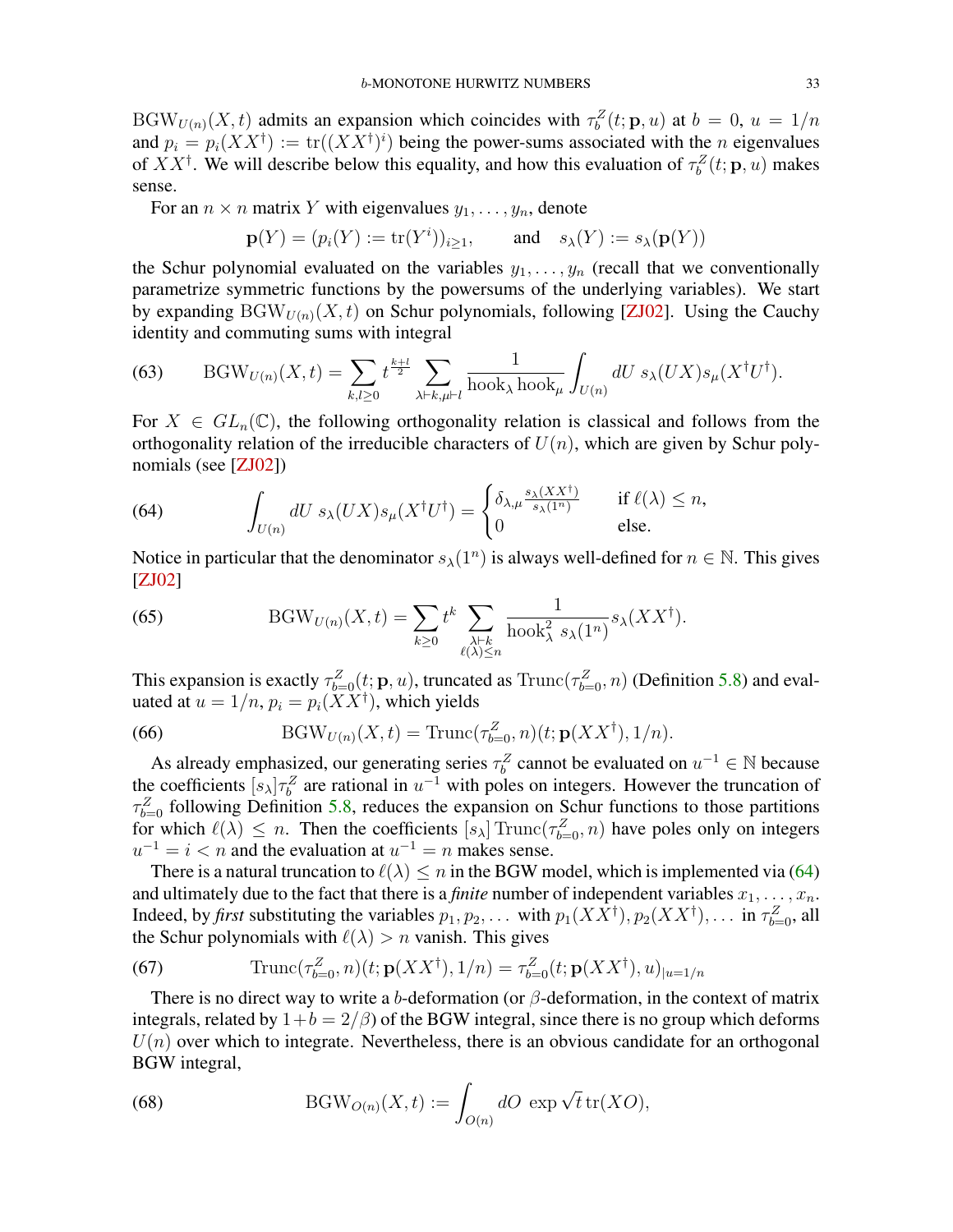<span id="page-32-2"></span> $BGW_{U(n)}(X,t)$  admits an expansion which coincides with  $\tau_b^Z(t; \mathbf{p}, u)$  at  $b = 0, u = 1/n$ and  $p_i = p_i(XX^{\dagger}) := \text{tr}((XX^{\dagger})^i)$  being the power-sums associated with the *n* eigenvalues of  $XX^{\dagger}$ . We will describe below this equality, and how this evaluation of  $\tau_b^Z(t; \mathbf{p}, u)$  makes sense.

For an  $n \times n$  matrix Y with eigenvalues  $y_1, \ldots, y_n$ , denote

$$
\mathbf{p}(Y) = (p_i(Y) := \text{tr}(Y^i))_{i \ge 1}, \quad \text{and} \quad s_\lambda(Y) := s_\lambda(\mathbf{p}(Y))
$$

the Schur polynomial evaluated on the variables  $y_1, \ldots, y_n$  (recall that we conventionally parametrize symmetric functions by the powersums of the underlying variables). We start by expanding  $BGW_{U(n)}(X, t)$  on Schur polynomials, following [\[ZJ02\]](#page-41-12). Using the Cauchy identity and commuting sums with integral

(63) 
$$
\text{BGW}_{U(n)}(X,t) = \sum_{k,l\geq 0} t^{\frac{k+l}{2}} \sum_{\lambda \vdash k,\mu \vdash l} \frac{1}{\text{hook}_{\lambda} \text{hook}_{\mu}} \int_{U(n)} dU \ s_{\lambda}(UX) s_{\mu}(X^{\dagger}U^{\dagger}).
$$

For  $X \in GL_n(\mathbb{C})$ , the following orthogonality relation is classical and follows from the orthogonality relation of the irreducible characters of  $U(n)$ , which are given by Schur polynomials (see [\[ZJ02\]](#page-41-12))

<span id="page-32-1"></span>(64) 
$$
\int_{U(n)} dU \, s_{\lambda}(UX) s_{\mu}(X^{\dagger}U^{\dagger}) = \begin{cases} \delta_{\lambda,\mu} \frac{s_{\lambda}(XX^{\dagger})}{s_{\lambda}(1^n)} & \text{if } \ell(\lambda) \leq n, \\ 0 & \text{else.} \end{cases}
$$

Notice in particular that the denominator  $s_{\lambda}(1^n)$  is always well-defined for  $n \in \mathbb{N}$ . This gives [\[ZJ02\]](#page-41-12)

(65) 
$$
BGW_{U(n)}(X,t) = \sum_{k\geq 0} t^k \sum_{\substack{\lambda \vdash k \\ \ell(\lambda) \leq n}} \frac{1}{\text{hook}_{\lambda}^2 s_{\lambda}(1^n)} s_{\lambda}(XX^{\dagger}).
$$

This expansion is exactly  $\tau_{b=0}^Z(t; \mathbf{p}, u)$ , truncated as  $\text{Trunc}(\tau_{b=0}^Z, n)$  (Definition [5.8\)](#page-28-2) and evaluated at  $u = 1/n$ ,  $p_i = p_i(\overline{XX}^{\dagger})$ , which yields

(66) 
$$
BGW_{U(n)}(X,t) = Trunc(\tau_{b=0}^Z, n)(t; \mathbf{p}(XX^{\dagger}), 1/n).
$$

As already emphasized, our generating series  $\tau_b^Z$  cannot be evaluated on  $u^{-1} \in \mathbb{N}$  because the coefficients  $[s_\lambda] \tau_b^Z$  are rational in  $u^{-1}$  with poles on integers. However the truncation of  $\tau_{b=0}^{Z}$  following Definition [5.8,](#page-28-2) reduces the expansion on Schur functions to those partitions for which  $\ell(\lambda) \leq n$ . Then the coefficients  $[s_{\lambda}]$  Trunc $(\tau_{b=0}^Z, n)$  have poles only on integers  $u^{-1} = i < n$  and the evaluation at  $u^{-1} = n$  makes sense.

There is a natural truncation to  $\ell(\lambda) \leq n$  in the BGW model, which is implemented via [\(64\)](#page-32-1) and ultimately due to the fact that there is a *finite* number of independent variables  $x_1, \ldots, x_n$ . Indeed, by *first* substituting the variables  $p_1, p_2, \ldots$  with  $p_1(XX^{\dagger}), p_2(XX^{\dagger}), \ldots$  in  $\tau_{b=0}^Z$ , all the Schur polynomials with  $\ell(\lambda) > n$  vanish. This gives

<span id="page-32-0"></span>(67) 
$$
\text{Trunc}(\tau_{b=0}^Z, n)(t; \mathbf{p}(XX^\dagger), 1/n) = \tau_{b=0}^Z(t; \mathbf{p}(XX^\dagger), u)_{|u=1/n}
$$

There is no direct way to write a b-deformation (or  $\beta$ -deformation, in the context of matrix integrals, related by  $1+b = 2/\beta$ ) of the BGW integral, since there is no group which deforms  $U(n)$  over which to integrate. Nevertheless, there is an obvious candidate for an orthogonal BGW integral,

(68) 
$$
BGW_{O(n)}(X,t) := \int_{O(n)} dO \exp \sqrt{t} \operatorname{tr}(XO),
$$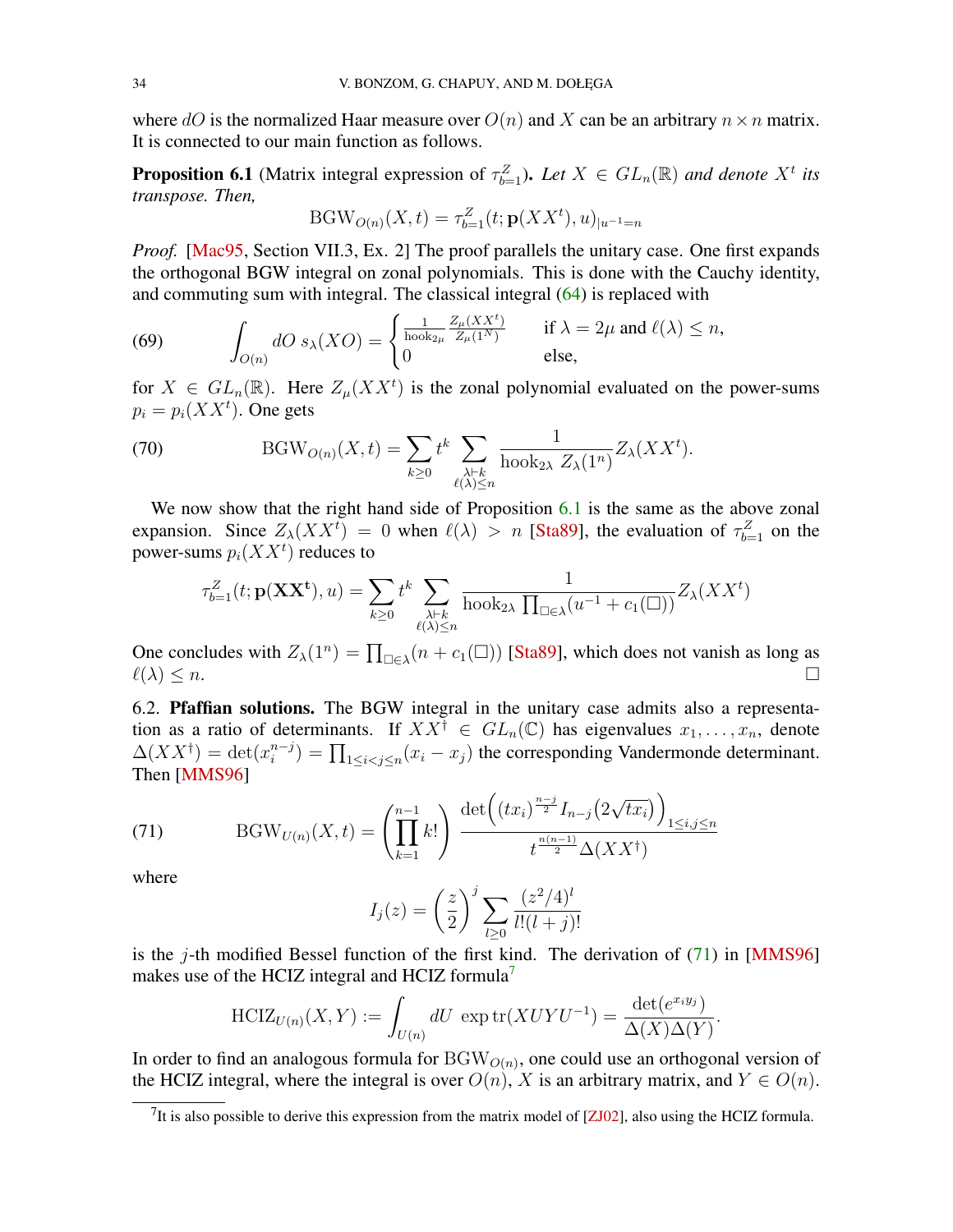<span id="page-33-3"></span>where dO is the normalized Haar measure over  $O(n)$  and X can be an arbitrary  $n \times n$  matrix. It is connected to our main function as follows.

<span id="page-33-0"></span>**Proposition 6.1** (Matrix integral expression of  $\tau_{b=1}^Z$ ). Let  $X \in GL_n(\mathbb{R})$  and denote  $X^t$  its *transpose. Then,*

$$
BGW_{O(n)}(X,t) = \tau_{b=1}^Z(t; \mathbf{p}(XX^t), u)_{|u^{-1}=n}
$$

*Proof.* [\[Mac95,](#page-40-16) Section VII.3, Ex. 2] The proof parallels the unitary case. One first expands the orthogonal BGW integral on zonal polynomials. This is done with the Cauchy identity, and commuting sum with integral. The classical integral [\(64\)](#page-32-1) is replaced with

(69) 
$$
\int_{O(n)} dO \ s_{\lambda}(XO) = \begin{cases} \frac{1}{\text{hook} \ \mathbb{Z}_{\mu}(XX^t)} & \text{if } \lambda = 2\mu \text{ and } \ell(\lambda) \leq n, \\ 0 & \text{else,} \end{cases}
$$

for  $X \in GL_n(\mathbb{R})$ . Here  $Z_{\mu}(XX^t)$  is the zonal polynomial evaluated on the power-sums  $p_i = p_i(XX^t)$ . One gets

(70) 
$$
BGW_{O(n)}(X,t) = \sum_{k\geq 0} t^k \sum_{\substack{\lambda \vdash k \\ \ell(\lambda)\leq n}} \frac{1}{\text{hook}_{2\lambda} Z_{\lambda}(1^n)} Z_{\lambda}(XX^t).
$$

We now show that the right hand side of Proposition [6.1](#page-33-0) is the same as the above zonal expansion. Since  $Z_{\lambda}(XX^t) = 0$  when  $\ell(\lambda) > n$  [\[Sta89\]](#page-41-6), the evaluation of  $\tau_{b=1}^Z$  on the power-sums  $p_i(XX^t)$  reduces to

$$
\tau_{b=1}^Z(t; \mathbf{p}(\mathbf{XX}^t), u) = \sum_{k \ge 0} t^k \sum_{\substack{\lambda \vdash k \\ \ell(\lambda) \le n}} \frac{1}{\text{hook}_{2\lambda} \prod_{\square \in \lambda} (u^{-1} + c_1(\square))} Z_{\lambda}(XX^t)
$$

One concludes with  $Z_{\lambda}(1^n) = \prod_{\square \in \lambda} (n + c_1(\square))$  [\[Sta89\]](#page-41-6), which does not vanish as long as  $\ell(\lambda) \leq n.$ 

6.2. Pfaffian solutions. The BGW integral in the unitary case admits also a representation as a ratio of determinants. If  $XX^{\dagger} \in GL_n(\mathbb{C})$  has eigenvalues  $x_1, \ldots, x_n$ , denote  $\Delta(XX^{\dagger}) = \det(x_i^{n-j})$  $\prod_{i=1}^{n-j}$  =  $\prod_{1 \le i < j \le n} (x_i - x_j)$  the corresponding Vandermonde determinant. Then [\[MMS96\]](#page-40-7)

<span id="page-33-1"></span>(71) 
$$
BGW_{U(n)}(X,t) = \left(\prod_{k=1}^{n-1} k!\right) \frac{\det\left((tx_i)^{\frac{n-j}{2}} I_{n-j}\left(2\sqrt{tx_i}\right)\right)_{1 \le i,j \le n}}{t^{\frac{n(n-1)}{2}} \Delta(XX^{\dagger})}
$$

where

$$
I_j(z) = \left(\frac{z}{2}\right)^j \sum_{l \ge 0} \frac{(z^2/4)^l}{l!(l+j)!}
$$

is the j-th modified Bessel function of the first kind. The derivation of  $(71)$  in [\[MMS96\]](#page-40-7) makes use of the HCIZ integral and HCIZ formula<sup>[7](#page-33-2)</sup>

$$
\text{HCIZ}_{U(n)}(X,Y) := \int_{U(n)} dU \, \exp \text{tr}(XUYU^{-1}) = \frac{\det(e^{x_i y_j})}{\Delta(X)\Delta(Y)}.
$$

In order to find an analogous formula for  $BGW_{O(n)}$ , one could use an orthogonal version of the HCIZ integral, where the integral is over  $O(n)$ , X is an arbitrary matrix, and  $Y \in O(n)$ .

<span id="page-33-2"></span><sup>&</sup>lt;sup>7</sup>It is also possible to derive this expression from the matrix model of [ $ZJ02$ ], also using the HCIZ formula.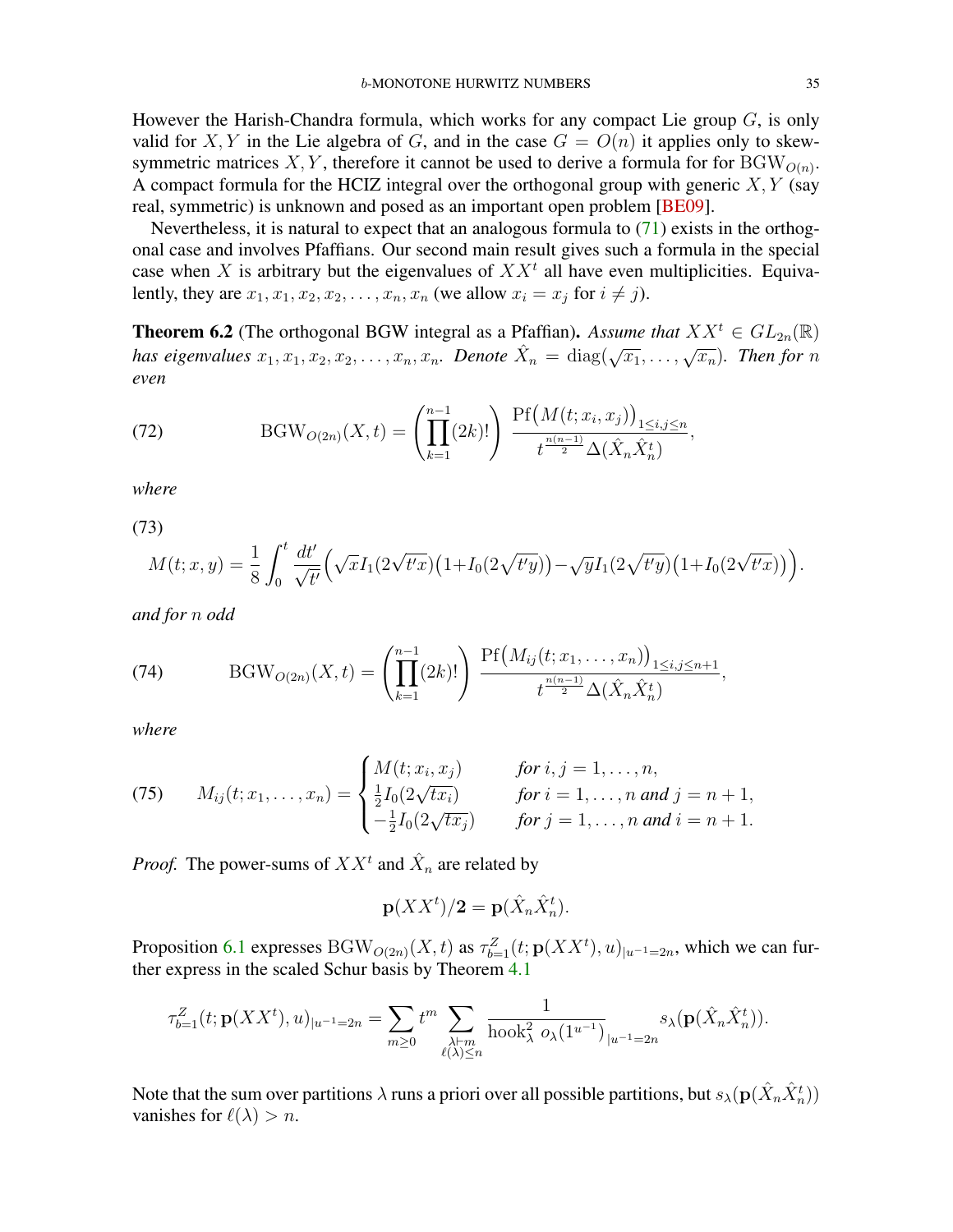<span id="page-34-1"></span>However the Harish-Chandra formula, which works for any compact Lie group  $G$ , is only valid for X, Y in the Lie algebra of G, and in the case  $G = O(n)$  it applies only to skewsymmetric matrices X, Y, therefore it cannot be used to derive a formula for for  $BGW<sub>O(n)</sub>$ . A compact formula for the HCIZ integral over the orthogonal group with generic  $X, Y$  (say real, symmetric) is unknown and posed as an important open problem [\[BE09\]](#page-39-6).

Nevertheless, it is natural to expect that an analogous formula to [\(71\)](#page-33-1) exists in the orthogonal case and involves Pfaffians. Our second main result gives such a formula in the special case when X is arbitrary but the eigenvalues of  $XX<sup>t</sup>$  all have even multiplicities. Equivalently, they are  $x_1, x_1, x_2, x_2, \ldots, x_n, x_n$  (we allow  $x_i = x_j$  for  $i \neq j$ ).

<span id="page-34-0"></span>**Theorem 6.2** (The orthogonal BGW integral as a Pfaffian). Assume that  $XX^t \in GL_{2n}(\mathbb{R})$ *has eigenvalues*  $x_1, x_1, x_2, x_2, \ldots, x_n, x_n$ . *Denote*  $\hat{X}_n = \text{diag}(\sqrt{x_1}, \ldots, \sqrt{x_n})$ . *Then for* n *even*

(72) 
$$
BGW_{O(2n)}(X,t) = \left(\prod_{k=1}^{n-1} (2k)! \right) \frac{Pf(M(t;x_i,x_j))_{1 \le i,j \le n}}{t^{\frac{n(n-1)}{2}} \Delta(\hat{X}_n \hat{X}_n^t)},
$$

*where*

(73)

$$
M(t;x,y) = \frac{1}{8} \int_0^t \frac{dt'}{\sqrt{t'}} \Big( \sqrt{x} I_1(2\sqrt{t'x}) \big( 1 + I_0(2\sqrt{t'y}) \big) - \sqrt{y} I_1(2\sqrt{t'y}) \big( 1 + I_0(2\sqrt{t'x}) \big) \Big).
$$

*and for* n *odd*

(74) 
$$
BGW_{O(2n)}(X,t) = \left(\prod_{k=1}^{n-1} (2k)! \right) \frac{Pf(M_{ij}(t;x_1,\ldots,x_n))_{1 \le i,j \le n+1}}{t^{\frac{n(n-1)}{2}}\Delta(\hat{X}_n \hat{X}_n^t)},
$$

*where*

(75) 
$$
M_{ij}(t; x_1, ..., x_n) = \begin{cases} M(t; x_i, x_j) & \text{for } i, j = 1, ..., n, \\ \frac{1}{2} I_0(2\sqrt{tx_i}) & \text{for } i = 1, ..., n \text{ and } j = n + 1, \\ -\frac{1}{2} I_0(2\sqrt{tx_j}) & \text{for } j = 1, ..., n \text{ and } i = n + 1. \end{cases}
$$

*Proof.* The power-sums of  $XX<sup>t</sup>$  and  $\hat{X}_n$  are related by

$$
\mathbf{p}(XX^t)/2 = \mathbf{p}(\hat{X}_n \hat{X}_n^t).
$$

Proposition [6.1](#page-33-0) expresses BGW<sub>O(2n)</sub>(X, t) as  $\tau_{b=1}^Z(t; \mathbf{p}(XX^t), u)_{|u^{-1}=2n}$ , which we can further express in the scaled Schur basis by Theorem [4.1](#page-14-0)

$$
\tau_{b=1}^Z(t; \mathbf{p}(XX^t), u)_{|u^{-1}=2n} = \sum_{m\geq 0} t^m \sum_{\substack{\lambda\vdash m\\ \ell(\lambda)\leq n}} \frac{1}{\text{hook}^2 \lambda(1^{u^{-1}})} \sum_{|u^{-1}=2n} s_{\lambda}(\mathbf{p}(\hat{X}_n \hat{X}_n^t)).
$$

Note that the sum over partitions  $\lambda$  runs a priori over all possible partitions, but  $s_\lambda(\mathbf{p}(\hat{X}_n\hat{X}_n^t))$ vanishes for  $\ell(\lambda) > n$ .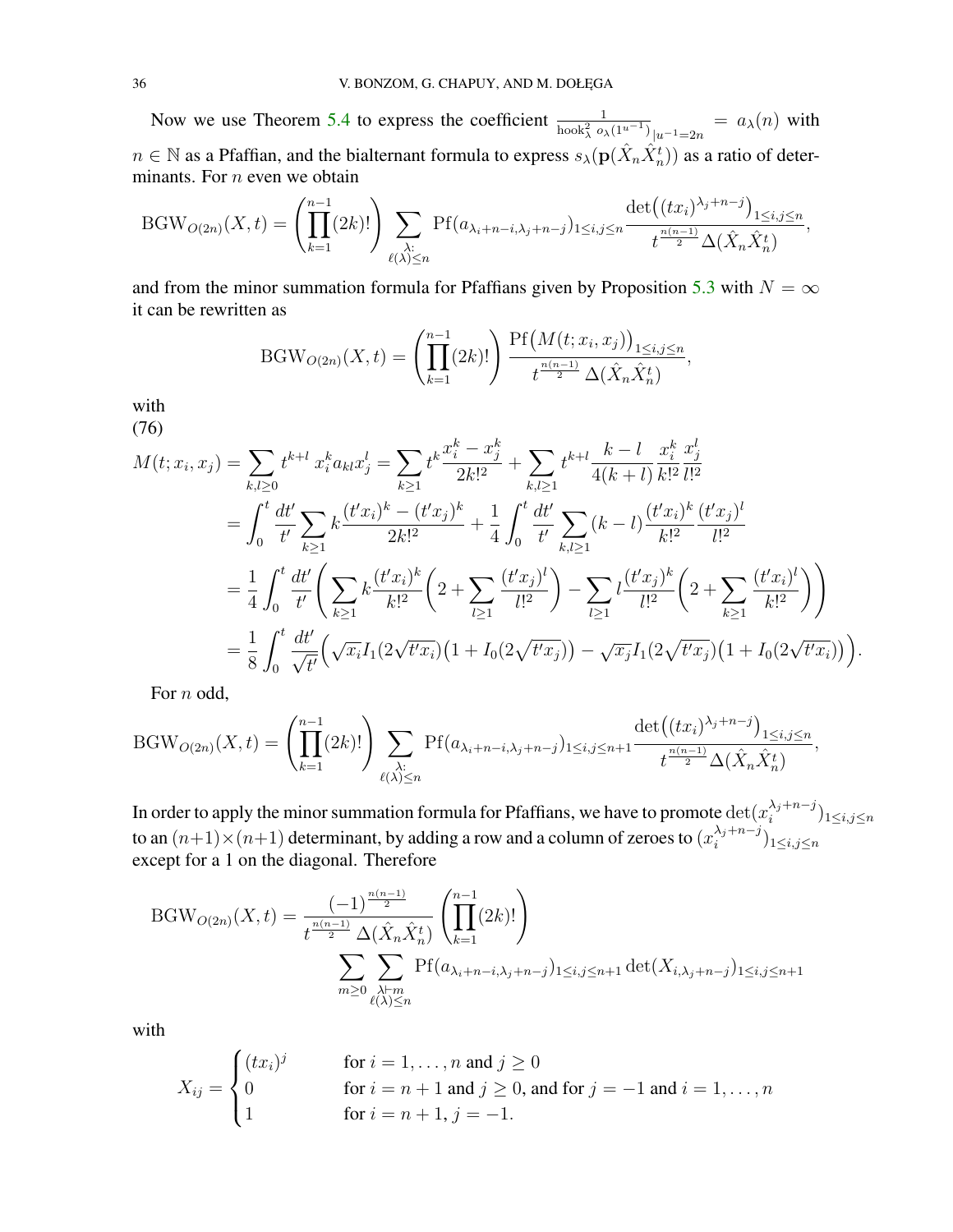Now we use Theorem [5.4](#page-21-2) to express the coefficient  $\frac{1}{\text{hook}_{\lambda}^{2} \circ_{\lambda}(1^{u-1})_{|u^{-1}=2n}} = a_{\lambda}(n)$  with  $n \in \mathbb{N}$  as a Pfaffian, and the bialternant formula to express  $s_\lambda(\mathbf{p}(\hat{X}_n \hat{X}_n^t))$  as a ratio of determinants. For  $n$  even we obtain

$$
BGW_{O(2n)}(X,t) = \left(\prod_{k=1}^{n-1} (2k)!\right) \sum_{\substack{\lambda:\ \ell(\lambda)\leq n}} Pf(a_{\lambda_i+n-i,\lambda_j+n-j})_{1\leq i,j\leq n} \frac{\det((tx_i)^{\lambda_j+n-j})_{1\leq i,j\leq n}}{t^{\frac{n(n-1)}{2}}\Delta(\hat{X}_n\hat{X}_n^t)},
$$

and from the minor summation formula for Pfaffians given by Proposition [5.3](#page-21-3) with  $N = \infty$ it can be rewritten as

$$
BGW_{O(2n)}(X,t) = \left(\prod_{k=1}^{n-1} (2k)! \right) \frac{\text{Pf}\left(M(t;x_i,x_j)\right)_{1 \le i,j \le n}}{t^{\frac{n(n-1)}{2}} \Delta(\hat{X}_n \hat{X}_n^t)},
$$

with

(76)

<span id="page-35-0"></span>
$$
M(t; x_i, x_j) = \sum_{k,l \geq 0} t^{k+l} x_i^k a_{kl} x_j^l = \sum_{k \geq 1} t^k \frac{x_i^k - x_j^k}{2k!^2} + \sum_{k,l \geq 1} t^{k+l} \frac{k-l}{4(k+l)} \frac{x_i^k}{k!^2} \frac{x_j^l}{l!^2}
$$
  
\n
$$
= \int_0^t \frac{dt'}{t'} \sum_{k \geq 1} k \frac{(t' x_i)^k - (t' x_j)^k}{2k!^2} + \frac{1}{4} \int_0^t \frac{dt'}{t'} \sum_{k,l \geq 1} (k-l) \frac{(t' x_i)^k}{k!^2} \frac{(t' x_j)^l}{l!^2}
$$
  
\n
$$
= \frac{1}{4} \int_0^t \frac{dt'}{t'} \left( \sum_{k \geq 1} k \frac{(t' x_i)^k}{k!^2} \left( 2 + \sum_{l \geq 1} \frac{(t' x_j)^l}{l!^2} \right) - \sum_{l \geq 1} l \frac{(t' x_j)^k}{l!^2} \left( 2 + \sum_{k \geq 1} \frac{(t' x_i)^l}{k!^2} \right) \right)
$$
  
\n
$$
= \frac{1}{8} \int_0^t \frac{dt'}{\sqrt{t'}} \left( \sqrt{x_i} I_1(2\sqrt{t' x_i}) \left( 1 + I_0(2\sqrt{t' x_j}) \right) - \sqrt{x_j} I_1(2\sqrt{t' x_j}) \left( 1 + I_0(2\sqrt{t' x_i}) \right) \right).
$$

For *n* odd,

$$
BGW_{O(2n)}(X,t) = \left(\prod_{k=1}^{n-1} (2k)! \right) \sum_{\substack{\lambda:\ \lambda \leq n}} Pf(a_{\lambda_i+n-i,\lambda_j+n-j})_{1 \leq i,j \leq n+1} \frac{\det((tx_i)^{\lambda_j+n-j})_{1 \leq i,j \leq n}}{t^{\frac{n(n-1)}{2}} \Delta(\hat{X}_n \hat{X}_n^t)},
$$

In order to apply the minor summation formula for Pfaffians, we have to promote  $\det(x_i^{\lambda_j+n-j})$  $\binom{\lambda_j+n-j}{i}$ l $\leq i,j \leq n$ to an  $(n+1) \times (n+1)$  determinant, by adding a row and a column of zeroes to  $(x_i^{\lambda_j+n-j})$  $\binom{\lambda_j+n-j}{i}$ <sub>1 $\leq i,j \leq n$ </sub> except for a 1 on the diagonal. Therefore

$$
BGW_{O(2n)}(X,t) = \frac{(-1)^{\frac{n(n-1)}{2}}}{t^{\frac{n(n-1)}{2}}\Delta(\hat{X}_n\hat{X}_n^t)} \left(\prod_{k=1}^{n-1} (2k)! \right)
$$

$$
\sum_{m \ge 0} \sum_{\substack{\lambda \vdash m \\ \ell(\lambda) \le n}} Pf(a_{\lambda_i + n - i, \lambda_j + n - j})_{1 \le i, j \le n+1} \det(X_{i, \lambda_j + n - j})_{1 \le i, j \le n+1}
$$

with

$$
X_{ij} = \begin{cases} (tx_i)^j & \text{for } i = 1, \dots, n \text{ and } j \ge 0\\ 0 & \text{for } i = n+1 \text{ and } j \ge 0, \text{ and for } j = -1 \text{ and } i = 1, \dots, n\\ 1 & \text{for } i = n+1, j = -1. \end{cases}
$$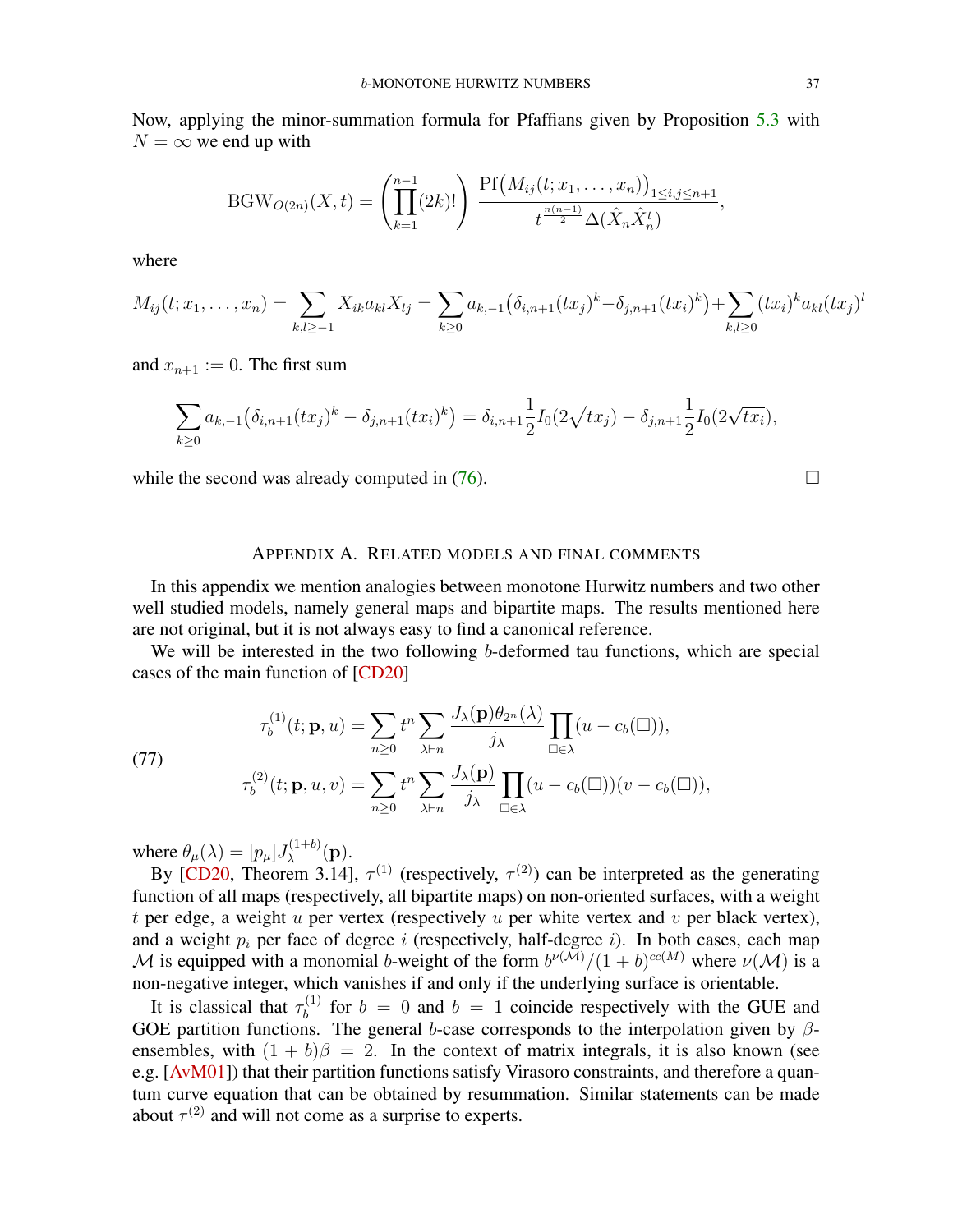<span id="page-36-2"></span>Now, applying the minor-summation formula for Pfaffians given by Proposition [5.3](#page-21-3) with  $N = \infty$  we end up with

BGW<sub>O(2n)</sub>(X, t) = 
$$
\left(\prod_{k=1}^{n-1} (2k)! \right) \frac{\text{Pf}(M_{ij}(t; x_1, ..., x_n))_{1 \le i, j \le n+1}}{t^{\frac{n(n-1)}{2}} \Delta(\hat{X}_n \hat{X}_n^t)},
$$

where

$$
M_{ij}(t; x_1, \ldots, x_n) = \sum_{k,l \geq -1} X_{ik} a_{kl} X_{lj} = \sum_{k \geq 0} a_{k,-1} (\delta_{i,n+1} (tx_j)^k - \delta_{j,n+1} (tx_i)^k) + \sum_{k,l \geq 0} (tx_i)^k a_{kl} (tx_j)^l
$$

and  $x_{n+1} := 0$ . The first sum

$$
\sum_{k\geq 0} a_{k,-1} (\delta_{i,n+1} (tx_j)^k - \delta_{j,n+1} (tx_i)^k) = \delta_{i,n+1} \frac{1}{2} I_0(2\sqrt{tx_j}) - \delta_{j,n+1} \frac{1}{2} I_0(2\sqrt{tx_i}),
$$

while the second was already computed in  $(76)$ .

### APPENDIX A. RELATED MODELS AND FINAL COMMENTS

<span id="page-36-0"></span>In this appendix we mention analogies between monotone Hurwitz numbers and two other well studied models, namely general maps and bipartite maps. The results mentioned here are not original, but it is not always easy to find a canonical reference.

We will be interested in the two following b-deformed tau functions, which are special cases of the main function of [\[CD20\]](#page-39-4)

<span id="page-36-1"></span>(77)  

$$
\tau_b^{(1)}(t; \mathbf{p}, u) = \sum_{n \ge 0} t^n \sum_{\lambda \vdash n} \frac{J_{\lambda}(\mathbf{p}) \theta_{2^n}(\lambda)}{j_{\lambda}} \prod_{\square \in \lambda} (u - c_b(\square)),
$$

$$
\tau_b^{(2)}(t; \mathbf{p}, u, v) = \sum_{n \ge 0} t^n \sum_{\lambda \vdash n} \frac{J_{\lambda}(\mathbf{p})}{j_{\lambda}} \prod_{\square \in \lambda} (u - c_b(\square))(v - c_b(\square)),
$$

where  $\theta_{\mu}(\lambda) = [p_{\mu}]J_{\lambda}^{(1+b)}(\mathbf{p}).$ λ

By [\[CD20,](#page-39-4) Theorem 3.14],  $\tau^{(1)}$  (respectively,  $\tau^{(2)}$ ) can be interpreted as the generating function of all maps (respectively, all bipartite maps) on non-oriented surfaces, with a weight t per edge, a weight  $u$  per vertex (respectively  $u$  per white vertex and  $v$  per black vertex), and a weight  $p_i$  per face of degree i (respectively, half-degree i). In both cases, each map M is equipped with a monomial b-weight of the form  $b^{\nu(M)}/(1+b)^{cc(M)}$  where  $\nu(M)$  is a non-negative integer, which vanishes if and only if the underlying surface is orientable.

It is classical that  $\tau_h^{(1)}$  $b_b^{(1)}$  for  $b = 0$  and  $b = 1$  coincide respectively with the GUE and GOE partition functions. The general b-case corresponds to the interpolation given by  $\beta$ ensembles, with  $(1 + b)\beta = 2$ . In the context of matrix integrals, it is also known (see e.g. [\[AvM01\]](#page-39-8)) that their partition functions satisfy Virasoro constraints, and therefore a quantum curve equation that can be obtained by resummation. Similar statements can be made about  $\tau^{(2)}$  and will not come as a surprise to experts.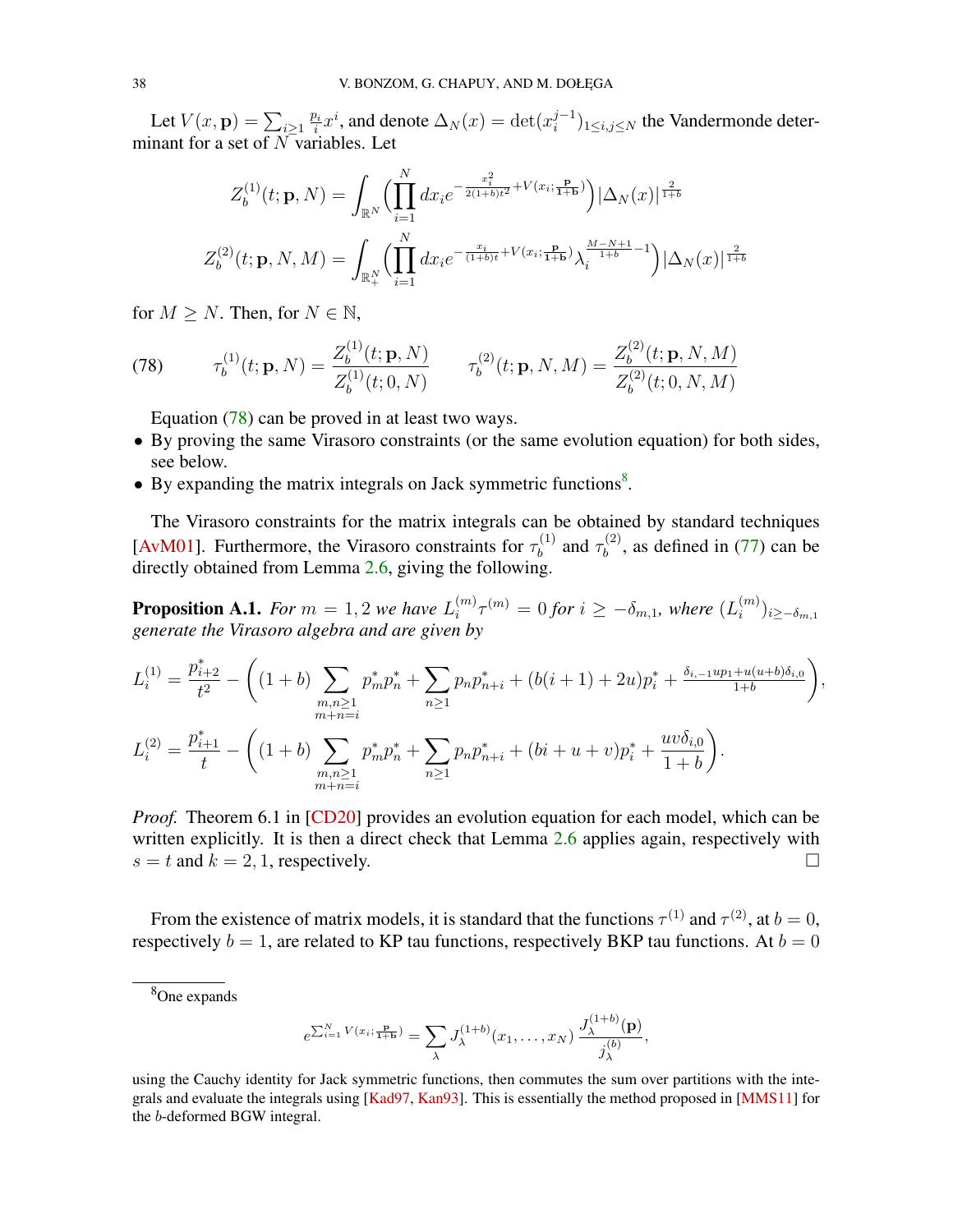<span id="page-37-2"></span>Let  $V(x, \mathbf{p}) = \sum_{i \geq 1} \frac{p_i}{i}$  $\frac{\partial i}{\partial i}x^i$ , and denote  $\Delta_N(x) = \det(x_i^{j-1})$  $\binom{j-1}{i}$ <sub>1 $\leq i,j \leq N$ </sub> the Vandermonde determinant for a set of  $N$  variables. Let

$$
Z_b^{(1)}(t; \mathbf{p}, N) = \int_{\mathbb{R}^N} \left( \prod_{i=1}^N dx_i e^{-\frac{x_i^2}{2(1+b)t^2} + V(x_i; \frac{\mathbf{p}}{1+b})} \right) |\Delta_N(x)|^{\frac{2}{1+b}}
$$

$$
Z_b^{(2)}(t; \mathbf{p}, N, M) = \int_{\mathbb{R}_+^N} \left( \prod_{i=1}^N dx_i e^{-\frac{x_i}{(1+b)t} + V(x_i; \frac{\mathbf{p}}{1+b})} \lambda_i^{\frac{M-N+1}{1+b}-1} \right) |\Delta_N(x)|^{\frac{2}{1+b}}
$$

for  $M \geq N$ . Then, for  $N \in \mathbb{N}$ ,

<span id="page-37-0"></span>(78) 
$$
\tau_b^{(1)}(t; \mathbf{p}, N) = \frac{Z_b^{(1)}(t; \mathbf{p}, N)}{Z_b^{(1)}(t; 0, N)} \qquad \tau_b^{(2)}(t; \mathbf{p}, N, M) = \frac{Z_b^{(2)}(t; \mathbf{p}, N, M)}{Z_b^{(2)}(t; 0, N, M)}
$$

Equation [\(78\)](#page-37-0) can be proved in at least two ways.

- By proving the same Virasoro constraints (or the same evolution equation) for both sides, see below.
- By expanding the matrix integrals on Jack symmetric functions $8$ .

The Virasoro constraints for the matrix integrals can be obtained by standard techniques [\[AvM01\]](#page-39-8). Furthermore, the Virasoro constraints for  $\tau_h^{(1)}$  $\tau_b^{(1)}$  and  $\tau_b^{(2)}$  $b_b^{(2)}$ , as defined in [\(77\)](#page-36-1) can be directly obtained from Lemma [2.6,](#page-7-1) giving the following.

**Proposition A.1.** *For*  $m = 1, 2$  *we have*  $L_i^{(m)}$  $\int_i^{(m)} \tau^{(m)} = 0$  for  $i \geq -\delta_{m,1}$ , where  $(L_i^{(m)})$  $\binom{m}{i}$ ) $i \geq -\delta_{m,1}$ *generate the Virasoro algebra and are given by*

$$
L_i^{(1)} = \frac{p_{i+2}^*}{t^2} - \left( (1+b) \sum_{\substack{m,n \geq 1 \\ m+n=i}} p_m^* p_n^* + \sum_{n \geq 1} p_n p_{n+i}^* + (b(i+1) + 2u)p_i^* + \frac{\delta_{i,-1} up_1 + u(u+b)\delta_{i,0}}{1+b} \right),
$$
  

$$
L_i^{(2)} = \frac{p_{i+1}^*}{t} - \left( (1+b) \sum_{\substack{m,n \geq 1 \\ m+n=i}} p_m^* p_n^* + \sum_{n \geq 1} p_n p_{n+i}^* + (bi+u+v)p_i^* + \frac{uv\delta_{i,0}}{1+b} \right).
$$

*Proof.* Theorem 6.1 in [\[CD20\]](#page-39-4) provides an evolution equation for each model, which can be written explicitly. It is then a direct check that Lemma [2.6](#page-7-1) applies again, respectively with  $s = t$  and  $k = 2, 1$ , respectively.

From the existence of matrix models, it is standard that the functions  $\tau^{(1)}$  and  $\tau^{(2)}$ , at  $b=0$ , respectively  $b = 1$ , are related to KP tau functions, respectively BKP tau functions. At  $b = 0$ 

$$
e^{\sum_{i=1}^{N} V(x_i; \frac{\mathbf{p}}{1+\mathbf{b}})} = \sum_{\lambda} J_{\lambda}^{(1+b)}(x_1, \dots, x_N) \frac{J_{\lambda}^{(1+b)}(\mathbf{p})}{j_{\lambda}^{(b)}},
$$

using the Cauchy identity for Jack symmetric functions, then commutes the sum over partitions with the inte-grals and evaluate the integrals using [\[Kad97,](#page-40-24) [Kan93\]](#page-40-17). This is essentially the method proposed in [\[MMS11\]](#page-40-11) for the b-deformed BGW integral.

<span id="page-37-1"></span><sup>8</sup>One expands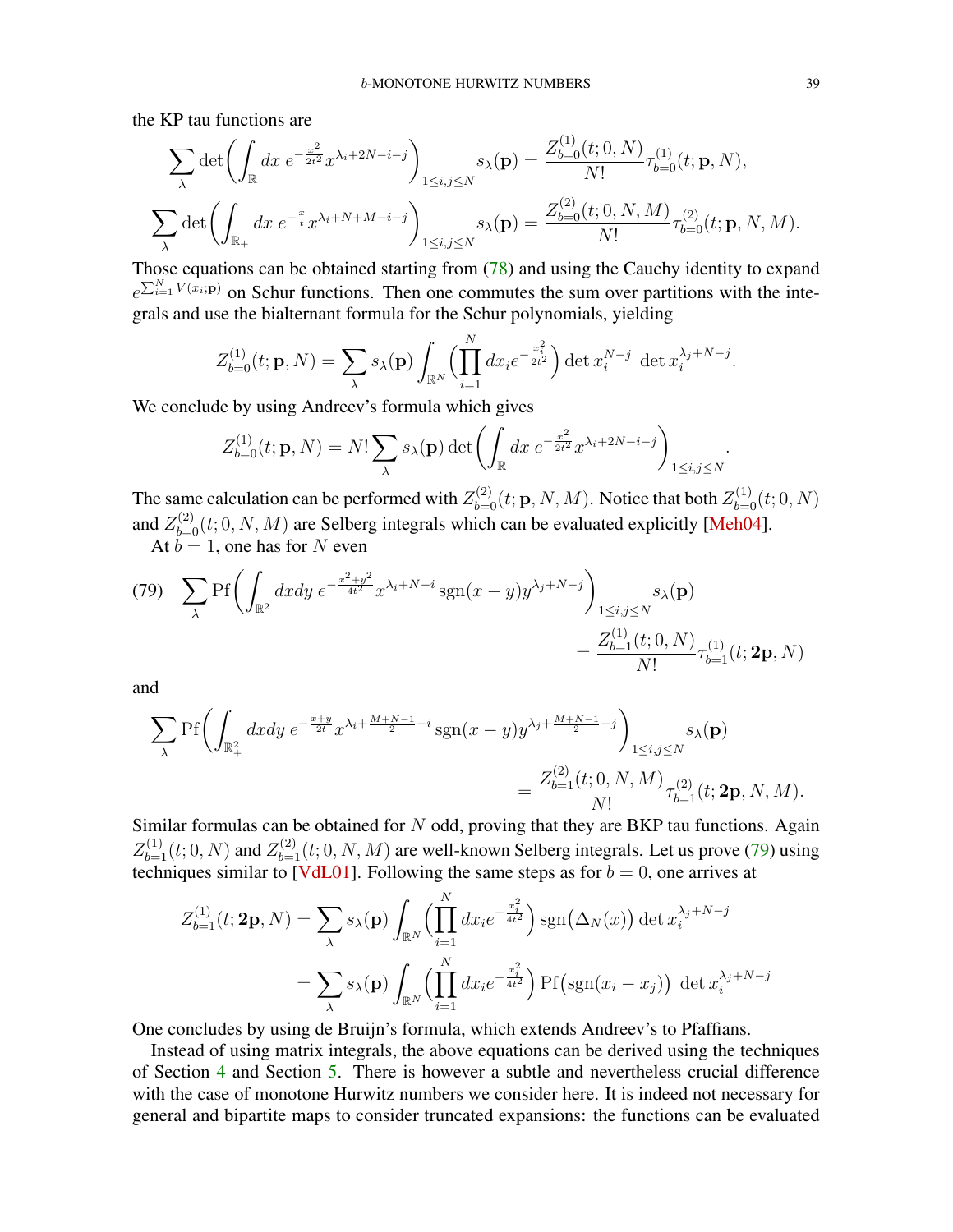<span id="page-38-1"></span>the KP tau functions are

$$
\sum_{\lambda} \det \left( \int_{\mathbb{R}} dx \ e^{-\frac{x^2}{2t^2}} x^{\lambda_i + 2N - i - j} \right)_{1 \le i, j \le N} s_{\lambda}(\mathbf{p}) = \frac{Z_{b=0}^{(1)}(t; 0, N)}{N!} \tau_{b=0}^{(1)}(t; \mathbf{p}, N),
$$
  

$$
\sum_{\lambda} \det \left( \int_{\mathbb{R}_+} dx \ e^{-\frac{x}{t}} x^{\lambda_i + N + M - i - j} \right)_{1 \le i, j \le N} s_{\lambda}(\mathbf{p}) = \frac{Z_{b=0}^{(2)}(t; 0, N, M)}{N!} \tau_{b=0}^{(2)}(t; \mathbf{p}, N, M).
$$

Those equations can be obtained starting from [\(78\)](#page-37-0) and using the Cauchy identity to expand  $e^{\sum_{i=1}^{N}V(x_i;\mathbf{p})}$  on Schur functions. Then one commutes the sum over partitions with the integrals and use the bialternant formula for the Schur polynomials, yielding

$$
Z_{b=0}^{(1)}(t; \mathbf{p}, N) = \sum_{\lambda} s_{\lambda}(\mathbf{p}) \int_{\mathbb{R}^{N}} \left( \prod_{i=1}^{N} dx_{i} e^{-\frac{x_{i}^{2}}{2t^{2}}} \right) \det x_{i}^{N-j} \det x_{i}^{\lambda_{j}+N-j}.
$$

We conclude by using Andreev's formula which gives

$$
Z_{b=0}^{(1)}(t; \mathbf{p}, N) = N! \sum_{\lambda} s_{\lambda}(\mathbf{p}) \det \left( \int_{\mathbb{R}} dx \ e^{-\frac{x^2}{2t^2}} x^{\lambda_i + 2N - i - j} \right)_{1 \le i, j \le N}.
$$

The same calculation can be performed with  $Z_{b=0}^{(2)}(t; \mathbf{p}, N, M)$ . Notice that both  $Z_{b=0}^{(1)}(t; 0, N)$ and  $Z_{b=0}^{(2)}(t; 0, N, M)$  are Selberg integrals which can be evaluated explicitly [\[Meh04\]](#page-40-9).

At  $b = 1$ , one has for N even

<span id="page-38-0"></span>(79) 
$$
\sum_{\lambda} \text{Pf}\left(\int_{\mathbb{R}^2} dx dy \ e^{-\frac{x^2 + y^2}{4t^2}} x^{\lambda_i + N - i} \text{sgn}(x - y) y^{\lambda_j + N - j}\right)_{1 \le i, j \le N} s_{\lambda}(\mathbf{p})
$$

$$
= \frac{Z_{b=1}^{(1)}(t; 0, N)}{N!} \tau_{b=1}^{(1)}(t; 2\mathbf{p}, N)
$$

and

$$
\sum_{\lambda} \text{Pf}\left(\int_{\mathbb{R}^2_+} dxdy \ e^{-\frac{x+y}{2t}} x^{\lambda_i + \frac{M+N-1}{2} - i} \text{sgn}(x-y) y^{\lambda_j + \frac{M+N-1}{2} - j}\right)_{1 \le i,j \le N} s_{\lambda}(\mathbf{p})
$$
  
= 
$$
\frac{Z_{b=1}^{(2)}(t; 0, N, M)}{N!} \tau_{b=1}^{(2)}(t; 2\mathbf{p}, N, M).
$$

Similar formulas can be obtained for  $N$  odd, proving that they are BKP tau functions. Again  $Z_{b=1}^{(1)}(t; 0, N)$  and  $Z_{b=1}^{(2)}(t; 0, N, M)$  are well-known Selberg integrals. Let us prove [\(79\)](#page-38-0) using techniques similar to [\[VdL01\]](#page-41-3). Following the same steps as for  $b = 0$ , one arrives at

$$
Z_{b=1}^{(1)}(t; \mathbf{2p}, N) = \sum_{\lambda} s_{\lambda}(\mathbf{p}) \int_{\mathbb{R}^N} \left( \prod_{i=1}^N dx_i e^{-\frac{x_i^2}{4t^2}} \right) \operatorname{sgn}(\Delta_N(x)) \det x_i^{\lambda_j + N - j}
$$
  
= 
$$
\sum_{\lambda} s_{\lambda}(\mathbf{p}) \int_{\mathbb{R}^N} \left( \prod_{i=1}^N dx_i e^{-\frac{x_i^2}{4t^2}} \right) \operatorname{Pf}(\operatorname{sgn}(x_i - x_j)) \det x_i^{\lambda_j + N - j}
$$

One concludes by using de Bruijn's formula, which extends Andreev's to Pfaffians.

Instead of using matrix integrals, the above equations can be derived using the techniques of Section [4](#page-13-0) and Section [5.](#page-20-0) There is however a subtle and nevertheless crucial difference with the case of monotone Hurwitz numbers we consider here. It is indeed not necessary for general and bipartite maps to consider truncated expansions: the functions can be evaluated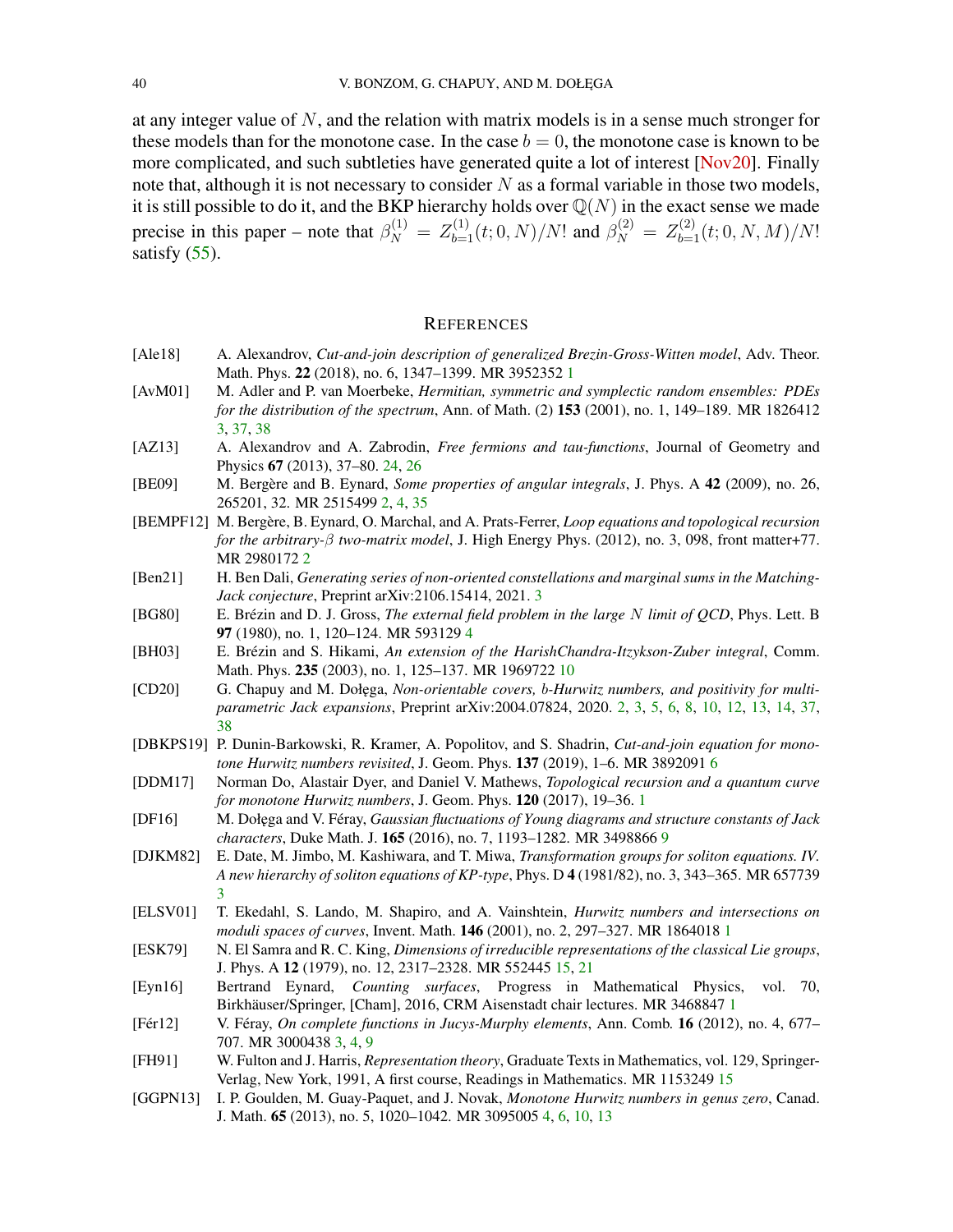<span id="page-39-19"></span>at any integer value of N, and the relation with matrix models is in a sense much stronger for these models than for the monotone case. In the case  $b = 0$ , the monotone case is known to be more complicated, and such subtleties have generated quite a lot of interest [\[Nov20\]](#page-41-1). Finally note that, although it is not necessary to consider  $N$  as a formal variable in those two models, it is still possible to do it, and the BKP hierarchy holds over  $\mathbb{Q}(N)$  in the exact sense we made precise in this paper – note that  $\beta_N^{(1)} = Z_{b=1}^{(1)}(t; 0, N)/N!$  and  $\beta_N^{(2)} = Z_{b=1}^{(2)}(t; 0, N, M)/N!$ satisfy  $(55)$ .

#### **REFERENCES**

- <span id="page-39-2"></span>[Ale18] A. Alexandrov, *Cut-and-join description of generalized Brezin-Gross-Witten model*, Adv. Theor. Math. Phys. 22 (2018), no. 6, 1347–1399. MR 3952352 [1](#page-0-0)
- <span id="page-39-8"></span>[AvM01] M. Adler and P. van Moerbeke, *Hermitian, symmetric and symplectic random ensembles: PDEs for the distribution of the spectrum*, Ann. of Math. (2) 153 (2001), no. 1, 149–189. MR 1826412 [3,](#page-2-1) [37,](#page-36-2) [38](#page-37-2)
- <span id="page-39-18"></span>[AZ13] A. Alexandrov and A. Zabrodin, *Free fermions and tau-functions*, Journal of Geometry and Physics 67 (2013), 37–80. [24,](#page-23-0) [26](#page-25-2)
- <span id="page-39-6"></span>[BE09] M. Bergère and B. Eynard, *Some properties of angular integrals*, J. Phys. A 42 (2009), no. 26, 265201, 32. MR 2515499 [2,](#page-1-3) [4,](#page-3-4) [35](#page-34-1)
- <span id="page-39-5"></span>[BEMPF12] M. Bergère, B. Eynard, O. Marchal, and A. Prats-Ferrer, *Loop equations and topological recursion for the arbitrary-*β *two-matrix model*, J. High Energy Phys. (2012), no. 3, 098, front matter+77. MR 2980172 [2](#page-1-3)
- <span id="page-39-7"></span>[Ben21] H. Ben Dali, *Generating series of non-oriented constellations and marginal sums in the Matching-Jack conjecture*, Preprint arXiv:2106.15414, 2021. [3](#page-2-1)
- <span id="page-39-12"></span>[BG80] E. Brézin and D. J. Gross, *The external field problem in the large* N *limit of QCD*, Phys. Lett. B 97 (1980), no. 1, 120–124. MR 593129 [4](#page-3-4)
- <span id="page-39-15"></span>[BH03] E. Brézin and S. Hikami, *An extension of the HarishChandra-Itzykson-Zuber integral*, Comm. Math. Phys. 235 (2003), no. 1, 125–137. MR 1969722 [10](#page-9-2)
- <span id="page-39-4"></span>[CD20] G. Chapuy and M. Doł˛ega, *Non-orientable covers,* b*-Hurwitz numbers, and positivity for multiparametric Jack expansions*, Preprint arXiv:2004.07824, 2020. [2,](#page-1-3) [3,](#page-2-1) [5,](#page-4-2) [6,](#page-5-8) [8,](#page-7-3) [10,](#page-9-2) [12,](#page-11-2) [13,](#page-12-2) [14,](#page-13-1) [37,](#page-36-2) [38](#page-37-2)
- <span id="page-39-13"></span>[DBKPS19] P. Dunin-Barkowski, R. Kramer, A. Popolitov, and S. Shadrin, *Cut-and-join equation for monotone Hurwitz numbers revisited*, J. Geom. Phys. 137 (2019), 1–6. MR 3892091 [6](#page-5-8)
- <span id="page-39-3"></span>[DDM17] Norman Do, Alastair Dyer, and Daniel V. Mathews, *Topological recursion and a quantum curve for monotone Hurwitz numbers*, J. Geom. Phys. 120 (2017), 19–36. [1](#page-0-0)
- <span id="page-39-14"></span>[DF16] M. Doł˛ega and V. Féray, *Gaussian fluctuations of Young diagrams and structure constants of Jack characters*, Duke Math. J. 165 (2016), no. 7, 1193–1282. MR 3498866 [9](#page-8-3)
- <span id="page-39-10"></span>[DJKM82] E. Date, M. Jimbo, M. Kashiwara, and T. Miwa, *Transformation groups for soliton equations. IV. A new hierarchy of soliton equations of KP-type*, Phys. D 4 (1981/82), no. 3, 343–365. MR 657739 [3](#page-2-1)
- <span id="page-39-0"></span>[ELSV01] T. Ekedahl, S. Lando, M. Shapiro, and A. Vainshtein, *Hurwitz numbers and intersections on moduli spaces of curves*, Invent. Math. 146 (2001), no. 2, 297–327. MR 1864018 [1](#page-0-0)
- <span id="page-39-17"></span>[ESK79] N. El Samra and R. C. King, *Dimensions of irreducible representations of the classical Lie groups*, J. Phys. A 12 (1979), no. 12, 2317–2328. MR 552445 [15,](#page-14-4) [21](#page-20-4)
- <span id="page-39-1"></span>[Eyn16] Bertrand Eynard, *Counting surfaces*, Progress in Mathematical Physics, vol. 70, Birkhäuser/Springer, [Cham], 2016, CRM Aisenstadt chair lectures. MR 3468847 [1](#page-0-0)
- <span id="page-39-9"></span>[Fér12] V. Féray, *On complete functions in Jucys-Murphy elements*, Ann. Comb. 16 (2012), no. 4, 677– 707. MR 3000438 [3,](#page-2-1) [4,](#page-3-4) [9](#page-8-3)
- <span id="page-39-16"></span>[FH91] W. Fulton and J. Harris, *Representation theory*, Graduate Texts in Mathematics, vol. 129, Springer-Verlag, New York, 1991, A first course, Readings in Mathematics. MR 1153249 [15](#page-14-4)
- <span id="page-39-11"></span>[GGPN13] I. P. Goulden, M. Guay-Paquet, and J. Novak, *Monotone Hurwitz numbers in genus zero*, Canad. J. Math. 65 (2013), no. 5, 1020–1042. MR 3095005 [4,](#page-3-4) [6,](#page-5-8) [10,](#page-9-2) [13](#page-12-2)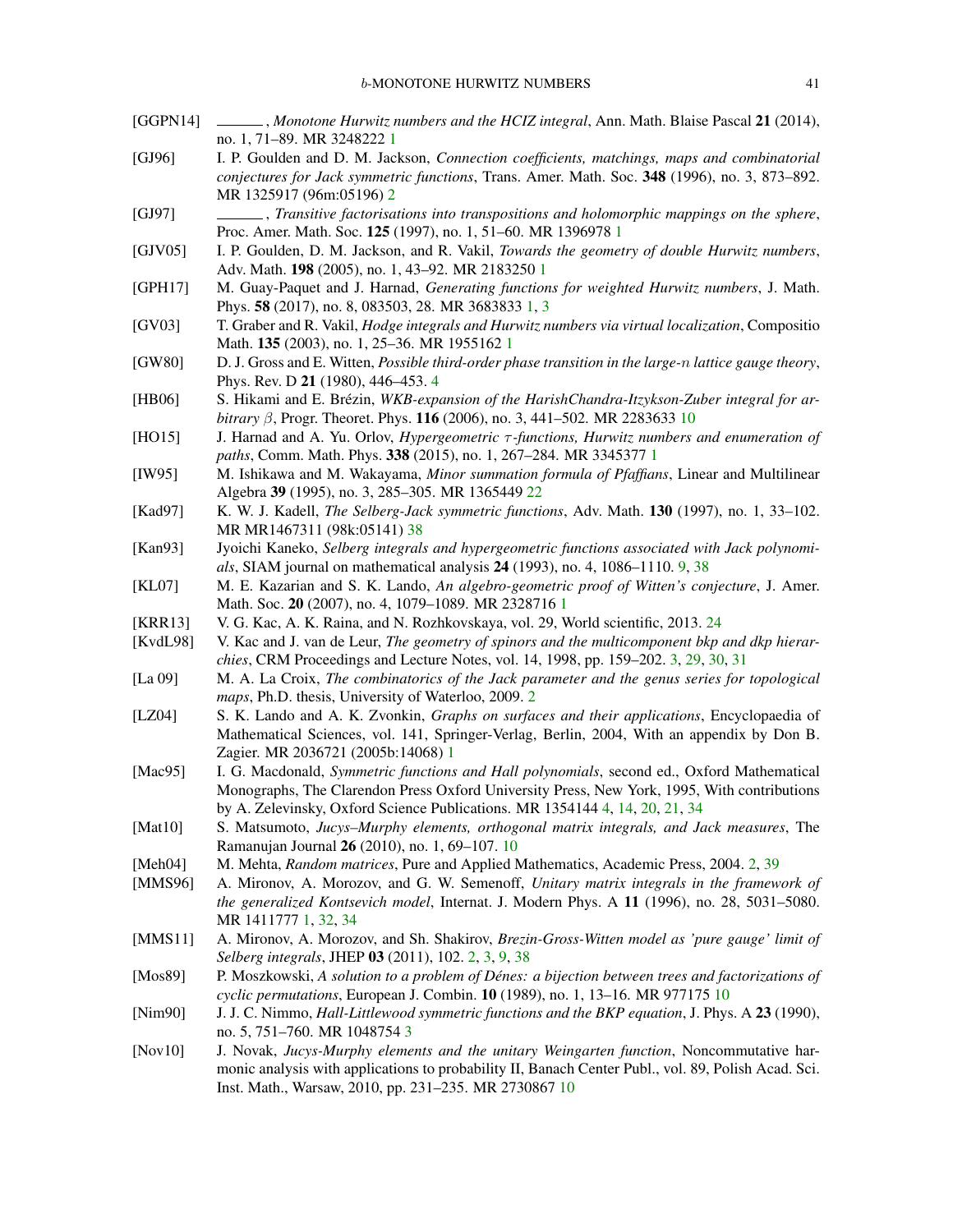- <span id="page-40-24"></span><span id="page-40-23"></span><span id="page-40-22"></span><span id="page-40-21"></span><span id="page-40-20"></span><span id="page-40-19"></span><span id="page-40-18"></span><span id="page-40-17"></span><span id="page-40-16"></span><span id="page-40-15"></span><span id="page-40-14"></span><span id="page-40-13"></span><span id="page-40-12"></span><span id="page-40-11"></span><span id="page-40-10"></span><span id="page-40-9"></span><span id="page-40-8"></span><span id="page-40-7"></span><span id="page-40-6"></span><span id="page-40-5"></span><span id="page-40-4"></span><span id="page-40-3"></span><span id="page-40-2"></span><span id="page-40-1"></span><span id="page-40-0"></span>[GGPN14] , *Monotone Hurwitz numbers and the HCIZ integral*, Ann. Math. Blaise Pascal 21 (2014), no. 1, 71–89. MR 3248222 [1](#page-0-0) [GJ96] I. P. Goulden and D. M. Jackson, *Connection coefficients, matchings, maps and combinatorial conjectures for Jack symmetric functions*, Trans. Amer. Math. Soc. 348 (1996), no. 3, 873–892. MR 1325917 (96m:05196) [2](#page-1-3) [GJ97] , *Transitive factorisations into transpositions and holomorphic mappings on the sphere*, Proc. Amer. Math. Soc. 125 (1997), no. 1, 51–60. MR 1396978 [1](#page-0-0) [GJV05] I. P. Goulden, D. M. Jackson, and R. Vakil, *Towards the geometry of double Hurwitz numbers*, Adv. Math. 198 (2005), no. 1, 43–92. MR 2183250 [1](#page-0-0) [GPH17] M. Guay-Paquet and J. Harnad, *Generating functions for weighted Hurwitz numbers*, J. Math. Phys. 58 (2017), no. 8, 083503, 28. MR 3683833 [1,](#page-0-0) [3](#page-2-1) [GV03] T. Graber and R. Vakil, *Hodge integrals and Hurwitz numbers via virtual localization*, Compositio Math. 135 (2003), no. 1, 25–36. MR 1955162 [1](#page-0-0) [GW80] D. J. Gross and E. Witten, *Possible third-order phase transition in the large-*n *lattice gauge theory*, Phys. Rev. D 21 (1980), 446–453. [4](#page-3-4) [HB06] S. Hikami and E. Brézin, *WKB-expansion of the HarishChandra-Itzykson-Zuber integral for arbitrary* β, Progr. Theoret. Phys. 116 (2006), no. 3, 441–502. MR 2283633 [10](#page-9-2) [HO15] J. Harnad and A. Yu. Orlov, *Hypergeometric* τ *-functions, Hurwitz numbers and enumeration of paths*, Comm. Math. Phys. 338 (2015), no. 1, 267–284. MR 3345377 [1](#page-0-0) [IW95] M. Ishikawa and M. Wakayama, *Minor summation formula of Pfaffians*, Linear and Multilinear Algebra 39 (1995), no. 3, 285–305. MR 1365449 [22](#page-21-4) [Kad97] K. W. J. Kadell, *The Selberg-Jack symmetric functions*, Adv. Math. 130 (1997), no. 1, 33–102. MR MR1467311 (98k:05141) [38](#page-37-2) [Kan93] Jyoichi Kaneko, *Selberg integrals and hypergeometric functions associated with Jack polynomials*, SIAM journal on mathematical analysis 24 (1993), no. 4, 1086–1110. [9,](#page-8-3) [38](#page-37-2) [KL07] M. E. Kazarian and S. K. Lando, *An algebro-geometric proof of Witten's conjecture*, J. Amer. Math. Soc. 20 (2007), no. 4, 1079–1089. MR 2328716 [1](#page-0-0) [KRR13] V. G. Kac, A. K. Raina, and N. Rozhkovskaya, vol. 29, World scientific, 2013. [24](#page-23-0) [KvdL98] V. Kac and J. van de Leur, *The geometry of spinors and the multicomponent bkp and dkp hierarchies*, CRM Proceedings and Lecture Notes, vol. 14, 1998, pp. 159–202. [3,](#page-2-1) [29,](#page-28-3) [30,](#page-29-4) [31](#page-30-3) [La 09] M. A. La Croix, *The combinatorics of the Jack parameter and the genus series for topological maps*, Ph.D. thesis, University of Waterloo, 2009. [2](#page-1-3) [LZ04] S. K. Lando and A. K. Zvonkin, *Graphs on surfaces and their applications*, Encyclopaedia of Mathematical Sciences, vol. 141, Springer-Verlag, Berlin, 2004, With an appendix by Don B. Zagier. MR 2036721 (2005b:14068) [1](#page-0-0) [Mac95] I. G. Macdonald, *Symmetric functions and Hall polynomials*, second ed., Oxford Mathematical Monographs, The Clarendon Press Oxford University Press, New York, 1995, With contributions by A. Zelevinsky, Oxford Science Publications. MR 1354144 [4,](#page-3-4) [14,](#page-13-1) [20,](#page-19-2) [21,](#page-20-4) [34](#page-33-3) [Mat10] S. Matsumoto, *Jucys–Murphy elements, orthogonal matrix integrals, and Jack measures*, The Ramanujan Journal 26 (2010), no. 1, 69–107. [10](#page-9-2) [Meh04] M. Mehta, *Random matrices*, Pure and Applied Mathematics, Academic Press, 2004. [2,](#page-1-3) [39](#page-38-1) [MMS96] A. Mironov, A. Morozov, and G. W. Semenoff, *Unitary matrix integrals in the framework of the generalized Kontsevich model*, Internat. J. Modern Phys. A 11 (1996), no. 28, 5031–5080. MR 1411777 [1,](#page-0-0) [32,](#page-31-2) [34](#page-33-3) [MMS11] A. Mironov, A. Morozov, and Sh. Shakirov, *Brezin-Gross-Witten model as 'pure gauge' limit of Selberg integrals*, JHEP 03 (2011), 102. [2,](#page-1-3) [3,](#page-2-1) [9,](#page-8-3) [38](#page-37-2) [Mos89] P. Moszkowski, *A solution to a problem of Dénes: a bijection between trees and factorizations of cyclic permutations*, European J. Combin. 10 (1989), no. 1, 13–16. MR 977175 [10](#page-9-2) [Nim90] J. J. C. Nimmo, *Hall-Littlewood symmetric functions and the BKP equation*, J. Phys. A 23 (1990), no. 5, 751–760. MR 1048754 [3](#page-2-1) [Nov10] J. Novak, *Jucys-Murphy elements and the unitary Weingarten function*, Noncommutative har
	- monic analysis with applications to probability II, Banach Center Publ., vol. 89, Polish Acad. Sci. Inst. Math., Warsaw, 2010, pp. 231–235. MR 2730867 [10](#page-9-2)